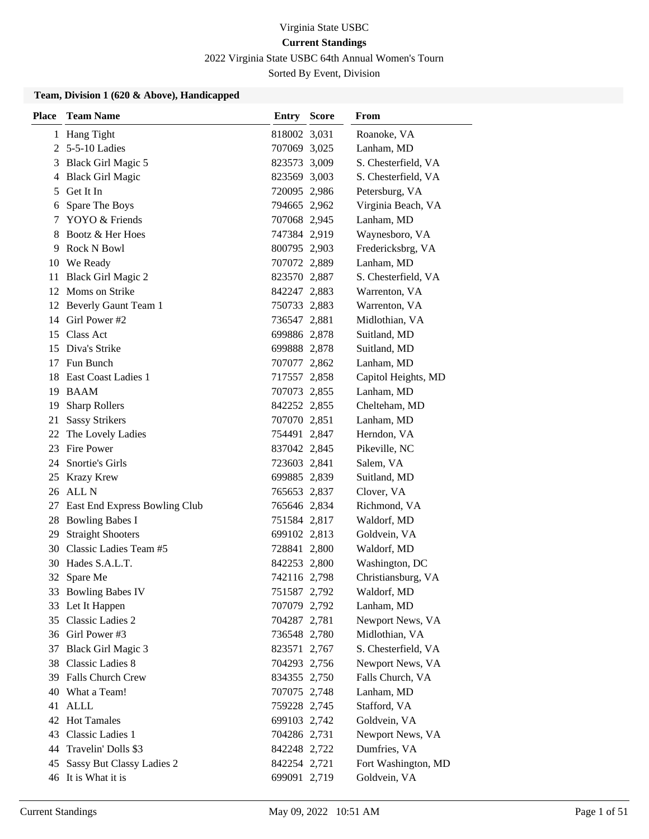2022 Virginia State USBC 64th Annual Women's Tourn

Sorted By Event, Division

#### **Team, Division 1 (620 & Above), Handicapped**

| <b>Place</b> | <b>Team Name</b>                     | <b>Entry Score</b> | From                |
|--------------|--------------------------------------|--------------------|---------------------|
|              | 1 Hang Tight                         | 818002 3,031       | Roanoke, VA         |
|              | 2 5-5-10 Ladies                      | 707069 3,025       | Lanham, MD          |
|              | 3 Black Girl Magic 5                 | 823573 3,009       | S. Chesterfield, VA |
| 4            | <b>Black Girl Magic</b>              | 823569 3,003       | S. Chesterfield, VA |
| 5            | Get It In                            | 720095 2,986       | Petersburg, VA      |
| 6            | Spare The Boys                       | 794665 2,962       | Virginia Beach, VA  |
|              | 7 YOYO & Friends                     | 707068 2,945       | Lanham, MD          |
| 8            | Bootz & Her Hoes                     | 747384 2,919       | Waynesboro, VA      |
| 9            | Rock N Bowl                          | 800795 2,903       | Fredericksbrg, VA   |
| 10           | We Ready                             | 707072 2,889       | Lanham, MD          |
| 11           | <b>Black Girl Magic 2</b>            | 823570 2,887       | S. Chesterfield, VA |
|              | 12 Moms on Strike                    | 842247 2,883       | Warrenton, VA       |
|              | 12 Beverly Gaunt Team 1              | 750733 2,883       | Warrenton, VA       |
|              | 14 Girl Power #2                     | 736547 2,881       | Midlothian, VA      |
| 15           | Class Act                            | 699886 2,878       | Suitland, MD        |
| 15           | Diva's Strike                        | 699888 2,878       | Suitland, MD        |
|              | 17 Fun Bunch                         | 707077 2,862       | Lanham, MD          |
|              | 18 East Coast Ladies 1               | 717557 2,858       | Capitol Heights, MD |
|              | 19 BAAM                              | 707073 2,855       | Lanham, MD          |
| 19           | <b>Sharp Rollers</b>                 | 842252 2,855       | Chelteham, MD       |
| 21           | <b>Sassy Strikers</b>                | 707070 2,851       | Lanham, MD          |
|              | 22 The Lovely Ladies                 | 754491 2,847       | Herndon, VA         |
|              | 23 Fire Power                        | 837042 2,845       | Pikeville, NC       |
| 24           | Snortie's Girls                      | 723603 2,841       | Salem, VA           |
| 25           | <b>Krazy Krew</b>                    | 699885 2,839       | Suitland, MD        |
|              | 26 ALL N                             | 765653 2,837       | Clover, VA          |
| 27           | <b>East End Express Bowling Club</b> | 765646 2,834       | Richmond, VA        |
| 28           | <b>Bowling Babes I</b>               | 751584 2,817       | Waldorf, MD         |
| 29           | <b>Straight Shooters</b>             | 699102 2,813       | Goldvein, VA        |
| 30           | Classic Ladies Team #5               | 728841 2,800       | Waldorf, MD         |
|              | 30 Hades S.A.L.T.                    | 842253 2,800       | Washington, DC      |
| 32           | Spare Me                             | 742116 2,798       | Christiansburg, VA  |
|              | 33 Bowling Babes IV                  | 751587 2,792       | Waldorf, MD         |
|              | 33 Let It Happen                     | 707079 2,792       | Lanham, MD          |
|              | 35 Classic Ladies 2                  | 704287 2,781       | Newport News, VA    |
|              | 36 Girl Power #3                     | 736548 2,780       | Midlothian, VA      |
| 37           | <b>Black Girl Magic 3</b>            | 823571 2,767       | S. Chesterfield, VA |
| 38           | <b>Classic Ladies 8</b>              | 704293 2,756       | Newport News, VA    |
|              | 39 Falls Church Crew                 | 834355 2,750       | Falls Church, VA    |
| 40           | What a Team!                         | 707075 2,748       | Lanham, MD          |
| 41           | ALLL                                 | 759228 2,745       | Stafford, VA        |
|              | 42 Hot Tamales                       | 699103 2,742       | Goldvein, VA        |
| 43           | Classic Ladies 1                     | 704286 2,731       | Newport News, VA    |
| 44           | Travelin' Dolls \$3                  | 842248 2,722       | Dumfries, VA        |
| 45           | Sassy But Classy Ladies 2            | 842254 2,721       | Fort Washington, MD |
| 46           | It is What it is                     | 699091 2,719       | Goldvein, VA        |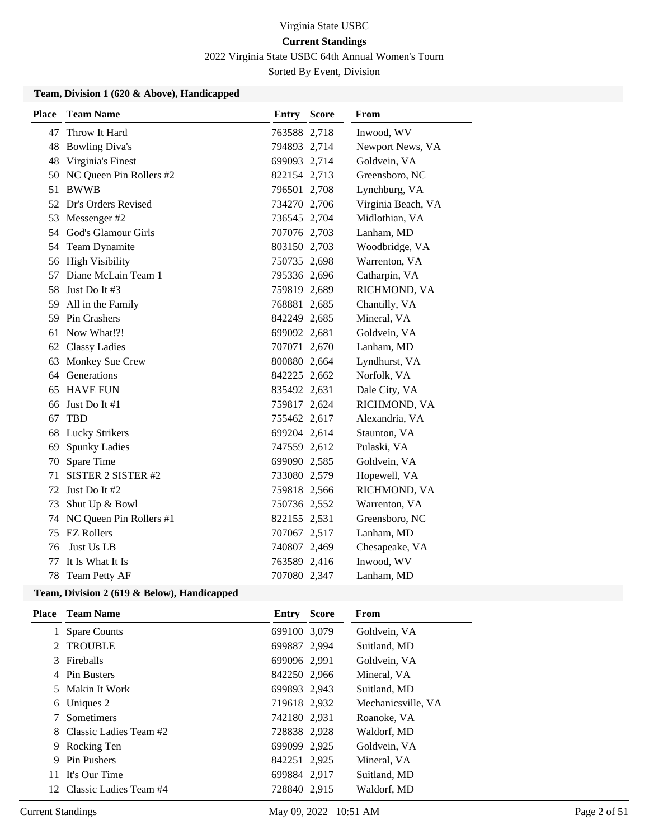2022 Virginia State USBC 64th Annual Women's Tourn

Sorted By Event, Division

#### **Team, Division 1 (620 & Above), Handicapped**

| <b>Place</b> | <b>Team Name</b>        | <b>Entry Score</b> | From               |
|--------------|-------------------------|--------------------|--------------------|
| 47           | Throw It Hard           | 763588 2,718       | Inwood, WV         |
| 48           | <b>Bowling Diva's</b>   | 794893 2,714       | Newport News, VA   |
| 48           | Virginia's Finest       | 699093 2,714       | Goldvein, VA       |
| 50           | NC Queen Pin Rollers #2 | 822154 2,713       | Greensboro, NC     |
| 51           | <b>BWWB</b>             | 796501 2,708       | Lynchburg, VA      |
| 52           | Dr's Orders Revised     | 734270 2,706       | Virginia Beach, VA |
| 53           | Messenger #2            | 736545 2,704       | Midlothian, VA     |
|              | 54 God's Glamour Girls  | 707076 2,703       | Lanham, MD         |
|              | 54 Team Dynamite        | 803150 2,703       | Woodbridge, VA     |
|              | 56 High Visibility      | 750735 2,698       | Warrenton, VA      |
| 57           | Diane McLain Team 1     | 795336 2,696       | Catharpin, VA      |
| 58           | Just Do It #3           | 759819 2,689       | RICHMOND, VA       |
| 59           | All in the Family       | 768881 2,685       | Chantilly, VA      |
| 59           | Pin Crashers            | 842249 2,685       | Mineral, VA        |
| 61           | Now What!?!             | 699092 2,681       | Goldvein, VA       |
|              | 62 Classy Ladies        | 707071 2,670       | Lanham, MD         |
| 63           | Monkey Sue Crew         | 800880 2,664       | Lyndhurst, VA      |
| 64           | Generations             | 842225 2,662       | Norfolk, VA        |
| 65           | <b>HAVE FUN</b>         | 835492 2,631       | Dale City, VA      |
| 66           | Just Do It #1           | 759817 2,624       | RICHMOND, VA       |
| 67           | <b>TRD</b>              | 755462 2,617       | Alexandria, VA     |
| 68           | <b>Lucky Strikers</b>   | 699204 2,614       | Staunton, VA       |
| 69           | <b>Spunky Ladies</b>    | 747559 2,612       | Pulaski, VA        |
| 70           | Spare Time              | 699090 2,585       | Goldvein, VA       |
| 71           | SISTER 2 SISTER #2      | 733080 2,579       | Hopewell, VA       |
| 72           | Just Do It #2           | 759818 2,566       | RICHMOND, VA       |
| 73           | Shut Up & Bowl          | 750736 2,552       | Warrenton, VA      |
| 74           | NC Queen Pin Rollers #1 | 822155 2,531       | Greensboro, NC     |
| 75           | <b>EZ Rollers</b>       | 707067 2,517       | Lanham, MD         |
| 76           | Just Us LB              | 740807 2,469       | Chesapeake, VA     |
| 77           | It Is What It Is        | 763589 2,416       | Inwood, WV         |
| 78           | Team Petty AF           | 707080 2,347       | Lanham, MD         |

#### **Team, Division 2 (619 & Below), Handicapped**

|   | Place Team Name           | <b>Entry Score</b> | From               |
|---|---------------------------|--------------------|--------------------|
|   | 1 Spare Counts            | 699100 3,079       | Goldvein, VA       |
|   | 2 TROUBLE                 | 699887 2,994       | Suitland, MD       |
|   | 3 Fireballs               | 699096 2,991       | Goldvein, VA       |
|   | 4 Pin Busters             | 842250 2,966       | Mineral, VA        |
|   | 5 Makin It Work           | 699893 2,943       | Suitland, MD       |
|   | 6 Uniques 2               | 719618 2,932       | Mechanicsville, VA |
| 7 | Sometimers                | 742180 2,931       | Roanoke, VA        |
|   | 8 Classic Ladies Team #2  | 728838 2,928       | Waldorf, MD        |
|   | 9 Rocking Ten             | 699099 2,925       | Goldvein, VA       |
| 9 | <b>Pin Pushers</b>        | 842251 2,925       | Mineral, VA        |
|   | 11 It's Our Time          | 699884 2,917       | Suitland, MD       |
|   | 12 Classic Ladies Team #4 | 728840 2.915       | Waldorf, MD        |
|   |                           |                    |                    |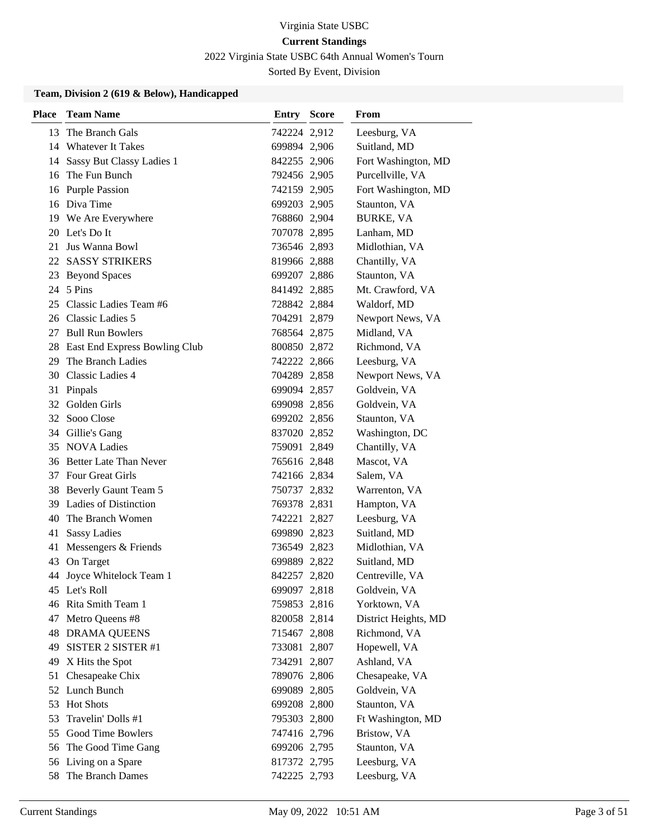2022 Virginia State USBC 64th Annual Women's Tourn

Sorted By Event, Division

#### **Team, Division 2 (619 & Below), Handicapped**

| <b>Place</b> | <b>Team Name</b>                 | <b>Entry Score</b> | From                 |
|--------------|----------------------------------|--------------------|----------------------|
| 13           | The Branch Gals                  | 742224 2,912       | Leesburg, VA         |
|              | 14 Whatever It Takes             | 699894 2,906       | Suitland, MD         |
|              | 14 Sassy But Classy Ladies 1     | 842255 2,906       | Fort Washington, MD  |
|              | 16 The Fun Bunch                 | 792456 2,905       | Purcellville, VA     |
|              | 16 Purple Passion                | 742159 2,905       | Fort Washington, MD  |
|              | 16 Diva Time                     | 699203 2,905       | Staunton, VA         |
|              | 19 We Are Everywhere             | 768860 2,904       | <b>BURKE, VA</b>     |
|              | 20 Let's Do It                   | 707078 2,895       | Lanham, MD           |
| 21           | Jus Wanna Bowl                   | 736546 2,893       | Midlothian, VA       |
|              | 22 SASSY STRIKERS                | 819966 2,888       | Chantilly, VA        |
|              | 23 Beyond Spaces                 | 699207 2,886       | Staunton, VA         |
|              | 24 5 Pins                        | 841492 2,885       | Mt. Crawford, VA     |
|              | 25 Classic Ladies Team #6        | 728842 2,884       | Waldorf, MD          |
|              | 26 Classic Ladies 5              | 704291 2,879       | Newport News, VA     |
|              | 27 Bull Run Bowlers              | 768564 2,875       | Midland, VA          |
|              | 28 East End Express Bowling Club | 800850 2,872       | Richmond, VA         |
| 29           | The Branch Ladies                | 742222 2,866       | Leesburg, VA         |
|              | 30 Classic Ladies 4              | 704289 2,858       | Newport News, VA     |
|              | 31 Pinpals                       | 699094 2,857       | Goldvein, VA         |
|              | 32 Golden Girls                  | 699098 2,856       | Goldvein, VA         |
|              | 32 Sooo Close                    | 699202 2,856       | Staunton, VA         |
|              | 34 Gillie's Gang                 | 837020 2,852       | Washington, DC       |
|              | 35 NOVA Ladies                   | 759091 2,849       | Chantilly, VA        |
|              | 36 Better Late Than Never        | 765616 2,848       | Mascot, VA           |
|              | 37 Four Great Girls              | 742166 2,834       | Salem, VA            |
|              | 38 Beverly Gaunt Team 5          | 750737 2,832       | Warrenton, VA        |
|              | 39 Ladies of Distinction         | 769378 2,831       | Hampton, VA          |
|              | 40 The Branch Women              | 742221 2,827       | Leesburg, VA         |
| 41           | <b>Sassy Ladies</b>              | 699890 2,823       | Suitland, MD         |
| 41           | Messengers & Friends             | 736549 2,823       | Midlothian, VA       |
| 43           | On Target                        | 699889 2,822       | Suitland, MD         |
|              | 44 Joyce Whitelock Team 1        | 842257 2,820       | Centreville, VA      |
|              | 45 Let's Roll                    | 699097 2,818       | Goldvein, VA         |
|              | 46 Rita Smith Team 1             | 759853 2,816       | Yorktown, VA         |
|              | 47 Metro Queens #8               | 820058 2,814       | District Heights, MD |
|              | <b>48 DRAMA QUEENS</b>           | 715467 2,808       | Richmond, VA         |
| 49           | SISTER 2 SISTER #1               | 733081 2,807       | Hopewell, VA         |
| 49           | X Hits the Spot                  | 734291 2,807       | Ashland, VA          |
|              | 51 Chesapeake Chix               | 789076 2,806       | Chesapeake, VA       |
|              | 52 Lunch Bunch                   | 699089 2,805       | Goldvein, VA         |
| 53           | <b>Hot Shots</b>                 | 699208 2,800       | Staunton, VA         |
| 53           | Travelin' Dolls #1               | 795303 2,800       | Ft Washington, MD    |
|              | 55 Good Time Bowlers             | 747416 2,796       | Bristow, VA          |
|              | 56 The Good Time Gang            | 699206 2,795       | Staunton, VA         |
|              | 56 Living on a Spare             | 817372 2,795       | Leesburg, VA         |
| 58           | The Branch Dames                 | 742225 2,793       | Leesburg, VA         |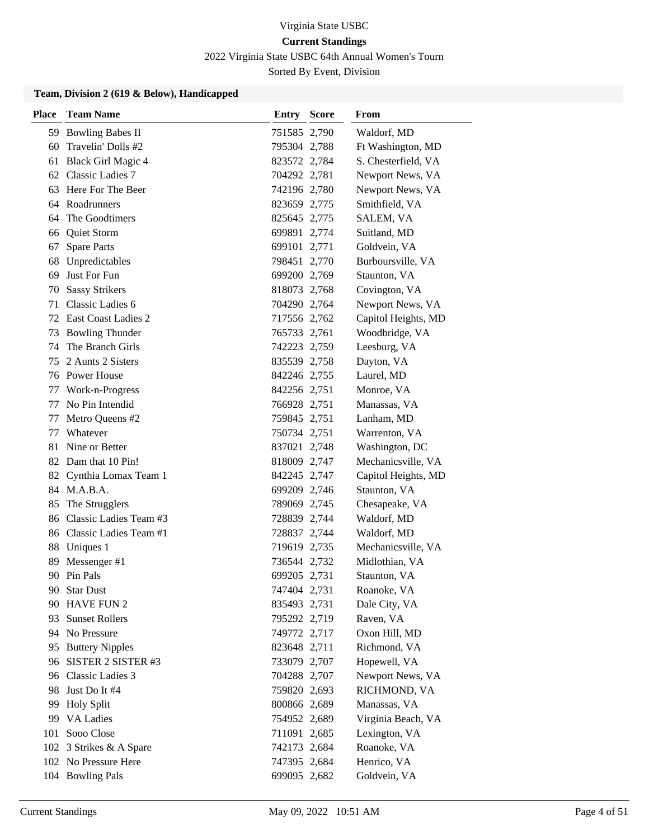2022 Virginia State USBC 64th Annual Women's Tourn

Sorted By Event, Division

#### **Team, Division 2 (619 & Below), Handicapped**

| <b>Place</b> | <b>Team Name</b>          | <b>Entry Score</b> | <b>From</b>         |
|--------------|---------------------------|--------------------|---------------------|
|              | 59 Bowling Babes II       | 751585 2,790       | Waldorf, MD         |
| 60           | Travelin' Dolls #2        | 795304 2,788       | Ft Washington, MD   |
| 61           | Black Girl Magic 4        | 823572 2,784       | S. Chesterfield, VA |
|              | 62 Classic Ladies 7       | 704292 2,781       | Newport News, VA    |
| 63           | Here For The Beer         | 742196 2,780       | Newport News, VA    |
|              | 64 Roadrunners            | 823659 2,775       | Smithfield, VA      |
| 64           | The Goodtimers            | 825645 2,775       | SALEM, VA           |
|              | 66 Quiet Storm            | 699891 2,774       | Suitland, MD        |
| 67           | <b>Spare Parts</b>        | 699101 2,771       | Goldvein, VA        |
| 68           | Unpredictables            | 798451 2,770       | Burboursville, VA   |
| 69           | Just For Fun              | 699200 2,769       | Staunton, VA        |
| 70           | <b>Sassy Strikers</b>     | 818073 2,768       | Covington, VA       |
| 71           | Classic Ladies 6          | 704290 2,764       | Newport News, VA    |
|              | 72 East Coast Ladies 2    | 717556 2,762       | Capitol Heights, MD |
| 73           | <b>Bowling Thunder</b>    | 765733 2,761       | Woodbridge, VA      |
| 74           | The Branch Girls          | 742223 2,759       | Leesburg, VA        |
| 75           | 2 Aunts 2 Sisters         | 835539 2,758       | Dayton, VA          |
|              | 76 Power House            | 842246 2,755       | Laurel, MD          |
| 77           | Work-n-Progress           | 842256 2,751       | Monroe, VA          |
| 77           | No Pin Intendid           | 766928 2,751       | Manassas, VA        |
| 77           | Metro Queens #2           | 759845 2,751       | Lanham, MD          |
| 77           | Whatever                  | 750734 2,751       | Warrenton, VA       |
| 81           | Nine or Better            | 837021 2,748       | Washington, DC      |
|              | 82 Dam that 10 Pin!       | 818009 2,747       | Mechanicsville, VA  |
| 82           | Cynthia Lomax Team 1      | 842245 2,747       | Capitol Heights, MD |
|              | 84 M.A.B.A.               | 699209 2,746       | Staunton, VA        |
| 85           | The Strugglers            | 789069 2,745       | Chesapeake, VA      |
|              | 86 Classic Ladies Team #3 | 728839 2,744       | Waldorf, MD         |
|              | 86 Classic Ladies Team #1 | 728837 2,744       | Waldorf, MD         |
| 88           | Uniques 1                 | 719619 2,735       | Mechanicsville, VA  |
| 89           | Messenger #1              | 736544 2,732       | Midlothian, VA      |
|              | 90 Pin Pals               | 699205 2,731       | Staunton, VA        |
| 90.          | <b>Star Dust</b>          | 747404 2,731       | Roanoke, VA         |
|              | 90 HAVE FUN 2             | 835493 2,731       | Dale City, VA       |
|              | 93 Sunset Rollers         | 795292 2,719       | Raven, VA           |
|              | 94 No Pressure            | 749772 2,717       | Oxon Hill, MD       |
| 95           | <b>Buttery Nipples</b>    | 823648 2,711       | Richmond, VA        |
| 96           | SISTER 2 SISTER #3        | 733079 2,707       | Hopewell, VA        |
|              | 96 Classic Ladies 3       | 704288 2,707       | Newport News, VA    |
| 98           | Just Do It #4             | 759820 2,693       | RICHMOND, VA        |
| 99           | <b>Holy Split</b>         | 800866 2,689       | Manassas, VA        |
| 99           | <b>VA Ladies</b>          | 754952 2,689       | Virginia Beach, VA  |
| 101          | Sooo Close                | 711091 2,685       | Lexington, VA       |
|              | 102 3 Strikes & A Spare   | 742173 2,684       | Roanoke, VA         |
|              | 102 No Pressure Here      | 747395 2,684       | Henrico, VA         |
|              | 104 Bowling Pals          | 699095 2,682       | Goldvein, VA        |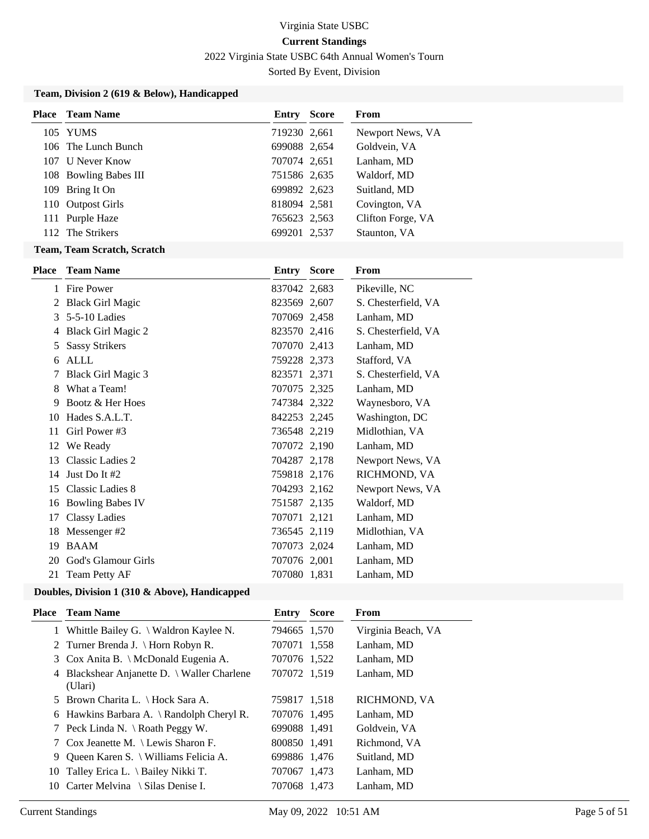2022 Virginia State USBC 64th Annual Women's Tourn

Sorted By Event, Division

### **Team, Division 2 (619 & Below), Handicapped**

| Place | Team Name             | Entry        | <b>Score</b> | <b>From</b>       |
|-------|-----------------------|--------------|--------------|-------------------|
|       | 105 YUMS              | 719230 2,661 |              | Newport News, VA  |
|       | 106 The Lunch Bunch   | 699088 2,654 |              | Goldvein, VA      |
| 107   | U Never Know          | 707074 2,651 |              | Lanham, MD        |
|       | 108 Bowling Babes III | 751586 2,635 |              | Waldorf, MD       |
|       | 109 Bring It On       | 699892 2,623 |              | Suitland, MD      |
|       | 110 Outpost Girls     | 818094 2,581 |              | Covington, VA     |
|       | 111 Purple Haze       | 765623 2,563 |              | Clifton Forge, VA |
|       | 112 The Strikers      | 699201 2,537 |              | Staunton, VA      |

#### **Team, Team Scratch, Scratch**

| <b>Place</b> | <b>Team Name</b>          | Entry        | <b>Score</b> | From                |
|--------------|---------------------------|--------------|--------------|---------------------|
| 1            | <b>Fire Power</b>         | 837042 2,683 |              | Pikeville, NC       |
| 2            | <b>Black Girl Magic</b>   | 823569 2,607 |              | S. Chesterfield, VA |
| 3            | 5-5-10 Ladies             | 707069 2,458 |              | Lanham, MD          |
| 4            | <b>Black Girl Magic 2</b> | 823570 2,416 |              | S. Chesterfield, VA |
| 5            | <b>Sassy Strikers</b>     | 707070 2,413 |              | Lanham, MD          |
| 6            | <b>ALLL</b>               | 759228 2,373 |              | Stafford, VA        |
| 7            | Black Girl Magic 3        | 823571 2,371 |              | S. Chesterfield, VA |
| 8            | What a Team!              | 707075 2,325 |              | Lanham, MD          |
| 9            | Bootz & Her Hoes          | 747384 2,322 |              | Waynesboro, VA      |
| 10           | Hades S.A.L.T.            | 842253 2,245 |              | Washington, DC      |
| 11           | Girl Power #3             | 736548 2,219 |              | Midlothian, VA      |
| 12           | We Ready                  | 707072 2,190 |              | Lanham, MD          |
| 13           | Classic Ladies 2          | 704287 2,178 |              | Newport News, VA    |
| 14           | Just Do It #2             | 759818 2,176 |              | RICHMOND, VA        |
| 15           | Classic Ladies 8          | 704293 2,162 |              | Newport News, VA    |
| 16           | <b>Bowling Babes IV</b>   | 751587 2,135 |              | Waldorf, MD         |
| 17           | <b>Classy Ladies</b>      | 707071 2,121 |              | Lanham, MD          |
| 18           | Messenger#2               | 736545 2,119 |              | Midlothian, VA      |
| 19           | <b>BAAM</b>               | 707073 2,024 |              | Lanham, MD          |
| 20           | God's Glamour Girls       | 707076 2,001 |              | Lanham, MD          |
| 21           | Team Petty AF             | 707080 1,831 |              | Lanham, MD          |

| Place | <b>Team Name</b>                                       | Entry        | <b>Score</b> | <b>From</b>        |
|-------|--------------------------------------------------------|--------------|--------------|--------------------|
|       | Whittle Bailey G. $\setminus$ Waldron Kaylee N.        | 794665 1,570 |              | Virginia Beach, VA |
|       | 2 Turner Brenda J. \ Horn Robyn R.                     | 707071 1,558 |              | Lanham, MD         |
|       | 3 Cox Anita B. \ McDonald Eugenia A.                   | 707076 1,522 |              | Lanham, MD         |
|       | 4 Blackshear Anjanette D. \ Waller Charlene<br>(Ulari) | 707072 1,519 |              | Lanham, MD         |
|       | 5 Brown Charita L. \ Hock Sara A.                      | 759817 1,518 |              | RICHMOND, VA       |
|       | 6 Hawkins Barbara A. \ Randolph Cheryl R.              | 707076 1,495 |              | Lanham, MD         |
|       | 7 Peck Linda N. \ Roath Peggy W.                       | 699088 1,491 |              | Goldvein, VA       |
|       | 7 Cox Jeanette M. \ Lewis Sharon F.                    | 800850 1,491 |              | Richmond, VA       |
| 9.    | Queen Karen S. \ Williams Felicia A.                   | 699886 1,476 |              | Suitland, MD       |
| 10    | Talley Erica L. \ Bailey Nikki T.                      | 707067 1,473 |              | Lanham, MD         |
| 10    | Carter Melvina $\setminus$ Silas Denise I.             | 707068 1.473 |              | Lanham, MD         |
|       |                                                        |              |              |                    |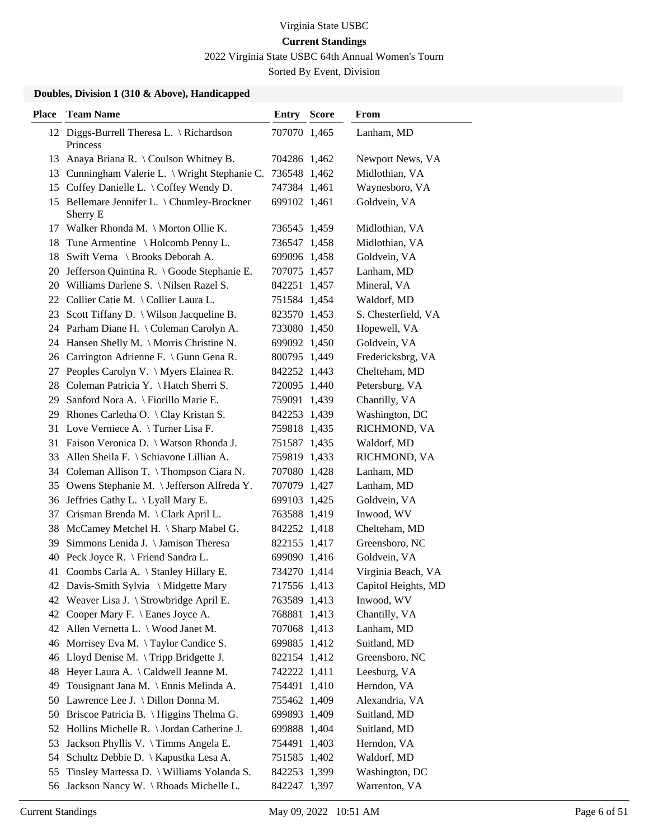2022 Virginia State USBC 64th Annual Women's Tourn

Sorted By Event, Division

| <b>Place</b> | <b>Team Name</b>                                     | Entry        | <b>Score</b> | From                |
|--------------|------------------------------------------------------|--------------|--------------|---------------------|
|              | 12 Diggs-Burrell Theresa L. \ Richardson<br>Princess | 707070 1,465 |              | Lanham, MD          |
|              | 13 Anaya Briana R. \ Coulson Whitney B.              | 704286 1,462 |              | Newport News, VA    |
|              | 13 Cunningham Valerie L. \ Wright Stephanie C.       | 736548 1,462 |              | Midlothian, VA      |
| 15           | Coffey Danielle L. \ Coffey Wendy D.                 | 747384 1,461 |              | Waynesboro, VA      |
| 15           | Bellemare Jennifer L. \ Chumley-Brockner<br>Sherry E | 699102 1,461 |              | Goldvein, VA        |
|              | 17 Walker Rhonda M. \ Morton Ollie K.                | 736545 1,459 |              | Midlothian, VA      |
|              | 18 Tune Armentine \Holcomb Penny L.                  | 736547 1,458 |              | Midlothian, VA      |
|              | 18 Swift Verna \ Brooks Deborah A.                   | 699096 1,458 |              | Goldvein, VA        |
|              | 20 Jefferson Quintina R. \ Goode Stephanie E.        | 707075 1,457 |              | Lanham, MD          |
|              | 20 Williams Darlene S. \ Nilsen Razel S.             | 842251 1,457 |              | Mineral, VA         |
|              | 22 Collier Catie M. \Collier Laura L.                | 751584 1,454 |              | Waldorf, MD         |
|              | 23 Scott Tiffany D. \ Wilson Jacqueline B.           | 823570 1,453 |              | S. Chesterfield, VA |
|              | 24 Parham Diane H. \ Coleman Carolyn A.              | 733080 1,450 |              | Hopewell, VA        |
|              | 24 Hansen Shelly M. \ Morris Christine N.            | 699092 1,450 |              | Goldvein, VA        |
|              | 26 Carrington Adrienne F. \ Gunn Gena R.             | 800795 1,449 |              | Fredericksbrg, VA   |
| 27           | Peoples Carolyn V. \ Myers Elainea R.                | 842252 1,443 |              | Chelteham, MD       |
|              | 28 Coleman Patricia Y. \ Hatch Sherri S.             | 720095 1,440 |              | Petersburg, VA      |
| 29           | Sanford Nora A. \ Fiorillo Marie E.                  | 759091 1,439 |              | Chantilly, VA       |
|              | 29 Rhones Carletha O. \ Clay Kristan S.              | 842253 1,439 |              | Washington, DC      |
|              | 31 Love Verniece A. \Turner Lisa F.                  | 759818 1,435 |              | RICHMOND, VA        |
|              | 31 Faison Veronica D. \ Watson Rhonda J.             | 751587 1,435 |              | Waldorf, MD         |
|              | 33 Allen Sheila F. \ Schiavone Lillian A.            | 759819 1,433 |              | RICHMOND, VA        |
|              | 34 Coleman Allison T. \Thompson Ciara N.             | 707080 1,428 |              | Lanham, MD          |
|              | 35 Owens Stephanie M. \ Jefferson Alfreda Y.         | 707079 1,427 |              | Lanham, MD          |
|              | 36 Jeffries Cathy L. \ Lyall Mary E.                 | 699103 1,425 |              | Goldvein, VA        |
| 37           | Crisman Brenda M. \Clark April L.                    | 763588 1,419 |              | Inwood, WV          |
| 38           | McCamey Metchel H. \ Sharp Mabel G.                  | 842252 1,418 |              | Chelteham, MD       |
| 39           | Simmons Lenida J. \ Jamison Theresa                  | 822155 1,417 |              | Greensboro, NC      |
|              | 40 Peck Joyce R. \ Friend Sandra L.                  | 699090 1,416 |              | Goldvein, VA        |
|              | 41 Coombs Carla A. \ Stanley Hillary E.              | 734270 1,414 |              | Virginia Beach, VA  |
|              | 42 Davis-Smith Sylvia \ Midgette Mary                | 717556 1,413 |              | Capitol Heights, MD |
|              | 42 Weaver Lisa J. \ Strowbridge April E.             | 763589 1,413 |              | Inwood, WV          |
| 42           | Cooper Mary F. \ Eanes Joyce A.                      | 768881 1,413 |              | Chantilly, VA       |
|              | 42 Allen Vernetta L. \ Wood Janet M.                 | 707068 1,413 |              | Lanham, MD          |
|              | 46 Morrisey Eva M. \Taylor Candice S.                | 699885 1,412 |              | Suitland, MD        |
|              | 46 Lloyd Denise M. \Tripp Bridgette J.               | 822154 1,412 |              | Greensboro, NC      |
| 48           | Heyer Laura A. \Caldwell Jeanne M.                   | 742222 1,411 |              | Leesburg, VA        |
| 49           | Tousignant Jana M. \ Ennis Melinda A.                | 754491 1,410 |              | Herndon, VA         |
|              | 50 Lawrence Lee J. \ Dillon Donna M.                 | 755462 1,409 |              | Alexandria, VA      |
| 50           | Briscoe Patricia B. \ Higgins Thelma G.              | 699893 1,409 |              | Suitland, MD        |
| 52           | Hollins Michelle R. \ Jordan Catherine J.            | 699888 1,404 |              | Suitland, MD        |
| 53           | Jackson Phyllis V. \Timms Angela E.                  | 754491 1,403 |              | Herndon, VA         |
|              | 54 Schultz Debbie D. \ Kapustka Lesa A.              | 751585 1,402 |              | Waldorf, MD         |
| 55           | Tinsley Martessa D. \ Williams Yolanda S.            | 842253 1,399 |              | Washington, DC      |
|              | 56 Jackson Nancy W. \Rhoads Michelle L.              | 842247 1,397 |              | Warrenton, VA       |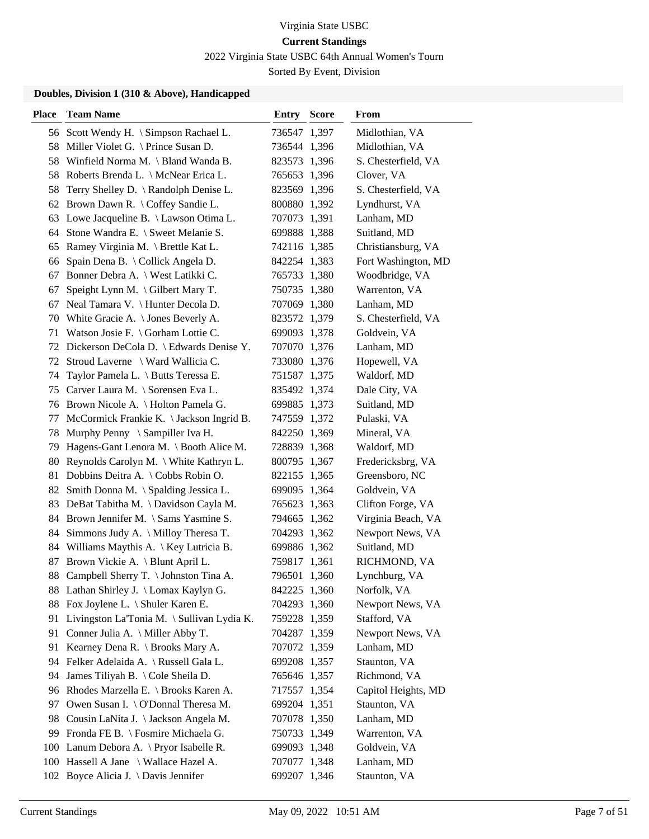2022 Virginia State USBC 64th Annual Women's Tourn

Sorted By Event, Division

| <b>Place</b> | <b>Team Name</b>                              | <b>Entry Score</b> | From                |
|--------------|-----------------------------------------------|--------------------|---------------------|
|              | 56 Scott Wendy H. \ Simpson Rachael L.        | 736547 1,397       | Midlothian, VA      |
|              | 58 Miller Violet G. \ Prince Susan D.         | 736544 1,396       | Midlothian, VA      |
|              | 58 Winfield Norma M. \ Bland Wanda B.         | 823573 1,396       | S. Chesterfield, VA |
| 58           | Roberts Brenda L. \ McNear Erica L.           | 765653 1,396       | Clover, VA          |
| 58           | Terry Shelley D. \ Randolph Denise L.         | 823569 1,396       | S. Chesterfield, VA |
|              | 62 Brown Dawn R. \ Coffey Sandie L.           | 800880 1,392       | Lyndhurst, VA       |
|              | 63 Lowe Jacqueline B. \ Lawson Otima L.       | 707073 1,391       | Lanham, MD          |
|              | 64 Stone Wandra E. \ Sweet Melanie S.         | 699888 1,388       | Suitland, MD        |
| 65           | Ramey Virginia M. \ Brettle Kat L.            | 742116 1,385       | Christiansburg, VA  |
| 66           | Spain Dena B. \ Collick Angela D.             | 842254 1,383       | Fort Washington, MD |
| 67           | Bonner Debra A. \ West Latikki C.             | 765733 1,380       | Woodbridge, VA      |
| 67           | Speight Lynn M. \ Gilbert Mary T.             | 750735 1,380       | Warrenton, VA       |
| 67           | Neal Tamara V. \ Hunter Decola D.             | 707069 1,380       | Lanham, MD          |
|              | 70 White Gracie A. \ Jones Beverly A.         | 823572 1,379       | S. Chesterfield, VA |
|              | 71 Watson Josie F. \ Gorham Lottie C.         | 699093 1,378       | Goldvein, VA        |
|              | 72 Dickerson DeCola D. \ Edwards Denise Y.    | 707070 1,376       | Lanham, MD          |
| 72           | Stroud Laverne \ Ward Wallicia C.             | 733080 1,376       | Hopewell, VA        |
| 74           | Taylor Pamela L. \ Butts Teressa E.           | 751587 1,375       | Waldorf, MD         |
|              | 75 Carver Laura M. \ Sorensen Eva L.          | 835492 1,374       | Dale City, VA       |
|              | 76 Brown Nicole A. \ Holton Pamela G.         | 699885 1,373       | Suitland, MD        |
| 77           | McCormick Frankie K. \ Jackson Ingrid B.      | 747559 1,372       | Pulaski, VA         |
| 78           | Murphy Penny \ Sampiller Iva H.               | 842250 1,369       | Mineral, VA         |
|              | 79 Hagens-Gant Lenora M. \ Booth Alice M.     | 728839 1,368       | Waldorf, MD         |
|              | 80 Reynolds Carolyn M. \ White Kathryn L.     | 800795 1,367       | Fredericksbrg, VA   |
| 81           | Dobbins Deitra A. \ Cobbs Robin O.            | 822155 1,365       | Greensboro, NC      |
| 82           | Smith Donna M. \ Spalding Jessica L.          | 699095 1,364       | Goldvein, VA        |
|              | 83 DeBat Tabitha M. \Davidson Cayla M.        | 765623 1,363       | Clifton Forge, VA   |
|              | 84 Brown Jennifer M. \ Sams Yasmine S.        | 794665 1,362       | Virginia Beach, VA  |
|              | 84 Simmons Judy A. \ Milloy Theresa T.        | 704293 1,362       | Newport News, VA    |
|              | 84 Williams Maythis A. \ Key Lutricia B.      | 699886 1,362       | Suitland, MD        |
| 87           | Brown Vickie A. \ Blunt April L.              | 759817 1,361       | RICHMOND, VA        |
| 88           | Campbell Sherry T. \ Johnston Tina A.         | 796501 1,360       | Lynchburg, VA       |
|              | 88 Lathan Shirley J. \ Lomax Kaylyn G.        | 842225 1,360       | Norfolk, VA         |
|              | 88 Fox Joylene L. \ Shuler Karen E.           | 704293 1,360       | Newport News, VA    |
|              | 91 Livingston La'Tonia M. \ Sullivan Lydia K. | 759228 1,359       | Stafford, VA        |
|              | 91 Conner Julia A. \ Miller Abby T.           | 704287 1,359       | Newport News, VA    |
| 91           | Kearney Dena R. \ Brooks Mary A.              | 707072 1,359       | Lanham, MD          |
|              | 94 Felker Adelaida A. \Russell Gala L.        | 699208 1,357       | Staunton, VA        |
|              | 94 James Tiliyah B. \ Cole Sheila D.          | 765646 1,357       | Richmond, VA        |
|              | 96 Rhodes Marzella E. \ Brooks Karen A.       | 717557 1,354       | Capitol Heights, MD |
| 97           | Owen Susan I. \ O'Donnal Theresa M.           | 699204 1,351       | Staunton, VA        |
|              | 98 Cousin LaNita J. \ Jackson Angela M.       | 707078 1,350       | Lanham, MD          |
|              | 99 Fronda FE B. \ Fosmire Michaela G.         | 750733 1,349       | Warrenton, VA       |
|              | 100 Lanum Debora A. \Pryor Isabelle R.        | 699093 1,348       | Goldvein, VA        |
|              | 100 Hassell A Jane \ Wallace Hazel A.         | 707077 1,348       | Lanham, MD          |
|              | 102 Boyce Alicia J. \Davis Jennifer           | 699207 1,346       | Staunton, VA        |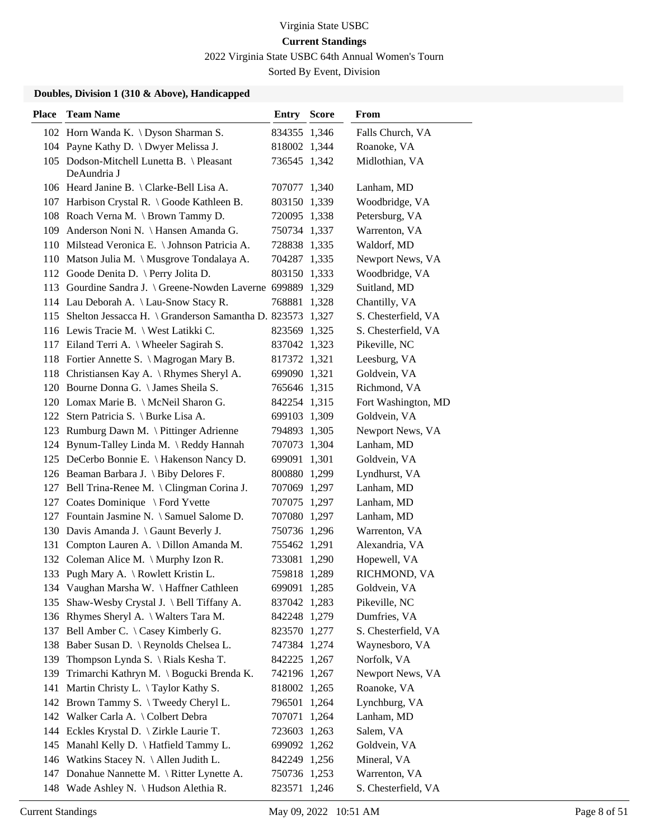2022 Virginia State USBC 64th Annual Women's Tourn

Sorted By Event, Division

| <b>Place</b> | <b>Team Name</b>                                              | Entry        | <b>Score</b> | From                |
|--------------|---------------------------------------------------------------|--------------|--------------|---------------------|
|              | 102 Horn Wanda K. \ Dyson Sharman S.                          | 834355 1,346 |              | Falls Church, VA    |
|              | 104 Payne Kathy D. \ Dwyer Melissa J.                         | 818002 1,344 |              | Roanoke, VA         |
|              | 105 Dodson-Mitchell Lunetta B. \ Pleasant<br>DeAundria J      | 736545 1,342 |              | Midlothian, VA      |
|              | 106 Heard Janine B. \ Clarke-Bell Lisa A.                     | 707077 1,340 |              | Lanham, MD          |
|              | 107 Harbison Crystal R. \ Goode Kathleen B.                   | 803150 1,339 |              | Woodbridge, VA      |
|              | 108 Roach Verna M. \ Brown Tammy D.                           | 720095 1,338 |              | Petersburg, VA      |
|              | 109 Anderson Noni N. \ Hansen Amanda G.                       | 750734 1,337 |              | Warrenton, VA       |
|              | 110 Milstead Veronica E. \ Johnson Patricia A.                | 728838 1,335 |              | Waldorf, MD         |
|              | 110 Matson Julia M. \ Musgrove Tondalaya A.                   | 704287 1,335 |              | Newport News, VA    |
|              | 112 Goode Denita D. \ Perry Jolita D.                         | 803150 1,333 |              | Woodbridge, VA      |
|              | 113 Gourdine Sandra J. \ Greene-Nowden Laverne 699889 1,329   |              |              | Suitland, MD        |
|              | 114 Lau Deborah A. \ Lau-Snow Stacy R.                        | 768881 1,328 |              | Chantilly, VA       |
|              | 115 Shelton Jessacca H. \ Granderson Samantha D. 823573 1,327 |              |              | S. Chesterfield, VA |
|              | 116 Lewis Tracie M. \ West Latikki C.                         | 823569 1,325 |              | S. Chesterfield, VA |
|              | 117 Eiland Terri A. \ Wheeler Sagirah S.                      | 837042 1,323 |              | Pikeville, NC       |
|              | 118 Fortier Annette S. \ Magrogan Mary B.                     | 817372 1,321 |              | Leesburg, VA        |
|              | 118 Christiansen Kay A. \Rhymes Sheryl A.                     | 699090 1,321 |              | Goldvein, VA        |
|              | 120 Bourne Donna G. \ James Sheila S.                         | 765646 1,315 |              | Richmond, VA        |
|              | 120 Lomax Marie B. \ McNeil Sharon G.                         | 842254 1,315 |              | Fort Washington, MD |
|              | 122 Stern Patricia S. \ Burke Lisa A.                         | 699103 1,309 |              | Goldvein, VA        |
|              | 123 Rumburg Dawn M. \ Pittinger Adrienne                      | 794893 1,305 |              | Newport News, VA    |
|              | 124 Bynum-Talley Linda M. \Reddy Hannah                       | 707073 1,304 |              | Lanham, MD          |
|              | 125 DeCerbo Bonnie E. \ Hakenson Nancy D.                     | 699091 1,301 |              | Goldvein, VA        |
|              | 126 Beaman Barbara J. \ Biby Delores F.                       | 800880 1,299 |              | Lyndhurst, VA       |
|              | 127 Bell Trina-Renee M. \ Clingman Corina J.                  | 707069 1,297 |              | Lanham, MD          |
| 127          | Coates Dominique \ Ford Yvette                                | 707075 1,297 |              | Lanham, MD          |
|              | 127 Fountain Jasmine N. \ Samuel Salome D.                    | 707080 1,297 |              | Lanham, MD          |
|              | 130 Davis Amanda J. \ Gaunt Beverly J.                        | 750736 1,296 |              | Warrenton, VA       |
| 131          | Compton Lauren A. \ Dillon Amanda M.                          | 755462 1,291 |              | Alexandria, VA      |
| 132          | Coleman Alice M. $\langle$ Murphy Izon R.                     | 733081 1,290 |              | Hopewell, VA        |
|              | 133 Pugh Mary A. \ Rowlett Kristin L.                         | 759818 1,289 |              | RICHMOND, VA        |
|              | 134 Vaughan Marsha W. \ Haffner Cathleen                      | 699091 1,285 |              | Goldvein, VA        |
| 135          | Shaw-Wesby Crystal J. \ Bell Tiffany A.                       | 837042 1,283 |              | Pikeville, NC       |
|              | 136 Rhymes Sheryl A. \ Walters Tara M.                        | 842248 1,279 |              | Dumfries, VA        |
|              | 137 Bell Amber C. \ Casey Kimberly G.                         | 823570 1,277 |              | S. Chesterfield, VA |
|              | 138 Baber Susan D. \ Reynolds Chelsea L.                      | 747384 1,274 |              | Waynesboro, VA      |
| 139          | Thompson Lynda S. \ Rials Kesha T.                            | 842225 1,267 |              | Norfolk, VA         |
| 139          | Trimarchi Kathryn M. \ Bogucki Brenda K.                      | 742196 1,267 |              | Newport News, VA    |
| 141          | Martin Christy L. \Taylor Kathy S.                            | 818002 1,265 |              | Roanoke, VA         |
|              | 142 Brown Tammy S. \Tweedy Cheryl L.                          | 796501 1,264 |              | Lynchburg, VA       |
|              | 142 Walker Carla A. \ Colbert Debra                           | 707071 1,264 |              | Lanham, MD          |
|              | 144 Eckles Krystal D. \ Zirkle Laurie T.                      | 723603 1,263 |              | Salem, VA           |
|              | 145 Manahl Kelly D. \ Hatfield Tammy L.                       | 699092 1,262 |              | Goldvein, VA        |
|              | 146 Watkins Stacey N. \ Allen Judith L.                       | 842249 1,256 |              | Mineral, VA         |
|              | 147 Donahue Nannette M. \ Ritter Lynette A.                   | 750736 1,253 |              | Warrenton, VA       |
|              | 148 Wade Ashley N. \ Hudson Alethia R.                        | 823571 1,246 |              | S. Chesterfield, VA |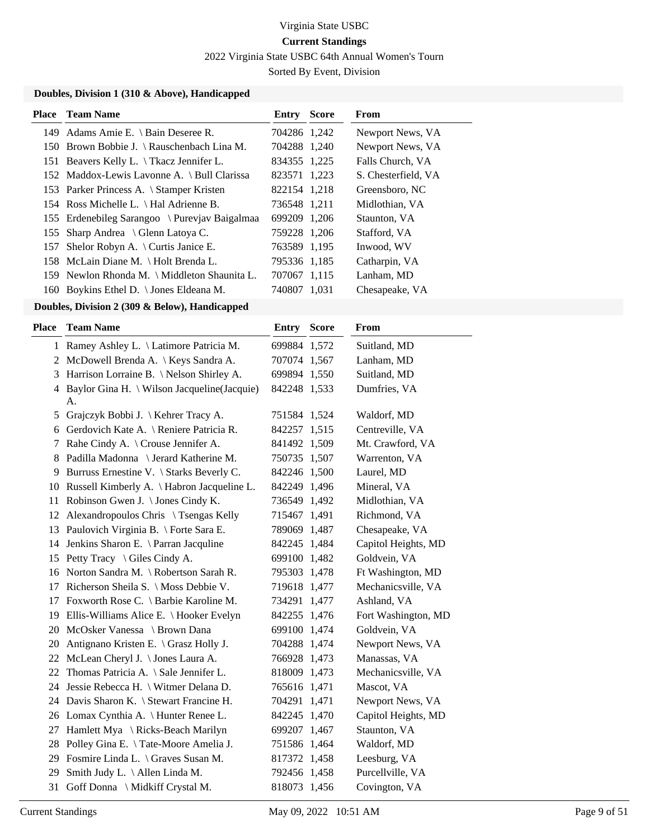2022 Virginia State USBC 64th Annual Women's Tourn

Sorted By Event, Division

#### **Doubles, Division 1 (310 & Above), Handicapped**

|     | <b>Place</b> Team Name                        | <b>Entry Score</b> | From                |
|-----|-----------------------------------------------|--------------------|---------------------|
|     | 149 Adams Amie E. \ Bain Deseree R.           | 704286 1,242       | Newport News, VA    |
|     | 150 Brown Bobbie J. \ Rauschenbach Lina M.    | 704288 1,240       | Newport News, VA    |
|     | 151 Beavers Kelly L. \Tkacz Jennifer L.       | 834355 1,225       | Falls Church, VA    |
|     | 152 Maddox-Lewis Lavonne A. \ Bull Clarissa   | 823571 1,223       | S. Chesterfield, VA |
|     | 153 Parker Princess A. \ Stamper Kristen      | 822154 1,218       | Greensboro, NC      |
|     | 154 Ross Michelle L. \ Hal Adrienne B.        | 736548 1,211       | Midlothian, VA      |
|     | 155 Erdenebileg Sarangoo \ Purevjav Baigalmaa | 699209 1,206       | Staunton, VA        |
|     | 155 Sharp Andrea \ Glenn Latoya C.            | 759228 1,206       | Stafford, VA        |
| 157 | Shelor Robyn A. $\setminus$ Curtis Janice E.  | 763589 1,195       | Inwood, WV          |
|     | 158 McLain Diane M. \ Holt Brenda L.          | 795336 1,185       | Catharpin, VA       |
|     | 159 Newlon Rhonda M. \ Middleton Shaunita L.  | 707067 1,115       | Lanham, MD          |
|     | 160 Boykins Ethel D. \ Jones Eldeana M.       | 740807 1.031       | Chesapeake, VA      |

| <b>Place</b> | <b>Team Name</b>                                    | <b>Entry Score</b> | <b>From</b>         |
|--------------|-----------------------------------------------------|--------------------|---------------------|
|              | 1 Ramey Ashley L. \ Latimore Patricia M.            | 699884 1,572       | Suitland, MD        |
| 2            | McDowell Brenda A. \ Keys Sandra A.                 | 707074 1,567       | Lanham, MD          |
| 3            | Harrison Lorraine B. \Nelson Shirley A.             | 699894 1,550       | Suitland, MD        |
|              | 4 Baylor Gina H. \ Wilson Jacqueline(Jacquie)<br>А. | 842248 1,533       | Dumfries, VA        |
| 5            | Grajczyk Bobbi J. \ Kehrer Tracy A.                 | 751584 1,524       | Waldorf, MD         |
| 6            | Gerdovich Kate A. \ Reniere Patricia R.             | 842257 1,515       | Centreville, VA     |
| 7            | Rahe Cindy A. \ Crouse Jennifer A.                  | 841492 1,509       | Mt. Crawford, VA    |
| 8            | Padilla Madonna \ Jerard Katherine M.               | 750735 1,507       | Warrenton, VA       |
| 9            | Burruss Ernestine V. \ Starks Beverly C.            | 842246 1,500       | Laurel, MD          |
| 10           | Russell Kimberly A. \ Habron Jacqueline L.          | 842249 1,496       | Mineral, VA         |
| 11           | Robinson Gwen J. \ Jones Cindy K.                   | 736549 1,492       | Midlothian, VA      |
|              | 12 Alexandropoulos Chris \ Tsengas Kelly            | 715467 1,491       | Richmond, VA        |
|              | 13 Paulovich Virginia B. \ Forte Sara E.            | 789069 1,487       | Chesapeake, VA      |
| 14           | Jenkins Sharon E. \ Parran Jacquline                | 842245 1,484       | Capitol Heights, MD |
|              | 15 Petty Tracy \ Giles Cindy A.                     | 699100 1,482       | Goldvein, VA        |
|              | 16 Norton Sandra M. \Robertson Sarah R.             | 795303 1,478       | Ft Washington, MD   |
| 17           | Richerson Sheila S. \ Moss Debbie V.                | 719618 1,477       | Mechanicsville, VA  |
| 17           | Foxworth Rose C. \ Barbie Karoline M.               | 734291 1,477       | Ashland, VA         |
|              | 19 Ellis-Williams Alice E. \ Hooker Evelyn          | 842255 1,476       | Fort Washington, MD |
|              | 20 McOsker Vanessa \ Brown Dana                     | 699100 1,474       | Goldvein, VA        |
| 20           | Antignano Kristen E. \ Grasz Holly J.               | 704288 1,474       | Newport News, VA    |
|              | 22 McLean Cheryl J. \ Jones Laura A.                | 766928 1,473       | Manassas, VA        |
|              | 22 Thomas Patricia A. \ Sale Jennifer L.            | 818009 1,473       | Mechanicsville, VA  |
| 24           | Jessie Rebecca H. \ Witmer Delana D.                | 765616 1,471       | Mascot, VA          |
|              | 24 Davis Sharon K. \ Stewart Francine H.            | 704291 1,471       | Newport News, VA    |
|              | 26 Lomax Cynthia A. \ Hunter Renee L.               | 842245 1,470       | Capitol Heights, MD |
|              | 27 Hamlett Mya \ Ricks-Beach Marilyn                | 699207 1,467       | Staunton, VA        |
| 28           | Polley Gina E. \Tate-Moore Amelia J.                | 751586 1,464       | Waldorf, MD         |
| 29           | Fosmire Linda L. \ Graves Susan M.                  | 817372 1,458       | Leesburg, VA        |
| 29           | Smith Judy L. \ Allen Linda M.                      | 792456 1,458       | Purcellville, VA    |
| 31           | Goff Donna \ Midkiff Crystal M.                     | 818073 1,456       | Covington, VA       |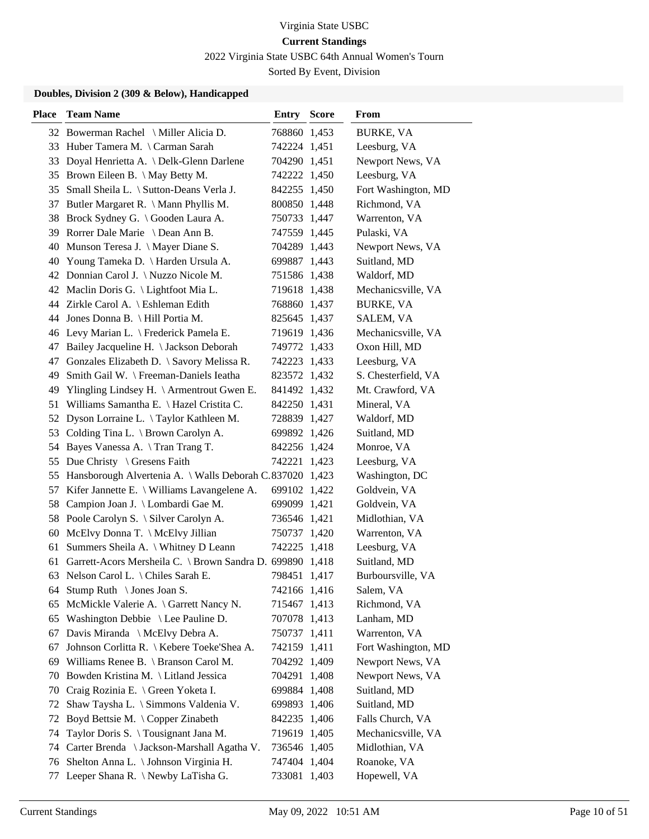2022 Virginia State USBC 64th Annual Women's Tourn

Sorted By Event, Division

| <b>Place</b> | <b>Team Name</b>                                             | <b>Entry Score</b> | From                |
|--------------|--------------------------------------------------------------|--------------------|---------------------|
|              | 32 Bowerman Rachel \ Miller Alicia D.                        | 768860 1,453       | <b>BURKE, VA</b>    |
|              | 33 Huber Tamera M. \ Carman Sarah                            | 742224 1,451       | Leesburg, VA        |
|              | 33 Doyal Henrietta A. \ Delk-Glenn Darlene                   | 704290 1,451       | Newport News, VA    |
|              | 35 Brown Eileen B. \ May Betty M.                            | 742222 1,450       | Leesburg, VA        |
| 35           | Small Sheila L. \ Sutton-Deans Verla J.                      | 842255 1,450       | Fort Washington, MD |
|              | 37 Butler Margaret R. \ Mann Phyllis M.                      | 800850 1,448       | Richmond, VA        |
|              | 38 Brock Sydney G. \ Gooden Laura A.                         | 750733 1,447       | Warrenton, VA       |
|              | 39 Rorrer Dale Marie \ Dean Ann B.                           | 747559 1,445       | Pulaski, VA         |
|              | 40 Munson Teresa J. \ Mayer Diane S.                         | 704289 1,443       | Newport News, VA    |
|              | 40 Young Tameka D. \ Harden Ursula A.                        | 699887 1,443       | Suitland, MD        |
|              | 42 Donnian Carol J. \ Nuzzo Nicole M.                        | 751586 1,438       | Waldorf, MD         |
|              | 42 Maclin Doris G. \ Lightfoot Mia L.                        | 719618 1,438       | Mechanicsville, VA  |
|              | 44 Zirkle Carol A. \ Eshleman Edith                          | 768860 1,437       | <b>BURKE, VA</b>    |
|              | 44 Jones Donna B. \ Hill Portia M.                           | 825645 1,437       | SALEM, VA           |
|              | 46 Levy Marian L. \ Frederick Pamela E.                      | 719619 1,436       | Mechanicsville, VA  |
|              | 47 Bailey Jacqueline H. \Jackson Deborah                     | 749772 1,433       | Oxon Hill, MD       |
| 47           | Gonzales Elizabeth D. \ Savory Melissa R.                    | 742223 1,433       | Leesburg, VA        |
| 49           | Smith Gail W. \ Freeman-Daniels Ieatha                       | 823572 1,432       | S. Chesterfield, VA |
|              | 49 Ylingling Lindsey H. \ Armentrout Gwen E.                 | 841492 1,432       | Mt. Crawford, VA    |
| 51           | Williams Samantha E. \ Hazel Cristita C.                     | 842250 1,431       | Mineral, VA         |
| 52           | Dyson Lorraine L. \Taylor Kathleen M.                        | 728839 1,427       | Waldorf, MD         |
|              | 53 Colding Tina L. \ Brown Carolyn A.                        | 699892 1,426       | Suitland, MD        |
| 54           | Bayes Vanessa A. \Tran Trang T.                              | 842256 1,424       | Monroe, VA          |
|              | 55 Due Christy \ Gresens Faith                               | 742221 1,423       | Leesburg, VA        |
| 55           | Hansborough Alvertenia A. \ Walls Deborah C.837020 1,423     |                    | Washington, DC      |
| 57           | Kifer Jannette E. \ Williams Lavangelene A.                  | 699102 1,422       | Goldvein, VA        |
|              | 58 Campion Joan J. \ Lombardi Gae M.                         | 699099 1,421       | Goldvein, VA        |
| 58           | Poole Carolyn S. \ Silver Carolyn A.                         | 736546 1,421       | Midlothian, VA      |
| 60           | McElvy Donna T. \ McElvy Jillian                             | 750737 1,420       | Warrenton, VA       |
| 61           | Summers Sheila A. \ Whitney D Leann                          | 742225 1,418       | Leesburg, VA        |
|              | 61 Garrett-Acors Mersheila C. \ Brown Sandra D. 699890 1,418 |                    | Suitland, MD        |
| 63           | Nelson Carol L. \ Chiles Sarah E.                            | 798451 1,417       | Burboursville, VA   |
| 64           | Stump Ruth $\setminus$ Jones Joan S.                         | 742166 1,416       | Salem, VA           |
| 65           | McMickle Valerie A. \ Garrett Nancy N.                       | 715467 1,413       | Richmond, VA        |
|              | 65 Washington Debbie $\leq$ Lee Pauline D.                   | 707078 1,413       | Lanham, MD          |
|              | 67 Davis Miranda \ McElvy Debra A.                           | 750737 1,411       | Warrenton, VA       |
| 67           | Johnson Corlitta R. \ Kebere Toeke'Shea A.                   | 742159 1,411       | Fort Washington, MD |
| 69           | Williams Renee B. \ Branson Carol M.                         | 704292 1,409       | Newport News, VA    |
| 70           | Bowden Kristina M. \ Litland Jessica                         | 704291 1,408       | Newport News, VA    |
| 70           | Craig Rozinia E. \ Green Yoketa I.                           | 699884 1,408       | Suitland, MD        |
| 72           | Shaw Taysha L. \ Simmons Valdenia V.                         | 699893 1,406       | Suitland, MD        |
| 72           | Boyd Bettsie M. \Copper Zinabeth                             | 842235 1,406       | Falls Church, VA    |
| 74           | Taylor Doris S. \Tousignant Jana M.                          | 719619 1,405       | Mechanicsville, VA  |
| 74           | Carter Brenda \ Jackson-Marshall Agatha V.                   | 736546 1,405       | Midlothian, VA      |
| 76           | Shelton Anna L. \ Johnson Virginia H.                        | 747404 1,404       | Roanoke, VA         |
| 77           | Leeper Shana R. \Newby LaTisha G.                            | 733081 1,403       | Hopewell, VA        |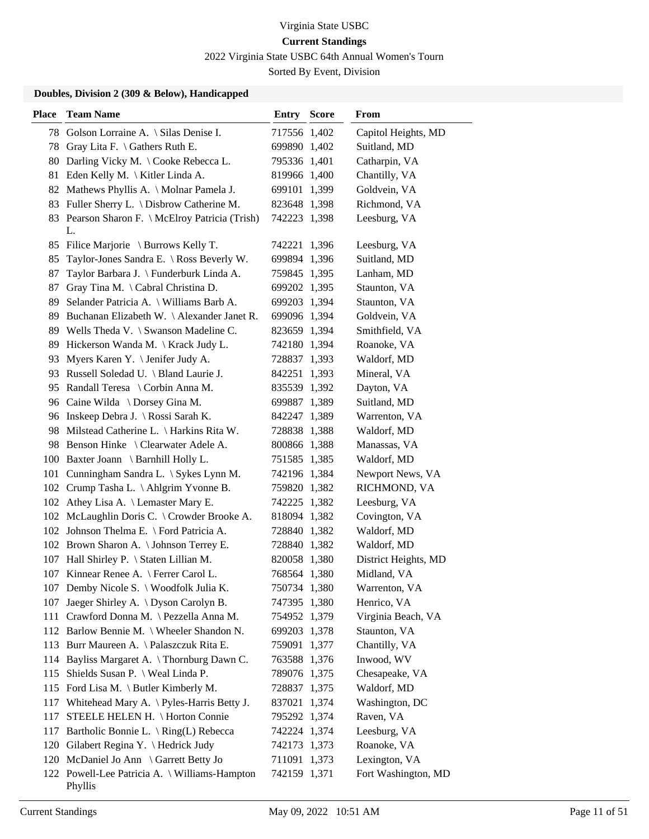2022 Virginia State USBC 64th Annual Women's Tourn

Sorted By Event, Division

| <b>Place</b> | <b>Team Name</b>                                         | <b>Entry Score</b> | From                 |
|--------------|----------------------------------------------------------|--------------------|----------------------|
|              | 78 Golson Lorraine A. \ Silas Denise I.                  | 717556 1,402       | Capitol Heights, MD  |
| 78           | Gray Lita F. $\setminus$ Gathers Ruth E.                 | 699890 1,402       | Suitland, MD         |
| 80           | Darling Vicky M. \ Cooke Rebecca L.                      | 795336 1,401       | Catharpin, VA        |
| 81           | Eden Kelly M. \ Kitler Linda A.                          | 819966 1,400       | Chantilly, VA        |
| 82           | Mathews Phyllis A. \ Molnar Pamela J.                    | 699101 1,399       | Goldvein, VA         |
| 83           | Fuller Sherry L. \ Disbrow Catherine M.                  | 823648 1,398       | Richmond, VA         |
|              | 83 Pearson Sharon F. \ McElroy Patricia (Trish)<br>L.    | 742223 1,398       | Leesburg, VA         |
|              | 85 Filice Marjorie \ Burrows Kelly T.                    | 742221 1,396       | Leesburg, VA         |
| 85           | Taylor-Jones Sandra E. \ Ross Beverly W.                 | 699894 1,396       | Suitland, MD         |
| 87           | Taylor Barbara J. \ Funderburk Linda A.                  | 759845 1,395       | Lanham, MD           |
| 87           | Gray Tina M. \Cabral Christina D.                        | 699202 1,395       | Staunton, VA         |
| 89           | Selander Patricia A. \ Williams Barb A.                  | 699203 1,394       | Staunton, VA         |
| 89           | Buchanan Elizabeth W. \ Alexander Janet R.               | 699096 1,394       | Goldvein, VA         |
|              | 89 Wells Theda V. \ Swanson Madeline C.                  | 823659 1,394       | Smithfield, VA       |
|              | 89 Hickerson Wanda M. \ Krack Judy L.                    | 742180 1,394       | Roanoke, VA          |
| 93           | Myers Karen Y. \ Jenifer Judy A.                         | 728837 1,393       | Waldorf, MD          |
|              | 93 Russell Soledad U. \ Bland Laurie J.                  | 842251 1,393       | Mineral, VA          |
| 95           | Randall Teresa \ Corbin Anna M.                          | 835539 1,392       | Dayton, VA           |
|              | 96 Caine Wilda \ Dorsey Gina M.                          | 699887 1,389       | Suitland, MD         |
|              | 96 Inskeep Debra J. \Rossi Sarah K.                      | 842247 1,389       | Warrenton, VA        |
|              | 98 Milstead Catherine L. \ Harkins Rita W.               | 728838 1,388       | Waldorf, MD          |
|              | 98 Benson Hinke \ Clearwater Adele A.                    | 800866 1,388       | Manassas, VA         |
|              | 100 Baxter Joann \ Barnhill Holly L.                     | 751585 1,385       | Waldorf, MD          |
|              | 101 Cunningham Sandra L. \ Sykes Lynn M.                 | 742196 1,384       | Newport News, VA     |
|              | 102 Crump Tasha L. \Ahlgrim Yvonne B.                    | 759820 1,382       | RICHMOND, VA         |
|              | 102 Athey Lisa A. \ Lemaster Mary E.                     | 742225 1,382       | Leesburg, VA         |
|              | 102 McLaughlin Doris C. \ Crowder Brooke A.              | 818094 1,382       | Covington, VA        |
|              | 102 Johnson Thelma E. \ Ford Patricia A.                 | 728840 1,382       | Waldorf, MD          |
|              | 102 Brown Sharon A. \ Johnson Terrey E.                  | 728840 1,382       | Waldorf, MD          |
|              | 107 Hall Shirley P. \ Staten Lillian M.                  | 820058 1,380       | District Heights, MD |
|              | 107 Kinnear Renee A. \ Ferrer Carol L.                   | 768564 1,380       | Midland, VA          |
|              | 107 Demby Nicole S. \ Woodfolk Julia K.                  | 750734 1,380       | Warrenton, VA        |
| 107          | Jaeger Shirley A. \ Dyson Carolyn B.                     | 747395 1,380       | Henrico, VA          |
| 111          | Crawford Donna M. \ Pezzella Anna M.                     | 754952 1,379       | Virginia Beach, VA   |
|              | 112 Barlow Bennie M. \ Wheeler Shandon N.                | 699203 1,378       | Staunton, VA         |
|              | 113 Burr Maureen A. \Palaszczuk Rita E.                  | 759091 1,377       | Chantilly, VA        |
| 114          | Bayliss Margaret A. \ Thornburg Dawn C.                  | 763588 1,376       | Inwood, WV           |
| 115          | Shields Susan P. \ Weal Linda P.                         | 789076 1,375       | Chesapeake, VA       |
|              | 115 Ford Lisa M. \ Butler Kimberly M.                    | 728837 1,375       | Waldorf, MD          |
| 117          | Whitehead Mary A. \ Pyles-Harris Betty J.                | 837021 1,374       | Washington, DC       |
| 117          | STEELE HELEN H. \ Horton Connie                          | 795292 1,374       | Raven, VA            |
| 117          | Bartholic Bonnie L. \ Ring(L) Rebecca                    | 742224 1,374       | Leesburg, VA         |
|              | 120 Gilabert Regina Y. \ Hedrick Judy                    | 742173 1,373       | Roanoke, VA          |
|              | 120 McDaniel Jo Ann \ Garrett Betty Jo                   | 711091 1,373       | Lexington, VA        |
|              | 122 Powell-Lee Patricia A. \ Williams-Hampton<br>Phyllis | 742159 1,371       | Fort Washington, MD  |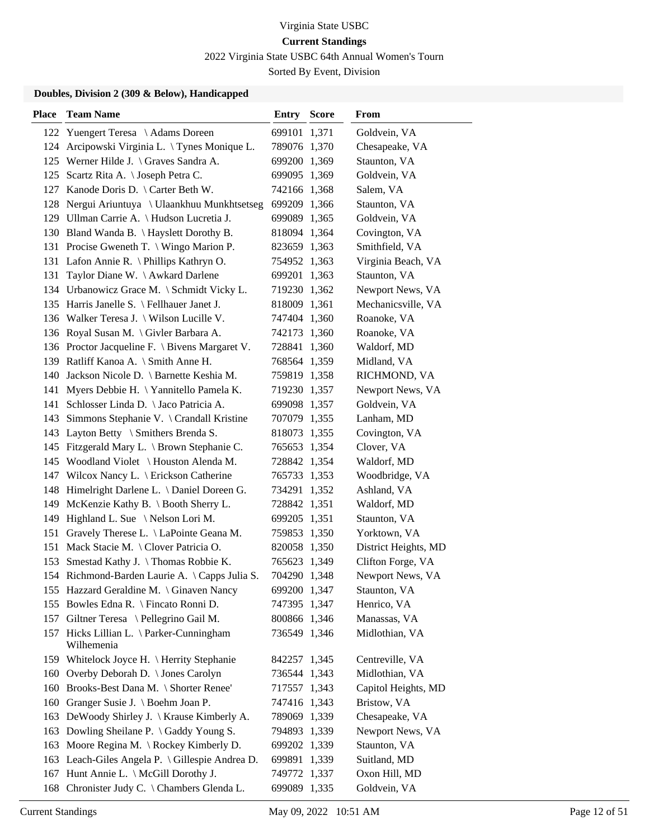2022 Virginia State USBC 64th Annual Women's Tourn

Sorted By Event, Division

| <b>Place</b> | <b>Team Name</b>                                       | Entry        | <b>Score</b> | From                 |
|--------------|--------------------------------------------------------|--------------|--------------|----------------------|
| 122          | Yuengert Teresa \Adams Doreen                          | 699101 1,371 |              | Goldvein, VA         |
| 124          | Arcipowski Virginia L. \Tynes Monique L.               | 789076 1,370 |              | Chesapeake, VA       |
|              | 125 Werner Hilde J. \ Graves Sandra A.                 | 699200 1,369 |              | Staunton, VA         |
| 125          | Scartz Rita A. \ Joseph Petra C.                       | 699095 1,369 |              | Goldvein, VA         |
| 127          | Kanode Doris D. $\text{Carter}$ Beth W.                | 742166 1,368 |              | Salem, VA            |
|              | 128 Nergui Ariuntuya \ Ulaankhuu Munkhtsetseg          | 699209 1,366 |              | Staunton, VA         |
|              | 129 Ullman Carrie A. \ Hudson Lucretia J.              | 699089 1,365 |              | Goldvein, VA         |
|              | 130 Bland Wanda B. \ Hayslett Dorothy B.               | 818094 1,364 |              | Covington, VA        |
|              | 131 Procise Gweneth T. \ Wingo Marion P.               | 823659 1,363 |              | Smithfield, VA       |
|              | 131 Lafon Annie R. \ Phillips Kathryn O.               | 754952 1,363 |              | Virginia Beach, VA   |
| 131          | Taylor Diane W. \ Awkard Darlene                       | 699201 1,363 |              | Staunton, VA         |
|              | 134 Urbanowicz Grace M. \ Schmidt Vicky L.             | 719230 1,362 |              | Newport News, VA     |
|              | 135 Harris Janelle S. \ Fellhauer Janet J.             | 818009 1,361 |              | Mechanicsville, VA   |
|              | 136 Walker Teresa J. \ Wilson Lucille V.               | 747404 1,360 |              | Roanoke, VA          |
|              | 136 Royal Susan M. \ Givler Barbara A.                 | 742173 1,360 |              | Roanoke, VA          |
|              | 136 Proctor Jacqueline F. \ Bivens Margaret V.         | 728841 1,360 |              | Waldorf, MD          |
|              | 139 Ratliff Kanoa A. \ Smith Anne H.                   | 768564 1,359 |              | Midland, VA          |
| 140          | Jackson Nicole D. \ Barnette Keshia M.                 | 759819 1,358 |              | RICHMOND, VA         |
| 141          | Myers Debbie H. \Yannitello Pamela K.                  | 719230 1,357 |              | Newport News, VA     |
| 141          | Schlosser Linda D. \ Jaco Patricia A.                  | 699098 1,357 |              | Goldvein, VA         |
| 143          | Simmons Stephanie V. \ Crandall Kristine               | 707079 1,355 |              | Lanham, MD           |
| 143          | Layton Betty \ Smithers Brenda S.                      | 818073 1,355 |              | Covington, VA        |
|              | 145 Fitzgerald Mary L. \ Brown Stephanie C.            | 765653 1,354 |              | Clover, VA           |
| 145          | Woodland Violet \ Houston Alenda M.                    | 728842 1,354 |              | Waldorf, MD          |
| 147          | Wilcox Nancy L. \ Erickson Catherine                   | 765733 1,353 |              | Woodbridge, VA       |
| 148          | Himelright Darlene L. \ Daniel Doreen G.               | 734291 1,352 |              | Ashland, VA          |
| 149          | McKenzie Kathy B. \ Booth Sherry L.                    | 728842 1,351 |              | Waldorf, MD          |
| 149          | Highland L. Sue \Nelson Lori M.                        | 699205 1,351 |              | Staunton, VA         |
| 151          | Gravely Therese L. \ LaPointe Geana M.                 | 759853 1,350 |              | Yorktown, VA         |
| 151          | Mack Stacie M. \ Clover Patricia O.                    | 820058 1,350 |              | District Heights, MD |
|              | 153 Smestad Kathy J. \Thomas Robbie K.                 | 765623 1,349 |              | Clifton Forge, VA    |
|              | 154 Richmond-Barden Laurie A. \Capps Julia S.          | 704290 1,348 |              | Newport News, VA     |
|              | 155 Hazzard Geraldine M. \ Ginaven Nancy               | 699200 1,347 |              | Staunton, VA         |
|              | 155 Bowles Edna R. \ Fincato Ronni D.                  | 747395 1,347 |              | Henrico, VA          |
|              | 157 Giltner Teresa \ Pellegrino Gail M.                | 800866 1,346 |              | Manassas, VA         |
|              | 157 Hicks Lillian L. \ Parker-Cunningham<br>Wilhemenia | 736549 1,346 |              | Midlothian, VA       |
|              | 159 Whitelock Joyce H. \ Herrity Stephanie             | 842257 1,345 |              | Centreville, VA      |
| 160          | Overby Deborah D. \ Jones Carolyn                      | 736544 1,343 |              | Midlothian, VA       |
| 160          | Brooks-Best Dana M. \ Shorter Renee'                   | 717557 1,343 |              | Capitol Heights, MD  |
| 160          | Granger Susie J. \ Boehm Joan P.                       | 747416 1,343 |              | Bristow, VA          |
| 163          | DeWoody Shirley J. \ Krause Kimberly A.                | 789069 1,339 |              | Chesapeake, VA       |
| 163          | Dowling Sheilane P. \ Gaddy Young S.                   | 794893 1,339 |              | Newport News, VA     |
| 163          | Moore Regina M. $\setminus$ Rockey Kimberly D.         | 699202 1,339 |              | Staunton, VA         |
|              | 163 Leach-Giles Angela P. \ Gillespie Andrea D.        | 699891 1,339 |              | Suitland, MD         |
| 167          | Hunt Annie L. \ McGill Dorothy J.                      | 749772 1,337 |              | Oxon Hill, MD        |
| 168          | Chronister Judy C. \ Chambers Glenda L.                | 699089 1,335 |              | Goldvein, VA         |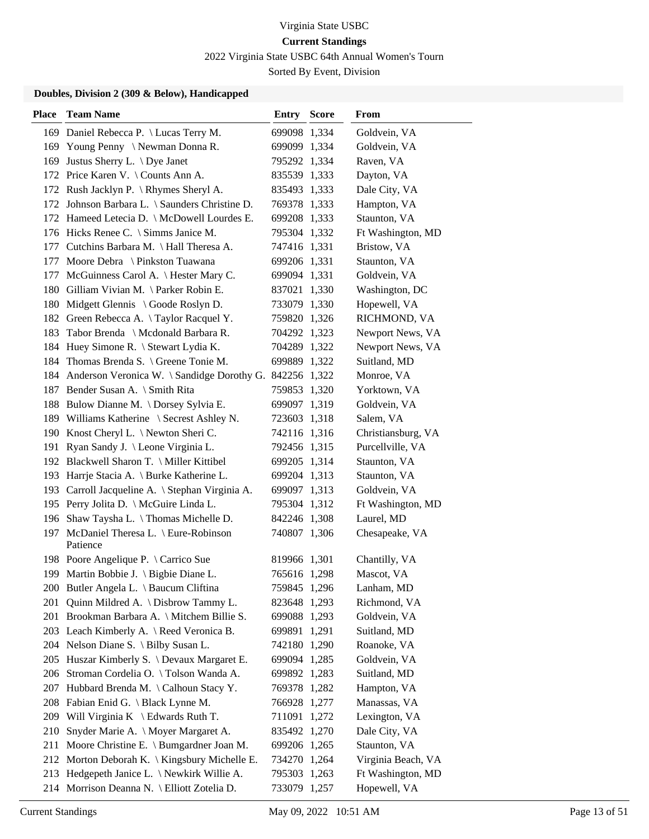2022 Virginia State USBC 64th Annual Women's Tourn

Sorted By Event, Division

| <b>Place</b> | <b>Team Name</b>                                    | Entry        | <b>Score</b> | From               |
|--------------|-----------------------------------------------------|--------------|--------------|--------------------|
|              | 169 Daniel Rebecca P. \ Lucas Terry M.              | 699098 1,334 |              | Goldvein, VA       |
|              | 169 Young Penny \Newman Donna R.                    | 699099 1,334 |              | Goldvein, VA       |
|              | 169 Justus Sherry L. \ Dye Janet                    | 795292 1,334 |              | Raven, VA          |
|              | 172 Price Karen V. \ Counts Ann A.                  | 835539 1,333 |              | Dayton, VA         |
|              | 172 Rush Jacklyn P. \Rhymes Sheryl A.               | 835493 1,333 |              | Dale City, VA      |
|              | 172 Johnson Barbara L. \ Saunders Christine D.      | 769378 1,333 |              | Hampton, VA        |
|              | 172 Hameed Letecia D. \ McDowell Lourdes E.         | 699208 1,333 |              | Staunton, VA       |
|              | 176 Hicks Renee C. \ Simms Janice M.                | 795304 1,332 |              | Ft Washington, MD  |
|              | 177 Cutchins Barbara M. \ Hall Theresa A.           | 747416 1,331 |              | Bristow, VA        |
| 177          | Moore Debra \ Pinkston Tuawana                      | 699206 1,331 |              | Staunton, VA       |
|              | 177 McGuinness Carol A. \ Hester Mary C.            | 699094 1,331 |              | Goldvein, VA       |
|              | 180 Gilliam Vivian M. \Parker Robin E.              | 837021 1,330 |              | Washington, DC     |
|              | 180 Midgett Glennis \ Goode Roslyn D.               | 733079 1,330 |              | Hopewell, VA       |
|              | 182 Green Rebecca A. \Taylor Racquel Y.             | 759820 1,326 |              | RICHMOND, VA       |
|              | 183 Tabor Brenda \ Mcdonald Barbara R.              | 704292 1,323 |              | Newport News, VA   |
|              | 184 Huey Simone R. \ Stewart Lydia K.               | 704289 1,322 |              | Newport News, VA   |
|              | 184 Thomas Brenda S. \ Greene Tonie M.              | 699889 1,322 |              | Suitland, MD       |
|              | 184 Anderson Veronica W. \ Sandidge Dorothy G.      | 842256 1,322 |              | Monroe, VA         |
|              | 187 Bender Susan A. \ Smith Rita                    | 759853 1,320 |              | Yorktown, VA       |
|              | 188 Bulow Dianne M. \Dorsey Sylvia E.               | 699097 1,319 |              | Goldvein, VA       |
|              | 189 Williams Katherine \ Secrest Ashley N.          | 723603 1,318 |              | Salem, VA          |
|              | 190 Knost Cheryl L. \ Newton Sheri C.               | 742116 1,316 |              | Christiansburg, VA |
|              | 191 Ryan Sandy J. \Leone Virginia L.                | 792456 1,315 |              | Purcellville, VA   |
|              | 192 Blackwell Sharon T. \ Miller Kittibel           | 699205 1,314 |              | Staunton, VA       |
|              | 193 Harrje Stacia A. \ Burke Katherine L.           | 699204 1,313 |              | Staunton, VA       |
| 193          | Carroll Jacqueline A. \ Stephan Virginia A.         | 699097 1,313 |              | Goldvein, VA       |
|              | 195 Perry Jolita D. \ McGuire Linda L.              | 795304 1,312 |              | Ft Washington, MD  |
| 196          | Shaw Taysha L. \ Thomas Michelle D.                 | 842246 1,308 |              | Laurel, MD         |
|              | 197 McDaniel Theresa L. \ Eure-Robinson<br>Patience | 740807 1,306 |              | Chesapeake, VA     |
|              | 198 Poore Angelique P. \ Carrico Sue                | 819966 1,301 |              | Chantilly, VA      |
|              | 199 Martin Bobbie J. \ Bigbie Diane L.              | 765616 1,298 |              | Mascot, VA         |
|              | 200 Butler Angela L. \ Baucum Cliftina              | 759845 1,296 |              | Lanham, MD         |
| 201          | Quinn Mildred A. \ Disbrow Tammy L.                 | 823648 1,293 |              | Richmond, VA       |
|              | 201 Brookman Barbara A. \ Mitchem Billie S.         | 699088 1,293 |              | Goldvein, VA       |
|              | 203 Leach Kimberly A. \ Reed Veronica B.            | 699891 1,291 |              | Suitland, MD       |
|              | 204 Nelson Diane S. \ Bilby Susan L.                | 742180 1,290 |              | Roanoke, VA        |
|              | 205 Huszar Kimberly S. \ Devaux Margaret E.         | 699094 1,285 |              | Goldvein, VA       |
| 206          | Stroman Cordelia O. \Tolson Wanda A.                | 699892 1,283 |              | Suitland, MD       |
| 207          | Hubbard Brenda M. \Calhoun Stacy Y.                 | 769378 1,282 |              | Hampton, VA        |
| 208          | Fabian Enid G. \ Black Lynne M.                     | 766928 1,277 |              | Manassas, VA       |
|              | 209 Will Virginia K \ Edwards Ruth T.               | 711091 1,272 |              | Lexington, VA      |
| 210          | Snyder Marie A. \ Moyer Margaret A.                 | 835492 1,270 |              | Dale City, VA      |
| 211          | Moore Christine E. \ Bumgardner Joan M.             | 699206 1,265 |              | Staunton, VA       |
|              | 212 Morton Deborah K. \ Kingsbury Michelle E.       | 734270 1,264 |              | Virginia Beach, VA |
|              | 213 Hedgepeth Janice L. \Newkirk Willie A.          | 795303 1,263 |              | Ft Washington, MD  |
|              | 214 Morrison Deanna N. \ Elliott Zotelia D.         | 733079 1,257 |              | Hopewell, VA       |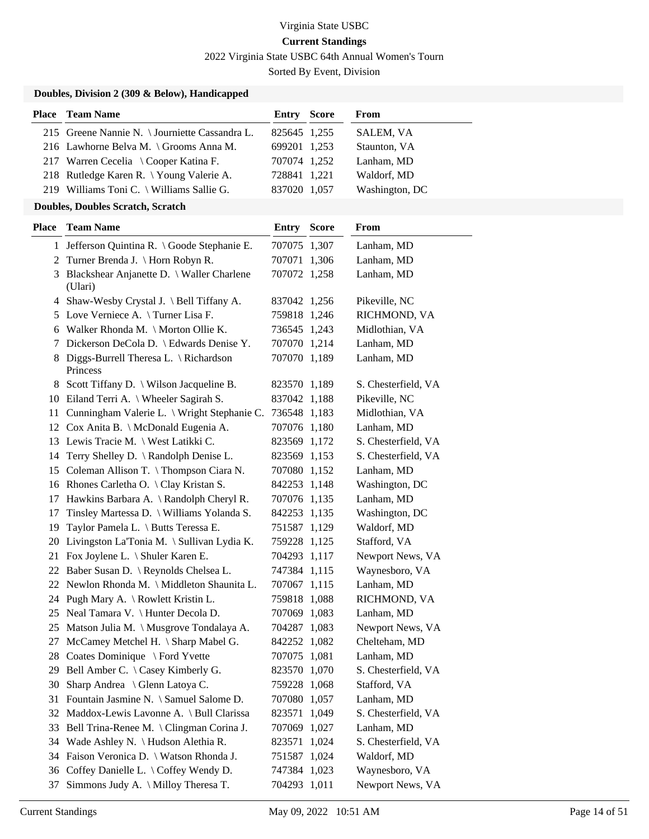2022 Virginia State USBC 64th Annual Women's Tourn

Sorted By Event, Division

#### **Doubles, Division 2 (309 & Below), Handicapped**

| <b>Place</b> Team Name                         | <b>Entry Score</b> | From           |
|------------------------------------------------|--------------------|----------------|
| 215 Greene Nannie N. \ Journiette Cassandra L. | 825645 1,255       | SALEM, VA      |
| 216 Lawhorne Belva M. \ Grooms Anna M.         | 699201 1,253       | Staunton, VA   |
| 217 Warren Cecelia \ Cooper Katina F.          | 707074 1,252       | Lanham, MD     |
| 218 Rutledge Karen R. \ Young Valerie A.       | 728841 1,221       | Waldorf, MD    |
| 219 Williams Toni C. \ Williams Sallie G.      | 837020 1,057       | Washington, DC |

#### **Doubles, Doubles Scratch, Scratch**

| Place | <b>Team Name</b>                                     | Entry        | <b>Score</b> | From                |
|-------|------------------------------------------------------|--------------|--------------|---------------------|
|       | 1 Jefferson Quintina R. \Goode Stephanie E.          | 707075 1,307 |              | Lanham, MD          |
| 2     | Turner Brenda J. \ Horn Robyn R.                     | 707071 1,306 |              | Lanham, MD          |
| 3     | Blackshear Anjanette D. \ Waller Charlene<br>(Ulari) | 707072 1,258 |              | Lanham, MD          |
|       | 4 Shaw-Wesby Crystal J. \ Bell Tiffany A.            | 837042 1,256 |              | Pikeville, NC       |
| 5     | Love Verniece A. \Turner Lisa F.                     | 759818 1,246 |              | RICHMOND, VA        |
| 6     | Walker Rhonda M. \ Morton Ollie K.                   | 736545 1,243 |              | Midlothian, VA      |
| 7     | Dickerson DeCola D. \ Edwards Denise Y.              | 707070 1,214 |              | Lanham, MD          |
| 8     | Diggs-Burrell Theresa L. \ Richardson<br>Princess    | 707070 1,189 |              | Lanham, MD          |
|       | 8 Scott Tiffany D. \ Wilson Jacqueline B.            | 823570 1,189 |              | S. Chesterfield, VA |
|       | 10 Eiland Terri A. \ Wheeler Sagirah S.              | 837042 1,188 |              | Pikeville, NC       |
|       | 11 Cunningham Valerie L. \ Wright Stephanie C.       | 736548 1,183 |              | Midlothian, VA      |
|       | 12 Cox Anita B. \ McDonald Eugenia A.                | 707076 1,180 |              | Lanham, MD          |
|       | 13 Lewis Tracie M. \ West Latikki C.                 | 823569 1,172 |              | S. Chesterfield, VA |
|       | 14 Terry Shelley D. \ Randolph Denise L.             | 823569 1,153 |              | S. Chesterfield, VA |
|       | 15 Coleman Allison T. \Thompson Ciara N.             | 707080 1,152 |              | Lanham, MD          |
|       | 16 Rhones Carletha O. \ Clay Kristan S.              | 842253 1,148 |              | Washington, DC      |
|       | 17 Hawkins Barbara A. \ Randolph Cheryl R.           | 707076 1,135 |              | Lanham, MD          |
| 17    | Tinsley Martessa D. \ Williams Yolanda S.            | 842253 1,135 |              | Washington, DC      |
| 19    | Taylor Pamela L. \ Butts Teressa E.                  | 751587 1,129 |              | Waldorf, MD         |
| 20    | Livingston La'Tonia M. \ Sullivan Lydia K.           | 759228 1,125 |              | Stafford, VA        |
| 21    | Fox Joylene L. \ Shuler Karen E.                     | 704293 1,117 |              | Newport News, VA    |
|       | 22 Baber Susan D. \ Reynolds Chelsea L.              | 747384 1,115 |              | Waynesboro, VA      |
|       | 22 Newlon Rhonda M. \ Middleton Shaunita L.          | 707067 1,115 |              | Lanham, MD          |
|       | 24 Pugh Mary A. \ Rowlett Kristin L.                 | 759818 1,088 |              | RICHMOND, VA        |
|       | 25 Neal Tamara V. \ Hunter Decola D.                 | 707069 1,083 |              | Lanham, MD          |
|       | 25 Matson Julia M. \ Musgrove Tondalaya A.           | 704287 1,083 |              | Newport News, VA    |
| 27    | McCamey Metchel H. \ Sharp Mabel G.                  | 842252 1,082 |              | Chelteham, MD       |
|       | 28 Coates Dominique \ Ford Yvette                    | 707075 1,081 |              | Lanham, MD          |
|       | 29 Bell Amber C. \ Casey Kimberly G.                 | 823570 1,070 |              | S. Chesterfield, VA |
|       | 30 Sharp Andrea \ Glenn Latoya C.                    | 759228 1,068 |              | Stafford, VA        |
|       | 31 Fountain Jasmine N. \ Samuel Salome D.            | 707080 1,057 |              | Lanham, MD          |
|       | 32 Maddox-Lewis Lavonne A. \ Bull Clarissa           | 823571       | 1,049        | S. Chesterfield, VA |
| 33    | Bell Trina-Renee M. \ Clingman Corina J.             | 707069 1,027 |              | Lanham, MD          |
| 34    | Wade Ashley N. \ Hudson Alethia R.                   | 823571 1,024 |              | S. Chesterfield, VA |
| 34    | Faison Veronica D. \ Watson Rhonda J.                | 751587 1,024 |              | Waldorf, MD         |
| 36    | Coffey Danielle L. \ Coffey Wendy D.                 | 747384 1,023 |              | Waynesboro, VA      |
| 37    | Simmons Judy A. \ Milloy Theresa T.                  | 704293 1,011 |              | Newport News, VA    |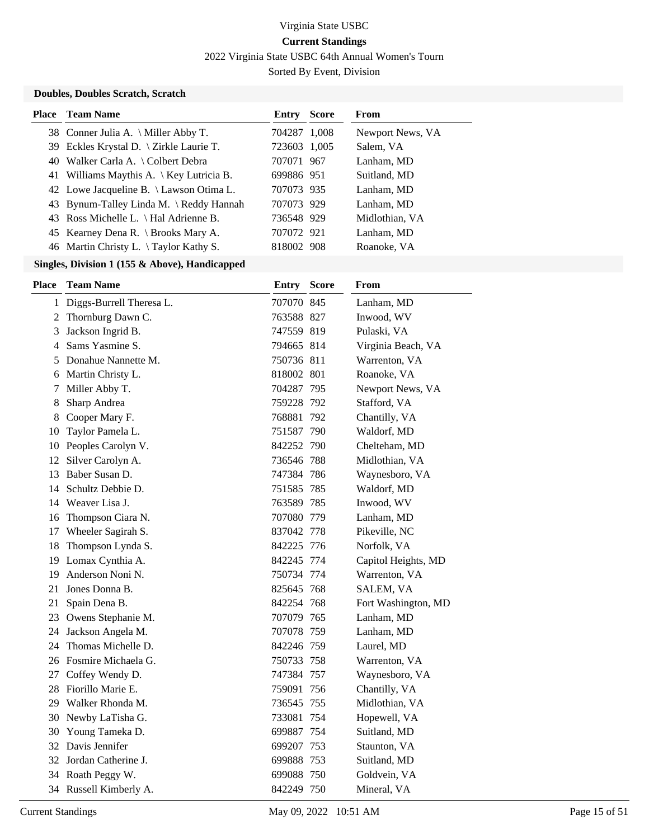2022 Virginia State USBC 64th Annual Women's Tourn

Sorted By Event, Division

#### **Doubles, Doubles Scratch, Scratch**

| <b>Place</b> Team Name                   | Entry        | <b>Score</b> | From             |
|------------------------------------------|--------------|--------------|------------------|
| 38 Conner Julia A. \ Miller Abby T.      | 704287 1,008 |              | Newport News, VA |
| 39 Eckles Krystal D. \ Zirkle Laurie T.  | 723603 1,005 |              | Salem, VA        |
| 40 Walker Carla A. \ Colbert Debra       | 707071 967   |              | Lanham, MD       |
| 41 Williams Maythis A. \ Key Lutricia B. | 699886 951   |              | Suitland, MD     |
| 42 Lowe Jacqueline B. \ Lawson Otima L.  | 707073 935   |              | Lanham, MD       |
| 43 Bynum-Talley Linda M. \ Reddy Hannah  | 707073 929   |              | Lanham, MD       |
| 43 Ross Michelle L. \ Hal Adrienne B.    | 736548 929   |              | Midlothian, VA   |
| 45 Kearney Dena R. \ Brooks Mary A.      | 707072 921   |              | Lanham, MD       |
| 46 Martin Christy L. \Taylor Kathy S.    | 818002 908   |              | Roanoke, VA      |

| Place | <b>Team Name</b>           | Entry      | <b>Score</b> | From                |
|-------|----------------------------|------------|--------------|---------------------|
|       | 1 Diggs-Burrell Theresa L. | 707070 845 |              | Lanham, MD          |
|       | 2 Thornburg Dawn C.        | 763588 827 |              | Inwood, WV          |
| 3     | Jackson Ingrid B.          | 747559 819 |              | Pulaski, VA         |
| 4     | Sams Yasmine S.            | 794665 814 |              | Virginia Beach, VA  |
| 5     | Donahue Nannette M.        | 750736 811 |              | Warrenton, VA       |
| 6     | Martin Christy L.          | 818002 801 |              | Roanoke, VA         |
| 7     | Miller Abby T.             | 704287 795 |              | Newport News, VA    |
| 8     | Sharp Andrea               | 759228 792 |              | Stafford, VA        |
| 8     | Cooper Mary F.             | 768881 792 |              | Chantilly, VA       |
| 10    | Taylor Pamela L.           | 751587 790 |              | Waldorf, MD         |
|       | 10 Peoples Carolyn V.      | 842252 790 |              | Chelteham, MD       |
| 12    | Silver Carolyn A.          | 736546 788 |              | Midlothian, VA      |
| 13    | Baber Susan D.             | 747384 786 |              | Waynesboro, VA      |
| 14    | Schultz Debbie D.          | 751585 785 |              | Waldorf, MD         |
| 14    | Weaver Lisa J.             | 763589 785 |              | Inwood, WV          |
| 16    | Thompson Ciara N.          | 707080 779 |              | Lanham, MD          |
| 17    | Wheeler Sagirah S.         | 837042 778 |              | Pikeville, NC       |
| 18    | Thompson Lynda S.          | 842225 776 |              | Norfolk, VA         |
|       | 19 Lomax Cynthia A.        | 842245 774 |              | Capitol Heights, MD |
| 19    | Anderson Noni N.           | 750734 774 |              | Warrenton, VA       |
|       | 21 Jones Donna B.          | 825645 768 |              | SALEM, VA           |
| 21    | Spain Dena B.              | 842254 768 |              | Fort Washington, MD |
| 23    | Owens Stephanie M.         | 707079 765 |              | Lanham, MD          |
| 24    | Jackson Angela M.          | 707078 759 |              | Lanham, MD          |
| 24    | Thomas Michelle D.         | 842246 759 |              | Laurel, MD          |
| 26    | Fosmire Michaela G.        | 750733 758 |              | Warrenton, VA       |
| 27    | Coffey Wendy D.            | 747384 757 |              | Waynesboro, VA      |
|       | 28 Fiorillo Marie E.       | 759091 756 |              | Chantilly, VA       |
|       | 29 Walker Rhonda M.        | 736545 755 |              | Midlothian, VA      |
|       | 30 Newby LaTisha G.        | 733081     | 754          | Hopewell, VA        |
| 30    | Young Tameka D.            | 699887 754 |              | Suitland, MD        |
|       | 32 Davis Jennifer          | 699207 753 |              | Staunton, VA        |
|       | 32 Jordan Catherine J.     | 699888 753 |              | Suitland, MD        |
|       | 34 Roath Peggy W.          | 699088 750 |              | Goldvein, VA        |
|       | 34 Russell Kimberly A.     | 842249 750 |              | Mineral, VA         |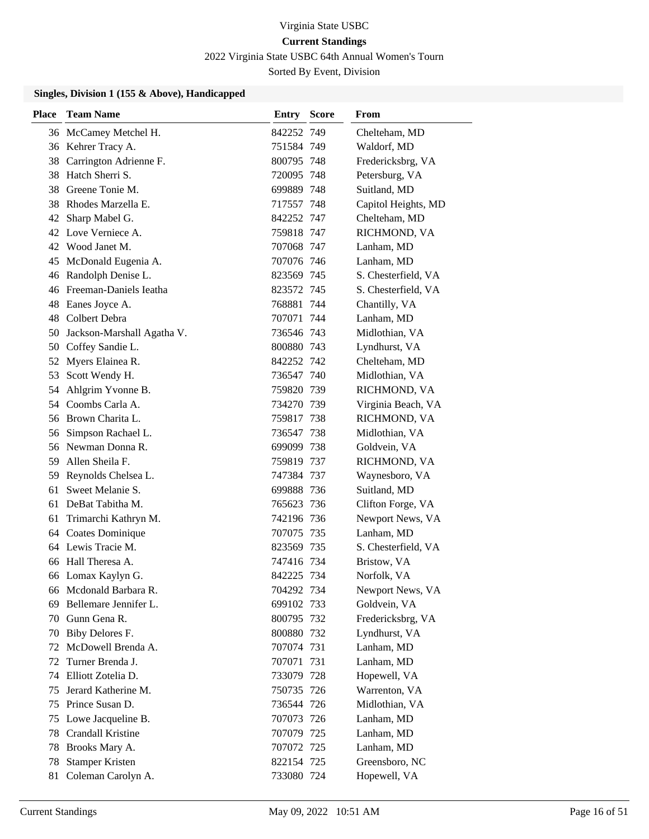2022 Virginia State USBC 64th Annual Women's Tourn

Sorted By Event, Division

| <b>Place</b> | <b>Team Name</b>              | <b>Entry Score</b> | From                |
|--------------|-------------------------------|--------------------|---------------------|
|              | 36 McCamey Metchel H.         | 842252 749         | Chelteham, MD       |
|              | 36 Kehrer Tracy A.            | 751584 749         | Waldorf, MD         |
|              | 38 Carrington Adrienne F.     | 800795 748         | Fredericksbrg, VA   |
|              | 38 Hatch Sherri S.            | 720095 748         | Petersburg, VA      |
|              | 38 Greene Tonie M.            | 699889 748         | Suitland, MD        |
|              | 38 Rhodes Marzella E.         | 717557 748         | Capitol Heights, MD |
|              | 42 Sharp Mabel G.             | 842252 747         | Chelteham, MD       |
|              | 42 Love Verniece A.           | 759818 747         | RICHMOND, VA        |
|              | 42 Wood Janet M.              | 707068 747         | Lanham, MD          |
|              | 45 McDonald Eugenia A.        | 707076 746         | Lanham, MD          |
|              | 46 Randolph Denise L.         | 823569 745         | S. Chesterfield, VA |
|              | 46 Freeman-Daniels Ieatha     | 823572 745         | S. Chesterfield, VA |
|              | 48 Eanes Joyce A.             | 768881 744         | Chantilly, VA       |
|              | 48 Colbert Debra              | 707071 744         | Lanham, MD          |
|              | 50 Jackson-Marshall Agatha V. | 736546 743         | Midlothian, VA      |
|              | 50 Coffey Sandie L.           | 800880 743         | Lyndhurst, VA       |
| 52           | Myers Elainea R.              | 842252 742         | Chelteham, MD       |
| 53           | Scott Wendy H.                | 736547 740         | Midlothian, VA      |
|              | 54 Ahlgrim Yvonne B.          | 759820 739         | RICHMOND, VA        |
|              | 54 Coombs Carla A.            | 734270 739         | Virginia Beach, VA  |
|              | 56 Brown Charita L.           | 759817 738         | RICHMOND, VA        |
|              | 56 Simpson Rachael L.         | 736547 738         | Midlothian, VA      |
|              | 56 Newman Donna R.            | 699099 738         | Goldvein, VA        |
| 59.          | Allen Sheila F.               | 759819 737         | RICHMOND, VA        |
| 59           | Reynolds Chelsea L.           | 747384 737         | Waynesboro, VA      |
| 61           | Sweet Melanie S.              | 699888 736         | Suitland, MD        |
|              | 61 DeBat Tabitha M.           | 765623 736         | Clifton Forge, VA   |
| 61           | Trimarchi Kathryn M.          | 742196 736         | Newport News, VA    |
|              | 64 Coates Dominique           | 707075 735         | Lanham, MD          |
|              | 64 Lewis Tracie M.            | 823569 735         | S. Chesterfield, VA |
|              | 66 Hall Theresa A.            | 747416 734         | Bristow, VA         |
|              | 66 Lomax Kaylyn G.            | 842225 734         | Norfolk, VA         |
|              | 66 Mcdonald Barbara R.        | 704292 734         | Newport News, VA    |
| 69           | Bellemare Jennifer L.         | 699102 733         | Goldvein, VA        |
|              | 70 Gunn Gena R.               | 800795 732         | Fredericksbrg, VA   |
| 70           | Biby Delores F.               | 800880 732         | Lyndhurst, VA       |
| 72           | McDowell Brenda A.            | 707074 731         | Lanham, MD          |
| 72           | Turner Brenda J.              | 707071 731         | Lanham, MD          |
| 74           | Elliott Zotelia D.            | 733079 728         | Hopewell, VA        |
| 75           | Jerard Katherine M.           | 750735 726         | Warrenton, VA       |
| 75           | Prince Susan D.               | 736544 726         | Midlothian, VA      |
| 75           | Lowe Jacqueline B.            | 707073 726         | Lanham, MD          |
| 78           | Crandall Kristine             | 707079 725         | Lanham, MD          |
| 78           | Brooks Mary A.                | 707072 725         | Lanham, MD          |
| 78           | <b>Stamper Kristen</b>        | 822154 725         | Greensboro, NC      |
| 81           | Coleman Carolyn A.            | 733080 724         | Hopewell, VA        |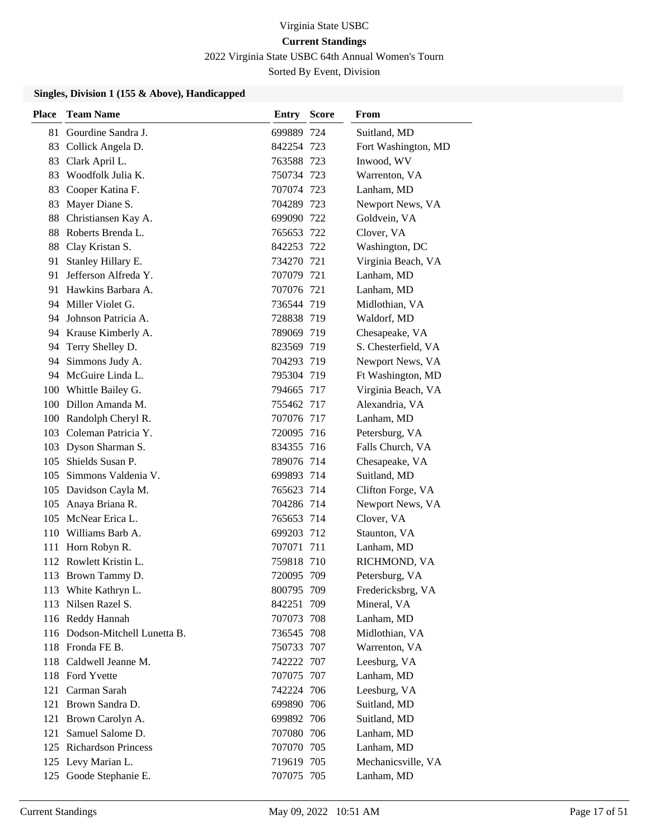2022 Virginia State USBC 64th Annual Women's Tourn

Sorted By Event, Division

| Place | <b>Team Name</b>               | Entry      | <b>Score</b> | From                |
|-------|--------------------------------|------------|--------------|---------------------|
| 81    | Gourdine Sandra J.             | 699889 724 |              | Suitland, MD        |
| 83    | Collick Angela D.              | 842254 723 |              | Fort Washington, MD |
| 83    | Clark April L.                 | 763588 723 |              | Inwood, WV          |
| 83    | Woodfolk Julia K.              | 750734 723 |              | Warrenton, VA       |
| 83    | Cooper Katina F.               | 707074 723 |              | Lanham, MD          |
| 83    | Mayer Diane S.                 | 704289 723 |              | Newport News, VA    |
|       | 88 Christiansen Kay A.         | 699090 722 |              | Goldvein, VA        |
| 88    | Roberts Brenda L.              | 765653 722 |              | Clover, VA          |
| 88    | Clay Kristan S.                | 842253 722 |              | Washington, DC      |
| 91    | Stanley Hillary E.             | 734270 721 |              | Virginia Beach, VA  |
|       | 91 Jefferson Alfreda Y.        | 707079 721 |              | Lanham, MD          |
|       | 91 Hawkins Barbara A.          | 707076 721 |              | Lanham, MD          |
|       | 94 Miller Violet G.            | 736544 719 |              | Midlothian, VA      |
|       | 94 Johnson Patricia A.         | 728838 719 |              | Waldorf, MD         |
|       | 94 Krause Kimberly A.          | 789069 719 |              | Chesapeake, VA      |
| 94    | Terry Shelley D.               | 823569 719 |              | S. Chesterfield, VA |
| 94    | Simmons Judy A.                | 704293 719 |              | Newport News, VA    |
|       | 94 McGuire Linda L.            | 795304 719 |              | Ft Washington, MD   |
|       | 100 Whittle Bailey G.          | 794665 717 |              | Virginia Beach, VA  |
|       | 100 Dillon Amanda M.           | 755462 717 |              | Alexandria, VA      |
|       | 100 Randolph Cheryl R.         | 707076 717 |              | Lanham, MD          |
|       | 103 Coleman Patricia Y.        | 720095 716 |              | Petersburg, VA      |
|       | 103 Dyson Sharman S.           | 834355 716 |              | Falls Church, VA    |
| 105   | Shields Susan P.               | 789076 714 |              | Chesapeake, VA      |
| 105   | Simmons Valdenia V.            | 699893 714 |              | Suitland, MD        |
|       | 105 Davidson Cayla M.          | 765623 714 |              | Clifton Forge, VA   |
| 105   | Anaya Briana R.                | 704286 714 |              | Newport News, VA    |
|       | 105 McNear Erica L.            | 765653 714 |              | Clover, VA          |
|       | 110 Williams Barb A.           | 699203 712 |              | Staunton, VA        |
|       | 111 Horn Robyn R.              | 707071 711 |              | Lanham, MD          |
|       | 112 Rowlett Kristin L.         | 759818 710 |              | RICHMOND, VA        |
| 113   | Brown Tammy D.                 | 720095 709 |              | Petersburg, VA      |
|       | 113 White Kathryn L.           | 800795 709 |              | Fredericksbrg, VA   |
|       | 113 Nilsen Razel S.            | 842251 709 |              | Mineral, VA         |
|       | 116 Reddy Hannah               | 707073 708 |              | Lanham, MD          |
|       | 116 Dodson-Mitchell Lunetta B. | 736545 708 |              | Midlothian, VA      |
|       | 118 Fronda FE B.               | 750733 707 |              | Warrenton, VA       |
|       | 118 Caldwell Jeanne M.         | 742222 707 |              | Leesburg, VA        |
|       | 118 Ford Yvette                | 707075 707 |              | Lanham, MD          |
|       | 121 Carman Sarah               | 742224 706 |              | Leesburg, VA        |
|       | 121 Brown Sandra D.            | 699890 706 |              | Suitland, MD        |
|       | 121 Brown Carolyn A.           | 699892 706 |              | Suitland, MD        |
| 121   | Samuel Salome D.               | 707080 706 |              | Lanham, MD          |
|       | 125 Richardson Princess        | 707070 705 |              | Lanham, MD          |
|       | 125 Levy Marian L.             | 719619 705 |              | Mechanicsville, VA  |
|       | 125 Goode Stephanie E.         | 707075 705 |              | Lanham, MD          |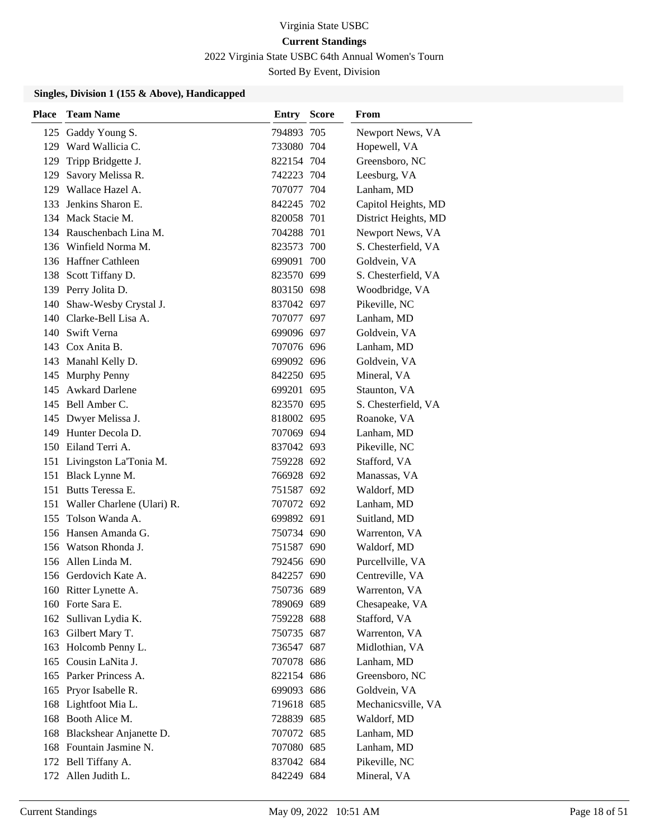2022 Virginia State USBC 64th Annual Women's Tourn

Sorted By Event, Division

| <b>Place</b> | <b>Team Name</b>               | <b>Entry Score</b> | From                 |
|--------------|--------------------------------|--------------------|----------------------|
| 125          | Gaddy Young S.                 | 794893 705         | Newport News, VA     |
|              | 129 Ward Wallicia C.           | 733080 704         | Hopewell, VA         |
| 129          | Tripp Bridgette J.             | 822154 704         | Greensboro, NC       |
| 129          | Savory Melissa R.              | 742223 704         | Leesburg, VA         |
|              | 129 Wallace Hazel A.           | 707077 704         | Lanham, MD           |
|              | 133 Jenkins Sharon E.          | 842245 702         | Capitol Heights, MD  |
|              | 134 Mack Stacie M.             | 820058 701         | District Heights, MD |
|              | 134 Rauschenbach Lina M.       | 704288 701         | Newport News, VA     |
|              | 136 Winfield Norma M.          | 823573 700         | S. Chesterfield, VA  |
|              | 136 Haffner Cathleen           | 699091 700         | Goldvein, VA         |
|              | 138 Scott Tiffany D.           | 823570 699         | S. Chesterfield, VA  |
|              | 139 Perry Jolita D.            | 803150 698         | Woodbridge, VA       |
|              | 140 Shaw-Wesby Crystal J.      | 837042 697         | Pikeville, NC        |
|              | 140 Clarke-Bell Lisa A.        | 707077 697         | Lanham, MD           |
|              | 140 Swift Verna                | 699096 697         | Goldvein, VA         |
|              | 143 Cox Anita B.               | 707076 696         | Lanham, MD           |
|              | 143 Manahl Kelly D.            | 699092 696         | Goldvein, VA         |
|              | 145 Murphy Penny               | 842250 695         | Mineral, VA          |
|              | 145 Awkard Darlene             | 699201 695         | Staunton, VA         |
|              | 145 Bell Amber C.              | 823570 695         | S. Chesterfield, VA  |
|              | 145 Dwyer Melissa J.           | 818002 695         | Roanoke, VA          |
|              | 149 Hunter Decola D.           | 707069 694         | Lanham, MD           |
|              | 150 Eiland Terri A.            | 837042 693         | Pikeville, NC        |
|              | 151 Livingston La'Tonia M.     | 759228 692         | Stafford, VA         |
|              | 151 Black Lynne M.             | 766928 692         | Manassas, VA         |
|              | 151 Butts Teressa E.           | 751587 692         | Waldorf, MD          |
|              | 151 Waller Charlene (Ulari) R. | 707072 692         | Lanham, MD           |
| 155          | Tolson Wanda A.                | 699892 691         | Suitland, MD         |
|              | 156 Hansen Amanda G.           | 750734 690         | Warrenton, VA        |
|              | 156 Watson Rhonda J.           | 751587 690         | Waldorf, MD          |
|              | 156 Allen Linda M.             | 792456 690         | Purcellville, VA     |
|              | 156 Gerdovich Kate A.          | 842257 690         | Centreville, VA      |
|              | 160 Ritter Lynette A.          | 750736 689         | Warrenton, VA        |
|              | 160 Forte Sara E.              | 789069 689         | Chesapeake, VA       |
|              | 162 Sullivan Lydia K.          | 759228 688         | Stafford, VA         |
|              | 163 Gilbert Mary T.            | 750735 687         | Warrenton, VA        |
|              | 163 Holcomb Penny L.           | 736547 687         | Midlothian, VA       |
|              | 165 Cousin LaNita J.           | 707078 686         | Lanham, MD           |
|              | 165 Parker Princess A.         | 822154 686         | Greensboro, NC       |
|              | 165 Pryor Isabelle R.          | 699093 686         | Goldvein, VA         |
|              | 168 Lightfoot Mia L.           | 719618 685         | Mechanicsville, VA   |
|              | 168 Booth Alice M.             | 728839 685         | Waldorf, MD          |
|              | 168 Blackshear Anjanette D.    | 707072 685         | Lanham, MD           |
|              | 168 Fountain Jasmine N.        | 707080 685         | Lanham, MD           |
|              | 172 Bell Tiffany A.            | 837042 684         | Pikeville, NC        |
|              | 172 Allen Judith L.            | 842249 684         | Mineral, VA          |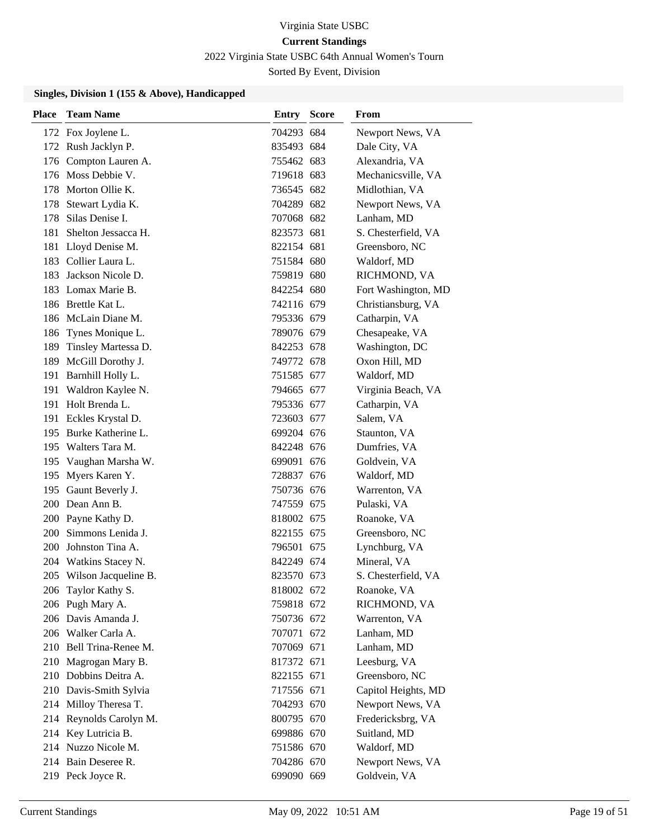2022 Virginia State USBC 64th Annual Women's Tourn

Sorted By Event, Division

| <b>Place</b> | <b>Team Name</b>                                | <b>Entry Score</b>       | From                                    |
|--------------|-------------------------------------------------|--------------------------|-----------------------------------------|
|              | 172 Fox Joylene L.                              | 704293 684               | Newport News, VA                        |
|              | 172 Rush Jacklyn P.                             | 835493 684               | Dale City, VA                           |
|              | 176 Compton Lauren A.                           | 755462 683               | Alexandria, VA                          |
|              | 176 Moss Debbie V.                              | 719618 683               | Mechanicsville, VA                      |
|              | 178 Morton Ollie K.                             | 736545 682               | Midlothian, VA                          |
|              | 178 Stewart Lydia K.                            | 704289 682               | Newport News, VA                        |
|              | 178 Silas Denise I.                             | 707068 682               | Lanham, MD                              |
| 181          | Shelton Jessacca H.                             | 823573 681               | S. Chesterfield, VA                     |
| 181          | Lloyd Denise M.                                 | 822154 681               | Greensboro, NC                          |
|              | 183 Collier Laura L.                            | 751584 680               | Waldorf, MD                             |
|              | 183 Jackson Nicole D.                           | 759819 680               | RICHMOND, VA                            |
|              | 183 Lomax Marie B.                              | 842254 680               | Fort Washington, MD                     |
|              | 186 Brettle Kat L.                              | 742116 679               | Christiansburg, VA                      |
|              | 186 McLain Diane M.                             | 795336 679               | Catharpin, VA                           |
|              | 186 Tynes Monique L.                            | 789076 679               | Chesapeake, VA                          |
|              | 189 Tinsley Martessa D.                         | 842253 678               | Washington, DC                          |
|              | 189 McGill Dorothy J.                           | 749772 678               | Oxon Hill, MD                           |
| 191          | Barnhill Holly L.                               | 751585 677               | Waldorf, MD                             |
|              | 191 Waldron Kaylee N.                           | 794665 677               | Virginia Beach, VA                      |
|              | 191 Holt Brenda L.                              | 795336 677               | Catharpin, VA                           |
|              | 191 Eckles Krystal D.                           | 723603 677               | Salem, VA                               |
|              | 195 Burke Katherine L.                          | 699204 676               | Staunton, VA                            |
|              | 195 Walters Tara M.                             | 842248 676               | Dumfries, VA                            |
|              | 195 Vaughan Marsha W.                           | 699091 676               | Goldvein, VA                            |
|              | 195 Myers Karen Y.                              | 728837 676               | Waldorf, MD                             |
|              | 195 Gaunt Beverly J.                            | 750736 676               | Warrenton, VA                           |
|              | 200 Dean Ann B.                                 | 747559 675               | Pulaski, VA                             |
|              | 200 Payne Kathy D.                              | 818002 675               | Roanoke, VA                             |
|              | 200 Simmons Lenida J.                           | 822155 675               | Greensboro, NC                          |
|              | 200 Johnston Tina A.                            | 796501 675               | Lynchburg, VA                           |
|              | 204 Watkins Stacey N.                           | 842249 674               | Mineral, VA                             |
|              | 205 Wilson Jacqueline B.                        | 823570 673               | S. Chesterfield, VA                     |
|              | 206 Taylor Kathy S.                             | 818002 672               | Roanoke, VA                             |
|              | 206 Pugh Mary A.                                | 759818 672               | RICHMOND, VA                            |
|              | 206 Davis Amanda J.                             | 750736 672               | Warrenton, VA                           |
|              | 206 Walker Carla A.<br>210 Bell Trina-Renee M.  | 707071 672               | Lanham, MD                              |
|              |                                                 | 707069 671               | Lanham, MD                              |
|              | 210 Magrogan Mary B.<br>210 Dobbins Deitra A.   | 817372 671               | Leesburg, VA                            |
|              |                                                 | 822155 671               | Greensboro, NC                          |
|              | 210 Davis-Smith Sylvia<br>214 Milloy Theresa T. | 717556 671<br>704293 670 | Capitol Heights, MD<br>Newport News, VA |
|              | 214 Reynolds Carolyn M.                         | 800795 670               | Fredericksbrg, VA                       |
|              | 214 Key Lutricia B.                             | 699886 670               | Suitland, MD                            |
|              | 214 Nuzzo Nicole M.                             | 751586 670               | Waldorf, MD                             |
|              | 214 Bain Deseree R.                             | 704286 670               | Newport News, VA                        |
|              | 219 Peck Joyce R.                               | 699090 669               | Goldvein, VA                            |
|              |                                                 |                          |                                         |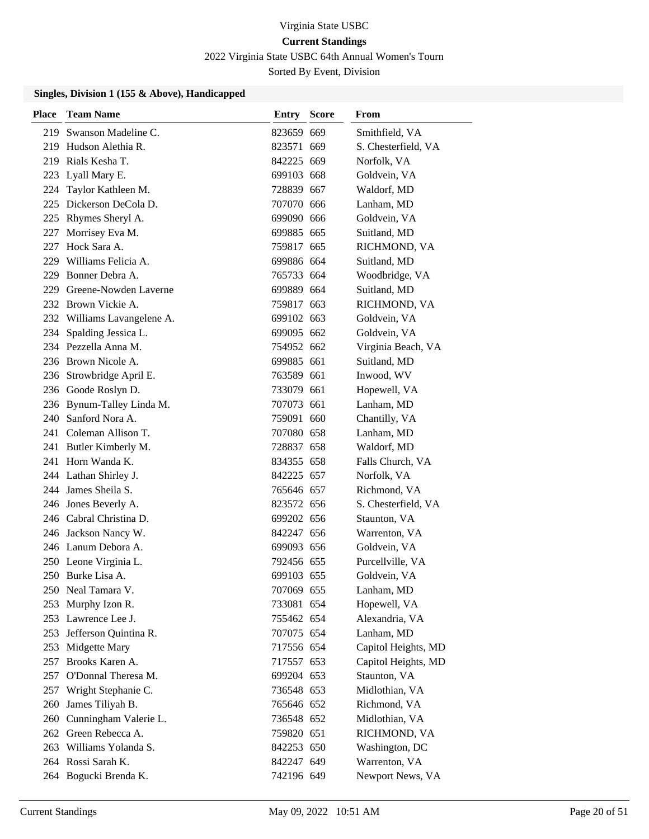2022 Virginia State USBC 64th Annual Women's Tourn

Sorted By Event, Division

| <b>Place</b> | <b>Team Name</b>            | <b>Entry Score</b> | From                |
|--------------|-----------------------------|--------------------|---------------------|
| 219          | Swanson Madeline C.         | 823659 669         | Smithfield, VA      |
| 219          | Hudson Alethia R.           | 823571 669         | S. Chesterfield, VA |
|              | 219 Rials Kesha T.          | 842225 669         | Norfolk, VA         |
| 223          | Lyall Mary E.               | 699103 668         | Goldvein, VA        |
| 224          | Taylor Kathleen M.          | 728839 667         | Waldorf, MD         |
| 225          | Dickerson DeCola D.         | 707070 666         | Lanham, MD          |
|              | 225 Rhymes Sheryl A.        | 699090 666         | Goldvein, VA        |
|              | 227 Morrisey Eva M.         | 699885 665         | Suitland, MD        |
| 227          | Hock Sara A.                | 759817 665         | RICHMOND, VA        |
| 229          | Williams Felicia A.         | 699886 664         | Suitland, MD        |
|              | 229 Bonner Debra A.         | 765733 664         | Woodbridge, VA      |
| 229          | Greene-Nowden Laverne       | 699889 664         | Suitland, MD        |
|              | 232 Brown Vickie A.         | 759817 663         | RICHMOND, VA        |
|              | 232 Williams Lavangelene A. | 699102 663         | Goldvein, VA        |
|              | 234 Spalding Jessica L.     | 699095 662         | Goldvein, VA        |
|              | 234 Pezzella Anna M.        | 754952 662         | Virginia Beach, VA  |
|              | 236 Brown Nicole A.         | 699885 661         | Suitland, MD        |
|              | 236 Strowbridge April E.    | 763589 661         | Inwood, WV          |
|              | 236 Goode Roslyn D.         | 733079 661         | Hopewell, VA        |
|              | 236 Bynum-Talley Linda M.   | 707073 661         | Lanham, MD          |
|              | 240 Sanford Nora A.         | 759091 660         | Chantilly, VA       |
|              | 241 Coleman Allison T.      | 707080 658         | Lanham, MD          |
|              | 241 Butler Kimberly M.      | 728837 658         | Waldorf, MD         |
|              | 241 Horn Wanda K.           | 834355 658         | Falls Church, VA    |
|              | 244 Lathan Shirley J.       | 842225 657         | Norfolk, VA         |
|              | 244 James Sheila S.         | 765646 657         | Richmond, VA        |
|              | 246 Jones Beverly A.        | 823572 656         | S. Chesterfield, VA |
|              | 246 Cabral Christina D.     | 699202 656         | Staunton, VA        |
|              | 246 Jackson Nancy W.        | 842247 656         | Warrenton, VA       |
|              | 246 Lanum Debora A.         | 699093 656         | Goldvein, VA        |
|              | 250 Leone Virginia L.       | 792456 655         | Purcellville, VA    |
|              | 250 Burke Lisa A.           | 699103 655         | Goldvein, VA        |
|              | 250 Neal Tamara V.          | 707069 655         | Lanham, MD          |
| 253          | Murphy Izon R.              | 733081 654         | Hopewell, VA        |
|              | 253 Lawrence Lee J.         | 755462 654         | Alexandria, VA      |
|              | 253 Jefferson Quintina R.   | 707075 654         | Lanham, MD          |
| 253          | Midgette Mary               | 717556 654         | Capitol Heights, MD |
| 257          | Brooks Karen A.             | 717557 653         | Capitol Heights, MD |
| 257          | O'Donnal Theresa M.         | 699204 653         | Staunton, VA        |
|              | 257 Wright Stephanie C.     | 736548 653         | Midlothian, VA      |
| 260          | James Tiliyah B.            | 765646 652         | Richmond, VA        |
| 260          | Cunningham Valerie L.       | 736548 652         | Midlothian, VA      |
|              | 262 Green Rebecca A.        | 759820 651         | RICHMOND, VA        |
|              | 263 Williams Yolanda S.     | 842253 650         | Washington, DC      |
|              | 264 Rossi Sarah K.          | 842247 649         | Warrenton, VA       |
|              | 264 Bogucki Brenda K.       | 742196 649         | Newport News, VA    |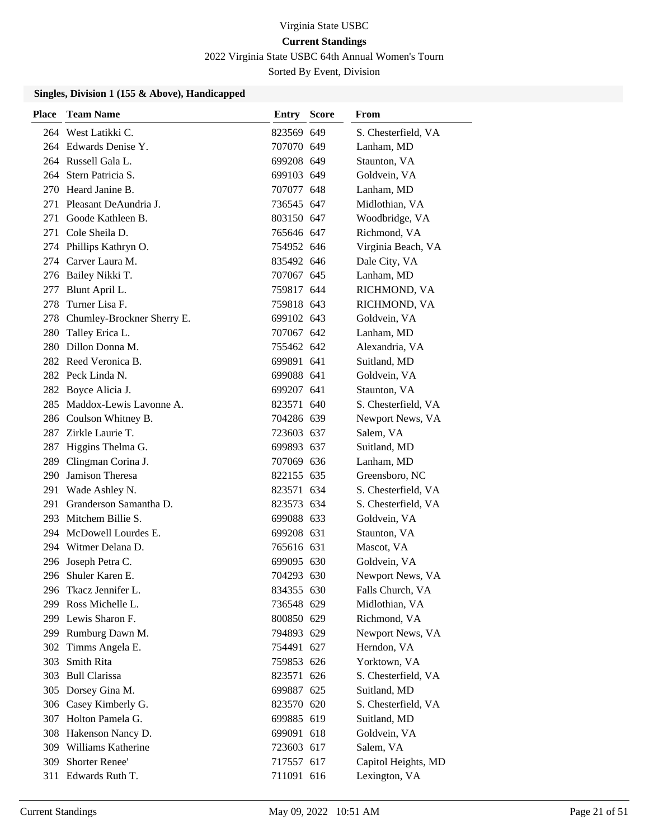2022 Virginia State USBC 64th Annual Women's Tourn

Sorted By Event, Division

| <b>Place</b> | <b>Team Name</b>            | <b>Entry Score</b> | From                |
|--------------|-----------------------------|--------------------|---------------------|
|              | 264 West Latikki C.         | 823569 649         | S. Chesterfield, VA |
|              | 264 Edwards Denise Y.       | 707070 649         | Lanham, MD          |
|              | 264 Russell Gala L.         | 699208 649         | Staunton, VA        |
|              | 264 Stern Patricia S.       | 699103 649         | Goldvein, VA        |
|              | 270 Heard Janine B.         | 707077 648         | Lanham, MD          |
| 271          | Pleasant DeAundria J.       | 736545 647         | Midlothian, VA      |
| 271          | Goode Kathleen B.           | 803150 647         | Woodbridge, VA      |
|              | 271 Cole Sheila D.          | 765646 647         | Richmond, VA        |
|              | 274 Phillips Kathryn O.     | 754952 646         | Virginia Beach, VA  |
|              | 274 Carver Laura M.         | 835492 646         | Dale City, VA       |
|              | 276 Bailey Nikki T.         | 707067 645         | Lanham, MD          |
| 277          | Blunt April L.              | 759817 644         | RICHMOND, VA        |
| 278          | Turner Lisa F.              | 759818 643         | RICHMOND, VA        |
| 278          | Chumley-Brockner Sherry E.  | 699102 643         | Goldvein, VA        |
|              | 280 Talley Erica L.         | 707067 642         | Lanham, MD          |
|              | 280 Dillon Donna M.         | 755462 642         | Alexandria, VA      |
|              | 282 Reed Veronica B.        | 699891 641         | Suitland, MD        |
|              | 282 Peck Linda N.           | 699088 641         | Goldvein, VA        |
|              | 282 Boyce Alicia J.         | 699207 641         | Staunton, VA        |
|              | 285 Maddox-Lewis Lavonne A. | 823571 640         | S. Chesterfield, VA |
|              | 286 Coulson Whitney B.      | 704286 639         | Newport News, VA    |
| 287          | Zirkle Laurie T.            | 723603 637         | Salem, VA           |
|              | 287 Higgins Thelma G.       | 699893 637         | Suitland, MD        |
| 289          | Clingman Corina J.          | 707069 636         | Lanham, MD          |
| 290          | Jamison Theresa             | 822155 635         | Greensboro, NC      |
| 291          | Wade Ashley N.              | 823571 634         | S. Chesterfield, VA |
| 291          | Granderson Samantha D.      | 823573 634         | S. Chesterfield, VA |
|              | 293 Mitchem Billie S.       | 699088 633         | Goldvein, VA        |
| 294          | McDowell Lourdes E.         | 699208 631         | Staunton, VA        |
| 294          | Witmer Delana D.            | 765616 631         | Mascot, VA          |
| 296          | Joseph Petra C.             | 699095 630         | Goldvein, VA        |
| 296          | Shuler Karen E.             | 704293 630         | Newport News, VA    |
|              | 296 Tkacz Jennifer L.       | 834355 630         | Falls Church, VA    |
| 299          | Ross Michelle L.            | 736548 629         | Midlothian, VA      |
|              | 299 Lewis Sharon F.         | 800850 629         | Richmond, VA        |
|              | 299 Rumburg Dawn M.         | 794893 629         | Newport News, VA    |
|              | 302 Timms Angela E.         | 754491 627         | Herndon, VA         |
| 303          | Smith Rita                  | 759853 626         | Yorktown, VA        |
| 303          | <b>Bull Clarissa</b>        | 823571 626         | S. Chesterfield, VA |
|              | 305 Dorsey Gina M.          | 699887 625         | Suitland, MD        |
|              | 306 Casey Kimberly G.       | 823570 620         | S. Chesterfield, VA |
|              | 307 Holton Pamela G.        | 699885 619         | Suitland, MD        |
|              | 308 Hakenson Nancy D.       | 699091 618         | Goldvein, VA        |
|              | 309 Williams Katherine      | 723603 617         | Salem, VA           |
| 309          | Shorter Renee'              | 717557 617         | Capitol Heights, MD |
|              | 311 Edwards Ruth T.         | 711091 616         | Lexington, VA       |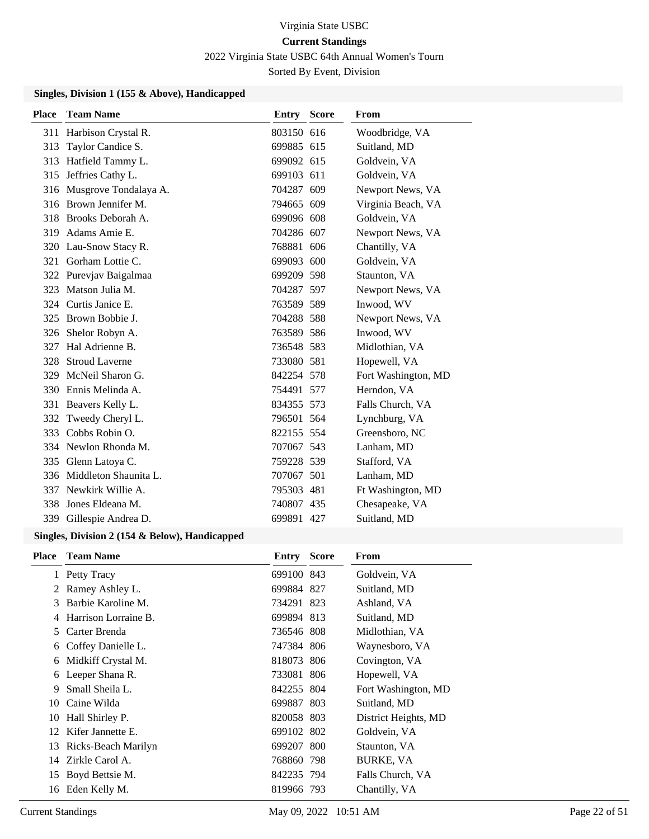2022 Virginia State USBC 64th Annual Women's Tourn Sorted By Event, Division

**Singles, Division 1 (155 & Above), Handicapped**

| <b>Place</b> | <b>Team Name</b>          | <b>Entry Score</b> | From                |
|--------------|---------------------------|--------------------|---------------------|
|              | 311 Harbison Crystal R.   | 803150 616         | Woodbridge, VA      |
| 313          | Taylor Candice S.         | 699885 615         | Suitland, MD        |
| 313          | Hatfield Tammy L.         | 699092 615         | Goldvein, VA        |
|              | 315 Jeffries Cathy L.     | 699103 611         | Goldvein, VA        |
|              | 316 Musgrove Tondalaya A. | 704287 609         | Newport News, VA    |
|              | 316 Brown Jennifer M.     | 794665 609         | Virginia Beach, VA  |
| 318          | Brooks Deborah A.         | 699096 608         | Goldvein, VA        |
| 319          | Adams Amie E.             | 704286 607         | Newport News, VA    |
| 320          | Lau-Snow Stacy R.         | 768881 606         | Chantilly, VA       |
| 321          | Gorham Lottie C.          | 699093 600         | Goldvein, VA        |
| 322          | Purevjav Baigalmaa        | 699209 598         | Staunton, VA        |
| 323          | Matson Julia M.           | 704287 597         | Newport News, VA    |
|              | 324 Curtis Janice E.      | 763589 589         | Inwood, WV          |
| 325          | Brown Bobbie J.           | 704288 588         | Newport News, VA    |
| 326          | Shelor Robyn A.           | 763589 586         | Inwood, WV          |
| 327          | Hal Adrienne B.           | 736548 583         | Midlothian, VA      |
| 328          | <b>Stroud Laverne</b>     | 733080 581         | Hopewell, VA        |
| 329          | McNeil Sharon G.          | 842254 578         | Fort Washington, MD |
| 330          | Ennis Melinda A.          | 754491 577         | Herndon, VA         |
| 331          | Beavers Kelly L.          | 834355 573         | Falls Church, VA    |
| 332          | Tweedy Cheryl L.          | 796501 564         | Lynchburg, VA       |
| 333          | Cobbs Robin O.            | 822155 554         | Greensboro, NC      |
| 334          | Newlon Rhonda M.          | 707067 543         | Lanham, MD          |
| 335          | Glenn Latoya C.           | 759228 539         | Stafford, VA        |
| 336          | Middleton Shaunita L.     | 707067 501         | Lanham, MD          |
| 337          | Newkirk Willie A.         | 795303 481         | Ft Washington, MD   |
| 338          | Jones Eldeana M.          | 740807 435         | Chesapeake, VA      |
|              | 339 Gillespie Andrea D.   | 699891 427         | Suitland, MD        |

| <b>Place</b> | <b>Team Name</b>     | <b>Entry Score</b> | From                 |
|--------------|----------------------|--------------------|----------------------|
|              | 1 Petty Tracy        | 699100 843         | Goldvein, VA         |
| 2            | Ramey Ashley L.      | 699884 827         | Suitland, MD         |
| 3            | Barbie Karoline M.   | 734291 823         | Ashland, VA          |
|              | Harrison Lorraine B. | 699894 813         | Suitland, MD         |
| 5.           | Carter Brenda        | 736546 808         | Midlothian, VA       |
| 6            | Coffey Danielle L.   | 747384 806         | Waynesboro, VA       |
| 6            | Midkiff Crystal M.   | 818073 806         | Covington, VA        |
| 6            | Leeper Shana R.      | 733081 806         | Hopewell, VA         |
| 9            | Small Sheila L.      | 842255 804         | Fort Washington, MD  |
| 10           | Caine Wilda          | 699887 803         | Suitland, MD         |
|              | 10 Hall Shirley P.   | 820058 803         | District Heights, MD |
|              | 12 Kifer Jannette E. | 699102 802         | Goldvein, VA         |
| 13           | Ricks-Beach Marilyn  | 699207 800         | Staunton, VA         |
|              | 14 Zirkle Carol A.   | 768860 798         | BURKE, VA            |
|              | 15 Boyd Bettsie M.   | 842235 794         | Falls Church, VA     |
|              | 16 Eden Kelly M.     | 819966 793         | Chantilly, VA        |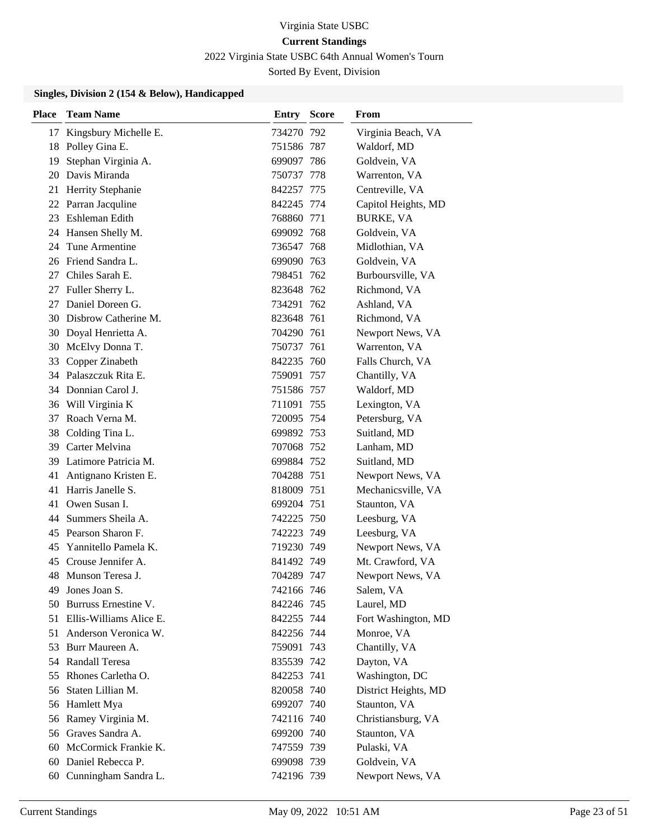2022 Virginia State USBC 64th Annual Women's Tourn Sorted By Event, Division

| <b>Place</b> | <b>Team Name</b>           | Entry      | <b>Score</b> | From                 |
|--------------|----------------------------|------------|--------------|----------------------|
| 17           | Kingsbury Michelle E.      | 734270 792 |              | Virginia Beach, VA   |
| 18           | Polley Gina E.             | 751586 787 |              | Waldorf, MD          |
| 19           | Stephan Virginia A.        | 699097 786 |              | Goldvein, VA         |
| 20           | Davis Miranda              | 750737 778 |              | Warrenton, VA        |
| 21           | Herrity Stephanie          | 842257 775 |              | Centreville, VA      |
| 22           | Parran Jacquline           | 842245 774 |              | Capitol Heights, MD  |
| 23           | Eshleman Edith             | 768860 771 |              | <b>BURKE, VA</b>     |
|              | 24 Hansen Shelly M.        | 699092 768 |              | Goldvein, VA         |
| 24           | Tune Armentine             | 736547 768 |              | Midlothian, VA       |
| 26           | Friend Sandra L.           | 699090 763 |              | Goldvein, VA         |
| 27           | Chiles Sarah E.            | 798451     | 762          | Burboursville, VA    |
| 27           | Fuller Sherry L.           | 823648 762 |              | Richmond, VA         |
| 27           | Daniel Doreen G.           | 734291 762 |              | Ashland, VA          |
|              | 30 Disbrow Catherine M.    | 823648 761 |              | Richmond, VA         |
| 30           | Doyal Henrietta A.         | 704290 761 |              | Newport News, VA     |
| 30           | McElvy Donna T.            | 750737 761 |              | Warrenton, VA        |
| 33           | Copper Zinabeth            | 842235 760 |              | Falls Church, VA     |
|              | 34 Palaszczuk Rita E.      | 759091 757 |              | Chantilly, VA        |
|              | 34 Donnian Carol J.        | 751586 757 |              | Waldorf, MD          |
|              | 36 Will Virginia K         | 711091 755 |              | Lexington, VA        |
| 37           | Roach Verna M.             | 720095 754 |              | Petersburg, VA       |
| 38           | Colding Tina L.            | 699892 753 |              | Suitland, MD         |
| 39           | Carter Melvina             | 707068 752 |              | Lanham, MD           |
| 39.          | Latimore Patricia M.       | 699884 752 |              | Suitland, MD         |
| 41           | Antignano Kristen E.       | 704288 751 |              | Newport News, VA     |
| 41           | Harris Janelle S.          | 818009 751 |              | Mechanicsville, VA   |
| 41           | Owen Susan I.              | 699204 751 |              | Staunton, VA         |
|              | 44 Summers Sheila A.       | 742225 750 |              | Leesburg, VA         |
| 45           | Pearson Sharon F.          | 742223 749 |              | Leesburg, VA         |
| 45           | Yannitello Pamela K.       | 719230 749 |              | Newport News, VA     |
| 45           | Crouse Jennifer A.         | 841492 749 |              | Mt. Crawford, VA     |
|              | 48 Munson Teresa J.        | 704289 747 |              | Newport News, VA     |
| 49           | Jones Joan S.              | 742166 746 |              | Salem, VA            |
|              | 50 Burruss Ernestine V.    | 842246 745 |              | Laurel, MD           |
|              | 51 Ellis-Williams Alice E. | 842255 744 |              | Fort Washington, MD  |
|              | 51 Anderson Veronica W.    | 842256 744 |              | Monroe, VA           |
| 53           | Burr Maureen A.            | 759091 743 |              | Chantilly, VA        |
|              | 54 Randall Teresa          | 835539 742 |              | Dayton, VA           |
| 55           | Rhones Carletha O.         | 842253 741 |              | Washington, DC       |
| 56           | Staten Lillian M.          | 820058 740 |              | District Heights, MD |
| 56           | Hamlett Mya                | 699207 740 |              | Staunton, VA         |
| 56           | Ramey Virginia M.          | 742116 740 |              | Christiansburg, VA   |
|              | 56 Graves Sandra A.        | 699200 740 |              | Staunton, VA         |
| 60           | McCormick Frankie K.       | 747559 739 |              | Pulaski, VA          |
| 60           | Daniel Rebecca P.          | 699098 739 |              | Goldvein, VA         |
|              | 60 Cunningham Sandra L.    | 742196 739 |              | Newport News, VA     |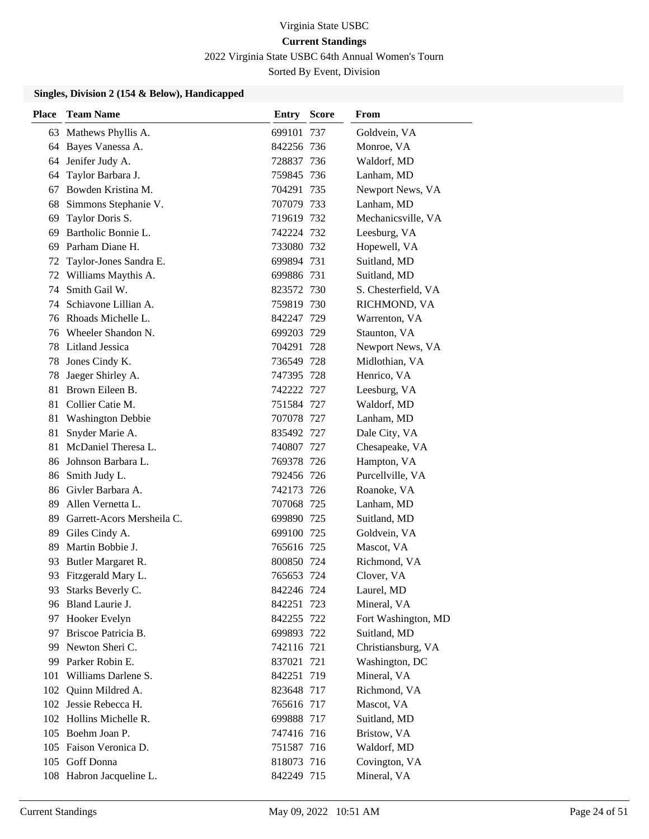2022 Virginia State USBC 64th Annual Women's Tourn

Sorted By Event, Division

| <b>Place</b> | <b>Team Name</b>           | Entry      | <b>Score</b> | From                |
|--------------|----------------------------|------------|--------------|---------------------|
| 63           | Mathews Phyllis A.         | 699101 737 |              | Goldvein, VA        |
| 64           | Bayes Vanessa A.           | 842256 736 |              | Monroe, VA          |
|              | 64 Jenifer Judy A.         | 728837 736 |              | Waldorf, MD         |
| 64           | Taylor Barbara J.          | 759845 736 |              | Lanham, MD          |
| 67           | Bowden Kristina M.         | 704291 735 |              | Newport News, VA    |
| 68           | Simmons Stephanie V.       | 707079 733 |              | Lanham, MD          |
| 69           | Taylor Doris S.            | 719619 732 |              | Mechanicsville, VA  |
| 69           | Bartholic Bonnie L.        | 742224 732 |              | Leesburg, VA        |
| 69           | Parham Diane H.            | 733080 732 |              | Hopewell, VA        |
| 72           | Taylor-Jones Sandra E.     | 699894 731 |              | Suitland, MD        |
| 72           | Williams Maythis A.        | 699886 731 |              | Suitland, MD        |
| 74           | Smith Gail W.              | 823572 730 |              | S. Chesterfield, VA |
| 74           | Schiavone Lillian A.       | 759819 730 |              | RICHMOND, VA        |
|              | 76 Rhoads Michelle L.      | 842247 729 |              | Warrenton, VA       |
|              | 76 Wheeler Shandon N.      | 699203 729 |              | Staunton, VA        |
| 78           | Litland Jessica            | 704291 728 |              | Newport News, VA    |
| 78           | Jones Cindy K.             | 736549 728 |              | Midlothian, VA      |
| 78           | Jaeger Shirley A.          | 747395 728 |              | Henrico, VA         |
|              | 81 Brown Eileen B.         | 742222 727 |              | Leesburg, VA        |
| 81           | Collier Catie M.           | 751584 727 |              | Waldorf, MD         |
| 81           | <b>Washington Debbie</b>   | 707078 727 |              | Lanham, MD          |
| 81           | Snyder Marie A.            | 835492 727 |              | Dale City, VA       |
| 81           | McDaniel Theresa L.        | 740807 727 |              | Chesapeake, VA      |
| 86           | Johnson Barbara L.         | 769378 726 |              | Hampton, VA         |
| 86           | Smith Judy L.              | 792456 726 |              | Purcellville, VA    |
| 86           | Givler Barbara A.          | 742173 726 |              | Roanoke, VA         |
|              | 89 Allen Vernetta L.       | 707068 725 |              | Lanham, MD          |
| 89           | Garrett-Acors Mersheila C. | 699890 725 |              | Suitland, MD        |
| 89           | Giles Cindy A.             | 699100 725 |              | Goldvein, VA        |
| 89           | Martin Bobbie J.           | 765616 725 |              | Mascot, VA          |
| 93.          | Butler Margaret R.         | 800850 724 |              | Richmond, VA        |
| 93           | Fitzgerald Mary L.         | 765653     | 724          | Clover, VA          |
|              | 93 Starks Beverly C.       | 842246 724 |              | Laurel, MD          |
|              | 96 Bland Laurie J.         | 842251 723 |              | Mineral, VA         |
|              | 97 Hooker Evelyn           | 842255 722 |              | Fort Washington, MD |
| 97           | Briscoe Patricia B.        | 699893 722 |              | Suitland, MD        |
| 99.          | Newton Sheri C.            | 742116 721 |              | Christiansburg, VA  |
| 99           | Parker Robin E.            | 837021 721 |              | Washington, DC      |
| 101          | Williams Darlene S.        | 842251 719 |              | Mineral, VA         |
|              | 102 Quinn Mildred A.       | 823648 717 |              | Richmond, VA        |
|              | 102 Jessie Rebecca H.      | 765616 717 |              | Mascot, VA          |
|              | 102 Hollins Michelle R.    | 699888 717 |              | Suitland, MD        |
|              | 105 Boehm Joan P.          | 747416 716 |              | Bristow, VA         |
|              | 105 Faison Veronica D.     | 751587 716 |              | Waldorf, MD         |
|              | 105 Goff Donna             | 818073 716 |              | Covington, VA       |
|              | 108 Habron Jacqueline L.   | 842249 715 |              | Mineral, VA         |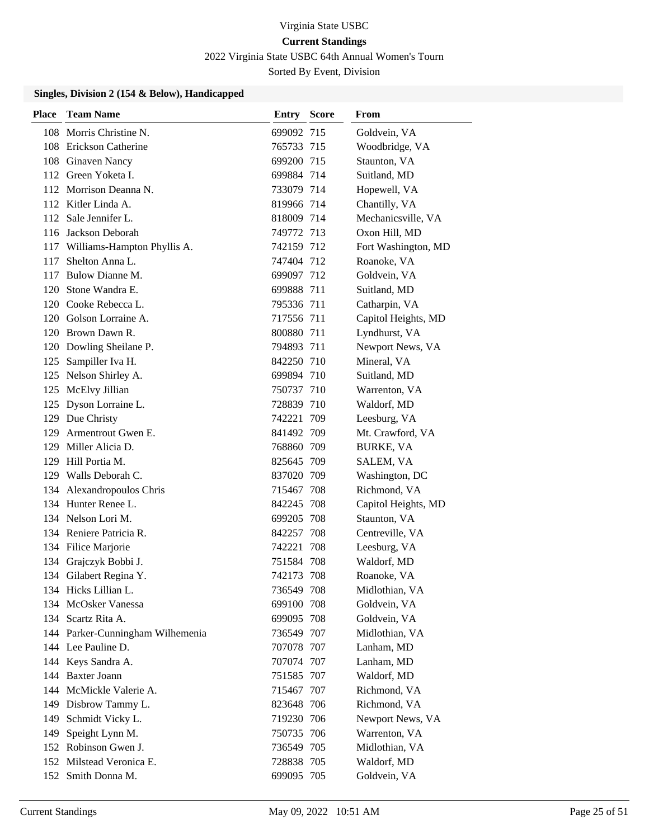2022 Virginia State USBC 64th Annual Women's Tourn

Sorted By Event, Division

| <b>Place</b> | <b>Team Name</b>                 | <b>Entry Score</b> |     | From                |
|--------------|----------------------------------|--------------------|-----|---------------------|
|              | 108 Morris Christine N.          | 699092 715         |     | Goldvein, VA        |
|              | 108 Erickson Catherine           | 765733 715         |     | Woodbridge, VA      |
|              | 108 Ginaven Nancy                | 699200 715         |     | Staunton, VA        |
|              | 112 Green Yoketa I.              | 699884 714         |     | Suitland, MD        |
|              | 112 Morrison Deanna N.           | 733079 714         |     | Hopewell, VA        |
|              | 112 Kitler Linda A.              | 819966 714         |     | Chantilly, VA       |
|              | 112 Sale Jennifer L.             | 818009 714         |     | Mechanicsville, VA  |
|              | 116 Jackson Deborah              | 749772 713         |     | Oxon Hill, MD       |
|              | 117 Williams-Hampton Phyllis A.  | 742159 712         |     | Fort Washington, MD |
|              | 117 Shelton Anna L.              | 747404 712         |     | Roanoke, VA         |
|              | 117 Bulow Dianne M.              | 699097 712         |     | Goldvein, VA        |
|              | 120 Stone Wandra E.              | 699888 711         |     | Suitland, MD        |
|              | 120 Cooke Rebecca L.             | 795336 711         |     | Catharpin, VA       |
|              | 120 Golson Lorraine A.           | 717556 711         |     | Capitol Heights, MD |
|              | 120 Brown Dawn R.                | 800880 711         |     | Lyndhurst, VA       |
|              | 120 Dowling Sheilane P.          | 794893 711         |     | Newport News, VA    |
|              | 125 Sampiller Iva H.             | 842250 710         |     | Mineral, VA         |
|              | 125 Nelson Shirley A.            | 699894 710         |     | Suitland, MD        |
|              | 125 McElvy Jillian               | 750737 710         |     | Warrenton, VA       |
|              | 125 Dyson Lorraine L.            | 728839 710         |     | Waldorf, MD         |
|              | 129 Due Christy                  | 742221 709         |     | Leesburg, VA        |
|              | 129 Armentrout Gwen E.           | 841492 709         |     | Mt. Crawford, VA    |
|              | 129 Miller Alicia D.             | 768860 709         |     | BURKE, VA           |
|              | 129 Hill Portia M.               | 825645 709         |     | SALEM, VA           |
|              | 129 Walls Deborah C.             | 837020 709         |     | Washington, DC      |
|              | 134 Alexandropoulos Chris        | 715467 708         |     | Richmond, VA        |
|              | 134 Hunter Renee L.              | 842245 708         |     | Capitol Heights, MD |
|              | 134 Nelson Lori M.               | 699205 708         |     | Staunton, VA        |
|              | 134 Reniere Patricia R.          | 842257 708         |     | Centreville, VA     |
|              | 134 Filice Marjorie              | 742221 708         |     | Leesburg, VA        |
|              | 134 Grajczyk Bobbi J.            | 751584 708         |     | Waldorf, MD         |
|              | 134 Gilabert Regina Y.           | 742173             | 708 | Roanoke, VA         |
|              | 134 Hicks Lillian L.             | 736549 708         |     | Midlothian, VA      |
|              | 134 McOsker Vanessa              | 699100 708         |     | Goldvein, VA        |
|              | 134 Scartz Rita A.               | 699095 708         |     | Goldvein, VA        |
|              | 144 Parker-Cunningham Wilhemenia | 736549 707         |     | Midlothian, VA      |
|              | 144 Lee Pauline D.               | 707078 707         |     | Lanham, MD          |
|              | 144 Keys Sandra A.               | 707074 707         |     | Lanham, MD          |
|              | 144 Baxter Joann                 | 751585 707         |     | Waldorf, MD         |
|              | 144 McMickle Valerie A.          | 715467 707         |     | Richmond, VA        |
|              | 149 Disbrow Tammy L.             | 823648 706         |     | Richmond, VA        |
|              | 149 Schmidt Vicky L.             | 719230 706         |     | Newport News, VA    |
|              | 149 Speight Lynn M.              | 750735 706         |     | Warrenton, VA       |
|              | 152 Robinson Gwen J.             | 736549 705         |     | Midlothian, VA      |
|              | 152 Milstead Veronica E.         | 728838 705         |     | Waldorf, MD         |
|              | 152 Smith Donna M.               | 699095 705         |     | Goldvein, VA        |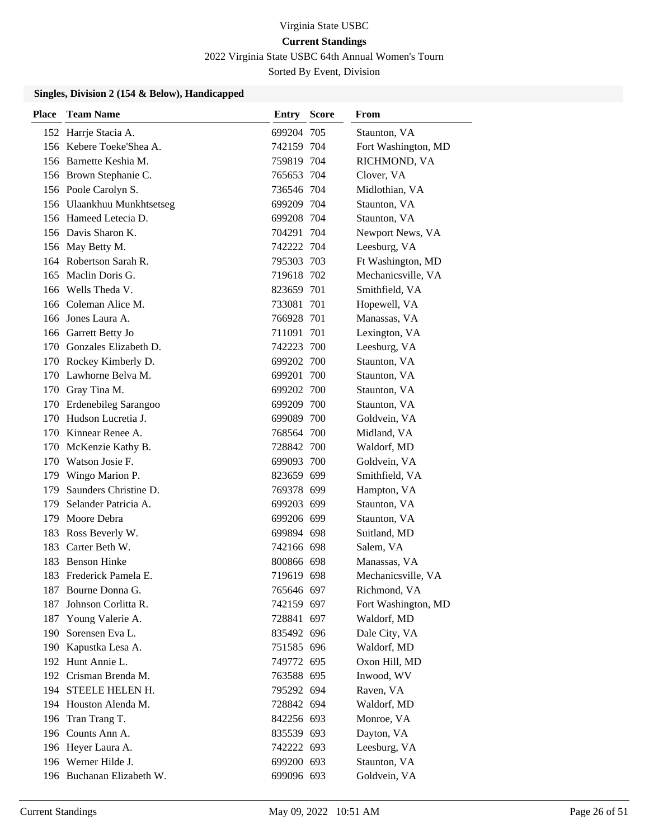2022 Virginia State USBC 64th Annual Women's Tourn

Sorted By Event, Division

| <b>Place</b> | <b>Team Name</b>           | Entry      | <b>Score</b> | From                |
|--------------|----------------------------|------------|--------------|---------------------|
|              | 152 Harrje Stacia A.       | 699204 705 |              | Staunton, VA        |
|              | 156 Kebere Toeke'Shea A.   | 742159 704 |              | Fort Washington, MD |
|              | 156 Barnette Keshia M.     | 759819 704 |              | RICHMOND, VA        |
|              | 156 Brown Stephanie C.     | 765653 704 |              | Clover, VA          |
|              | 156 Poole Carolyn S.       | 736546 704 |              | Midlothian, VA      |
|              | 156 Ulaankhuu Munkhtsetseg | 699209 704 |              | Staunton, VA        |
|              | 156 Hameed Letecia D.      | 699208 704 |              | Staunton, VA        |
|              | 156 Davis Sharon K.        | 704291 704 |              | Newport News, VA    |
|              | 156 May Betty M.           | 742222 704 |              | Leesburg, VA        |
|              | 164 Robertson Sarah R.     | 795303 703 |              | Ft Washington, MD   |
|              | 165 Maclin Doris G.        | 719618 702 |              | Mechanicsville, VA  |
|              | 166 Wells Theda V.         | 823659 701 |              | Smithfield, VA      |
|              | 166 Coleman Alice M.       | 733081 701 |              | Hopewell, VA        |
|              | 166 Jones Laura A.         | 766928 701 |              | Manassas, VA        |
|              | 166 Garrett Betty Jo       | 711091 701 |              | Lexington, VA       |
|              | 170 Gonzales Elizabeth D.  | 742223 700 |              | Leesburg, VA        |
|              | 170 Rockey Kimberly D.     | 699202 700 |              | Staunton, VA        |
|              | 170 Lawhorne Belva M.      | 699201 700 |              | Staunton, VA        |
|              | 170 Gray Tina M.           | 699202 700 |              | Staunton, VA        |
|              | 170 Erdenebileg Sarangoo   | 699209 700 |              | Staunton, VA        |
|              | 170 Hudson Lucretia J.     | 699089 700 |              | Goldvein, VA        |
|              | 170 Kinnear Renee A.       | 768564 700 |              | Midland, VA         |
|              | 170 McKenzie Kathy B.      | 728842 700 |              | Waldorf, MD         |
|              | 170 Watson Josie F.        | 699093 700 |              | Goldvein, VA        |
| 179          | Wingo Marion P.            | 823659 699 |              | Smithfield, VA      |
| 179          | Saunders Christine D.      | 769378 699 |              | Hampton, VA         |
| 179          | Selander Patricia A.       | 699203 699 |              | Staunton, VA        |
| 179          | Moore Debra                | 699206 699 |              | Staunton, VA        |
| 183          | Ross Beverly W.            | 699894 698 |              | Suitland, MD        |
| 183          | Carter Beth W.             | 742166 698 |              | Salem, VA           |
|              | 183 Benson Hinke           | 800866 698 |              | Manassas, VA        |
| 183          | Frederick Pamela E.        | 719619 698 |              | Mechanicsville, VA  |
|              | 187 Bourne Donna G.        | 765646 697 |              | Richmond, VA        |
|              | 187 Johnson Corlitta R.    | 742159 697 |              | Fort Washington, MD |
|              | 187 Young Valerie A.       | 728841 697 |              | Waldorf, MD         |
|              | 190 Sorensen Eva L.        | 835492 696 |              | Dale City, VA       |
|              | 190 Kapustka Lesa A.       | 751585 696 |              | Waldorf, MD         |
|              | 192 Hunt Annie L.          | 749772 695 |              | Oxon Hill, MD       |
|              | 192 Crisman Brenda M.      | 763588 695 |              | Inwood, WV          |
|              | 194 STEELE HELEN H.        | 795292 694 |              | Raven, VA           |
|              | 194 Houston Alenda M.      | 728842 694 |              | Waldorf, MD         |
|              | 196 Tran Trang T.          | 842256 693 |              | Monroe, VA          |
|              | 196 Counts Ann A.          | 835539 693 |              | Dayton, VA          |
|              | 196 Heyer Laura A.         | 742222 693 |              | Leesburg, VA        |
|              | 196 Werner Hilde J.        | 699200 693 |              | Staunton, VA        |
|              | 196 Buchanan Elizabeth W.  | 699096 693 |              | Goldvein, VA        |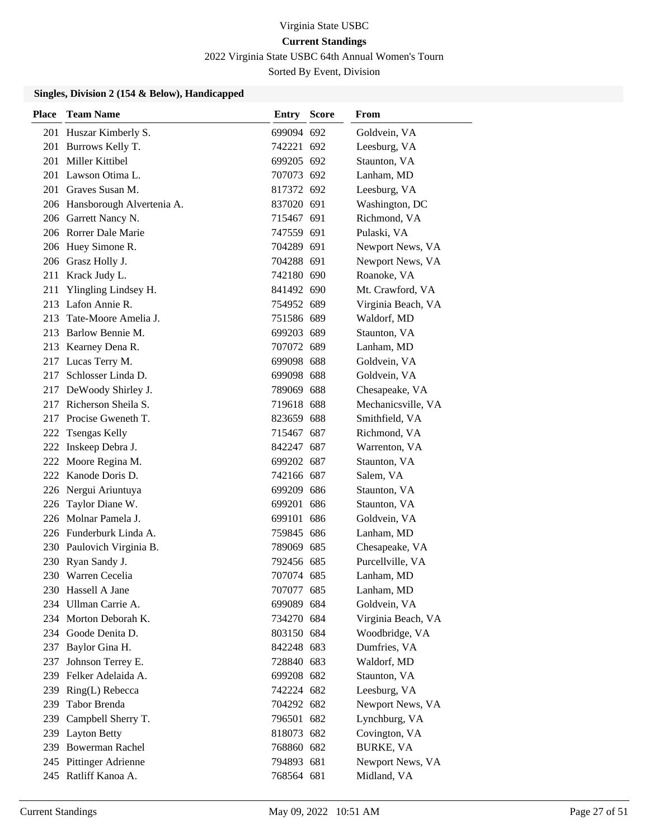2022 Virginia State USBC 64th Annual Women's Tourn

Sorted By Event, Division

| <b>Place</b> | <b>Team Name</b>              | <b>Entry Score</b> | From               |
|--------------|-------------------------------|--------------------|--------------------|
|              | 201 Huszar Kimberly S.        | 699094 692         | Goldvein, VA       |
|              | 201 Burrows Kelly T.          | 742221 692         | Leesburg, VA       |
|              | 201 Miller Kittibel           | 699205 692         | Staunton, VA       |
|              | 201 Lawson Otima L.           | 707073 692         | Lanham, MD         |
|              | 201 Graves Susan M.           | 817372 692         | Leesburg, VA       |
|              | 206 Hansborough Alvertenia A. | 837020 691         | Washington, DC     |
|              | 206 Garrett Nancy N.          | 715467 691         | Richmond, VA       |
|              | 206 Rorrer Dale Marie         | 747559 691         | Pulaski, VA        |
|              | 206 Huey Simone R.            | 704289 691         | Newport News, VA   |
|              | 206 Grasz Holly J.            | 704288 691         | Newport News, VA   |
|              | 211 Krack Judy L.             | 742180 690         | Roanoke, VA        |
|              | 211 Ylingling Lindsey H.      | 841492 690         | Mt. Crawford, VA   |
|              | 213 Lafon Annie R.            | 754952 689         | Virginia Beach, VA |
|              | 213 Tate-Moore Amelia J.      | 751586 689         | Waldorf, MD        |
|              | 213 Barlow Bennie M.          | 699203 689         | Staunton, VA       |
|              | 213 Kearney Dena R.           | 707072 689         | Lanham, MD         |
|              | 217 Lucas Terry M.            | 699098 688         | Goldvein, VA       |
|              | 217 Schlosser Linda D.        | 699098 688         | Goldvein, VA       |
|              | 217 DeWoody Shirley J.        | 789069 688         | Chesapeake, VA     |
|              | 217 Richerson Sheila S.       | 719618 688         | Mechanicsville, VA |
|              | 217 Procise Gweneth T.        | 823659 688         | Smithfield, VA     |
|              | 222 Tsengas Kelly             | 715467 687         | Richmond, VA       |
|              | 222 Inskeep Debra J.          | 842247 687         | Warrenton, VA      |
|              | 222 Moore Regina M.           | 699202 687         | Staunton, VA       |
|              | 222 Kanode Doris D.           | 742166 687         | Salem, VA          |
|              | 226 Nergui Ariuntuya          | 699209 686         | Staunton, VA       |
| 226          | Taylor Diane W.               | 699201 686         | Staunton, VA       |
|              | 226 Molnar Pamela J.          | 699101 686         | Goldvein, VA       |
|              | 226 Funderburk Linda A.       | 759845 686         | Lanham, MD         |
|              | 230 Paulovich Virginia B.     | 789069 685         | Chesapeake, VA     |
|              | 230 Ryan Sandy J.             | 792456 685         | Purcellville, VA   |
|              | 230 Warren Cecelia            | 707074 685         | Lanham, MD         |
|              | 230 Hassell A Jane            | 707077 685         | Lanham, MD         |
|              | 234 Ullman Carrie A.          | 699089 684         | Goldvein, VA       |
|              | 234 Morton Deborah K.         | 734270 684         | Virginia Beach, VA |
|              | 234 Goode Denita D.           | 803150 684         | Woodbridge, VA     |
| 237          | Baylor Gina H.                | 842248 683         | Dumfries, VA       |
| 237          | Johnson Terrey E.             | 728840 683         | Waldorf, MD        |
|              | 239 Felker Adelaida A.        | 699208 682         | Staunton, VA       |
|              | 239 Ring(L) Rebecca           | 742224 682         | Leesburg, VA       |
| 239          | Tabor Brenda                  | 704292 682         | Newport News, VA   |
| 239          | Campbell Sherry T.            | 796501 682         | Lynchburg, VA      |
|              | 239 Layton Betty              | 818073 682         | Covington, VA      |
|              | 239 Bowerman Rachel           | 768860 682         | <b>BURKE, VA</b>   |
|              | 245 Pittinger Adrienne        | 794893 681         | Newport News, VA   |
|              | 245 Ratliff Kanoa A.          | 768564 681         | Midland, VA        |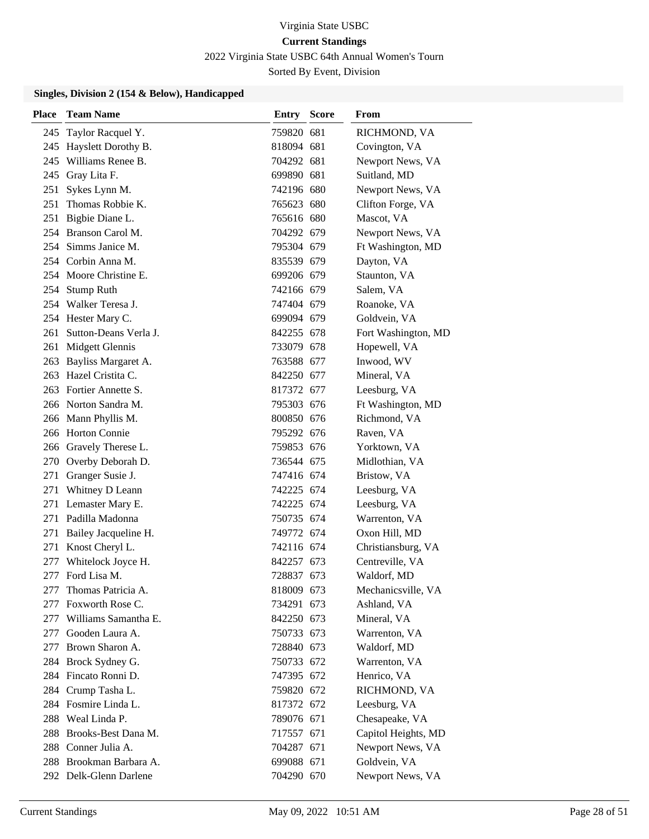2022 Virginia State USBC 64th Annual Women's Tourn

Sorted By Event, Division

| Place | <b>Team Name</b>          | Entry      | <b>Score</b> | From                |
|-------|---------------------------|------------|--------------|---------------------|
| 245   | Taylor Racquel Y.         | 759820 681 |              | RICHMOND, VA        |
|       | 245 Hayslett Dorothy B.   | 818094 681 |              | Covington, VA       |
|       | 245 Williams Renee B.     | 704292 681 |              | Newport News, VA    |
|       | 245 Gray Lita F.          | 699890 681 |              | Suitland, MD        |
| 251   | Sykes Lynn M.             | 742196 680 |              | Newport News, VA    |
|       | 251 Thomas Robbie K.      | 765623 680 |              | Clifton Forge, VA   |
|       | 251 Bigbie Diane L.       | 765616 680 |              | Mascot, VA          |
|       | 254 Branson Carol M.      | 704292 679 |              | Newport News, VA    |
|       | 254 Simms Janice M.       | 795304 679 |              | Ft Washington, MD   |
|       | 254 Corbin Anna M.        | 835539 679 |              | Dayton, VA          |
|       | 254 Moore Christine E.    | 699206 679 |              | Staunton, VA        |
|       | 254 Stump Ruth            | 742166 679 |              | Salem, VA           |
|       | 254 Walker Teresa J.      | 747404 679 |              | Roanoke, VA         |
|       | 254 Hester Mary C.        | 699094 679 |              | Goldvein, VA        |
|       | 261 Sutton-Deans Verla J. | 842255 678 |              | Fort Washington, MD |
|       | 261 Midgett Glennis       | 733079 678 |              | Hopewell, VA        |
| 263   | Bayliss Margaret A.       | 763588 677 |              | Inwood, WV          |
|       | 263 Hazel Cristita C.     | 842250 677 |              | Mineral, VA         |
|       | 263 Fortier Annette S.    | 817372 677 |              | Leesburg, VA        |
|       | 266 Norton Sandra M.      | 795303 676 |              | Ft Washington, MD   |
|       | 266 Mann Phyllis M.       | 800850 676 |              | Richmond, VA        |
|       | 266 Horton Connie         | 795292 676 |              | Raven, VA           |
|       | 266 Gravely Therese L.    | 759853 676 |              | Yorktown, VA        |
| 270   | Overby Deborah D.         | 736544 675 |              | Midlothian, VA      |
| 271   | Granger Susie J.          | 747416 674 |              | Bristow, VA         |
| 271   | Whitney D Leann           | 742225 674 |              | Leesburg, VA        |
|       | 271 Lemaster Mary E.      | 742225 674 |              | Leesburg, VA        |
|       | 271 Padilla Madonna       | 750735 674 |              | Warrenton, VA       |
|       | 271 Bailey Jacqueline H.  | 749772 674 |              | Oxon Hill, MD       |
|       | 271 Knost Cheryl L.       | 742116 674 |              | Christiansburg, VA  |
| 277   | Whitelock Joyce H.        | 842257 673 |              | Centreville, VA     |
| 277   | Ford Lisa M.              | 728837 673 |              | Waldorf, MD         |
| 277   | Thomas Patricia A.        | 818009 673 |              | Mechanicsville, VA  |
|       | 277 Foxworth Rose C.      | 734291 673 |              | Ashland, VA         |
|       | 277 Williams Samantha E.  | 842250 673 |              | Mineral, VA         |
| 277   | Gooden Laura A.           | 750733 673 |              | Warrenton, VA       |
| 277   | Brown Sharon A.           | 728840 673 |              | Waldorf, MD         |
|       | 284 Brock Sydney G.       | 750733 672 |              | Warrenton, VA       |
|       | 284 Fincato Ronni D.      | 747395 672 |              | Henrico, VA         |
|       | 284 Crump Tasha L.        | 759820 672 |              | RICHMOND, VA        |
|       | 284 Fosmire Linda L.      | 817372 672 |              | Leesburg, VA        |
|       | 288 Weal Linda P.         | 789076 671 |              | Chesapeake, VA      |
|       | 288 Brooks-Best Dana M.   | 717557 671 |              | Capitol Heights, MD |
|       | 288 Conner Julia A.       | 704287 671 |              | Newport News, VA    |
|       | 288 Brookman Barbara A.   | 699088 671 |              | Goldvein, VA        |
|       | 292 Delk-Glenn Darlene    | 704290 670 |              | Newport News, VA    |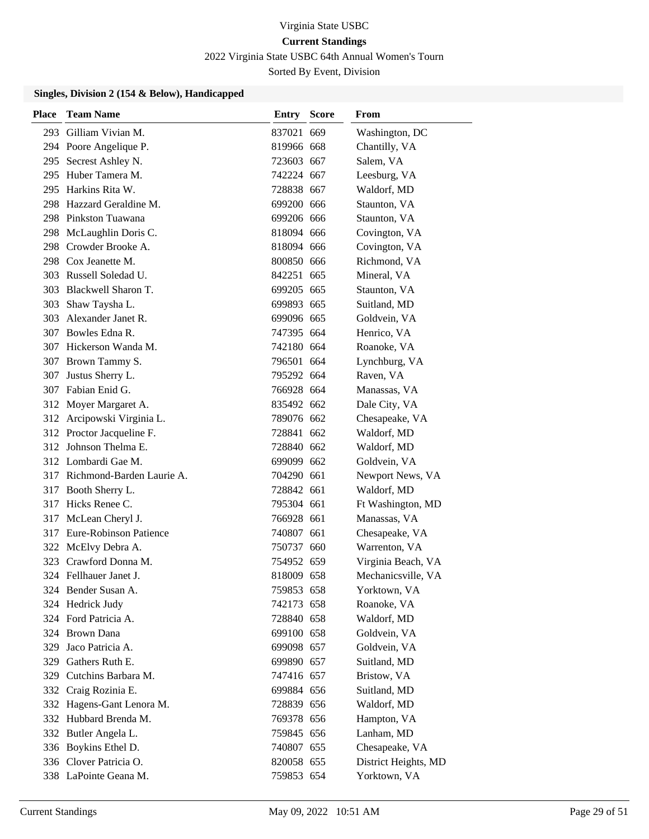2022 Virginia State USBC 64th Annual Women's Tourn

Sorted By Event, Division

| Place | <b>Team Name</b>              | <b>Entry Score</b> | From                 |
|-------|-------------------------------|--------------------|----------------------|
|       | 293 Gilliam Vivian M.         | 837021 669         | Washington, DC       |
|       | 294 Poore Angelique P.        | 819966 668         | Chantilly, VA        |
|       | 295 Secrest Ashley N.         | 723603 667         | Salem, VA            |
|       | 295 Huber Tamera M.           | 742224 667         | Leesburg, VA         |
|       | 295 Harkins Rita W.           | 728838 667         | Waldorf, MD          |
|       | 298 Hazzard Geraldine M.      | 699200 666         | Staunton, VA         |
|       | 298 Pinkston Tuawana          | 699206 666         | Staunton, VA         |
|       | 298 McLaughlin Doris C.       | 818094 666         | Covington, VA        |
|       | 298 Crowder Brooke A.         | 818094 666         | Covington, VA        |
|       | 298 Cox Jeanette M.           | 800850 666         | Richmond, VA         |
|       | 303 Russell Soledad U.        | 842251 665         | Mineral, VA          |
|       | 303 Blackwell Sharon T.       | 699205 665         | Staunton, VA         |
|       | 303 Shaw Taysha L.            | 699893 665         | Suitland, MD         |
|       | 303 Alexander Janet R.        | 699096 665         | Goldvein, VA         |
|       | 307 Bowles Edna R.            | 747395 664         | Henrico, VA          |
|       | 307 Hickerson Wanda M.        | 742180 664         | Roanoke, VA          |
|       | 307 Brown Tammy S.            | 796501 664         | Lynchburg, VA        |
| 307   | Justus Sherry L.              | 795292 664         | Raven, VA            |
|       | 307 Fabian Enid G.            | 766928 664         | Manassas, VA         |
|       | 312 Moyer Margaret A.         | 835492 662         | Dale City, VA        |
|       | 312 Arcipowski Virginia L.    | 789076 662         | Chesapeake, VA       |
|       | 312 Proctor Jacqueline F.     | 728841 662         | Waldorf, MD          |
|       | 312 Johnson Thelma E.         | 728840 662         | Waldorf, MD          |
|       | 312 Lombardi Gae M.           | 699099 662         | Goldvein, VA         |
|       | 317 Richmond-Barden Laurie A. | 704290 661         | Newport News, VA     |
|       | 317 Booth Sherry L.           | 728842 661         | Waldorf, MD          |
|       | 317 Hicks Renee C.            | 795304 661         | Ft Washington, MD    |
|       | 317 McLean Cheryl J.          | 766928 661         | Manassas, VA         |
|       | 317 Eure-Robinson Patience    | 740807 661         | Chesapeake, VA       |
|       | 322 McElvy Debra A.           | 750737 660         | Warrenton, VA        |
|       | 323 Crawford Donna M.         | 754952 659         | Virginia Beach, VA   |
|       | 324 Fellhauer Janet J.        | 818009 658         | Mechanicsville, VA   |
|       | 324 Bender Susan A.           | 759853 658         | Yorktown, VA         |
|       | 324 Hedrick Judy              | 742173 658         | Roanoke, VA          |
|       | 324 Ford Patricia A.          | 728840 658         | Waldorf, MD          |
|       | 324 Brown Dana                | 699100 658         | Goldvein, VA         |
|       | 329 Jaco Patricia A.          | 699098 657         | Goldvein, VA         |
|       | 329 Gathers Ruth E.           | 699890 657         | Suitland, MD         |
|       | 329 Cutchins Barbara M.       | 747416 657         | Bristow, VA          |
|       | 332 Craig Rozinia E.          | 699884 656         | Suitland, MD         |
|       | 332 Hagens-Gant Lenora M.     | 728839 656         | Waldorf, MD          |
|       | 332 Hubbard Brenda M.         | 769378 656         | Hampton, VA          |
|       | 332 Butler Angela L.          | 759845 656         | Lanham, MD           |
|       | 336 Boykins Ethel D.          | 740807 655         | Chesapeake, VA       |
|       | 336 Clover Patricia O.        | 820058 655         | District Heights, MD |
|       | 338 LaPointe Geana M.         | 759853 654         | Yorktown, VA         |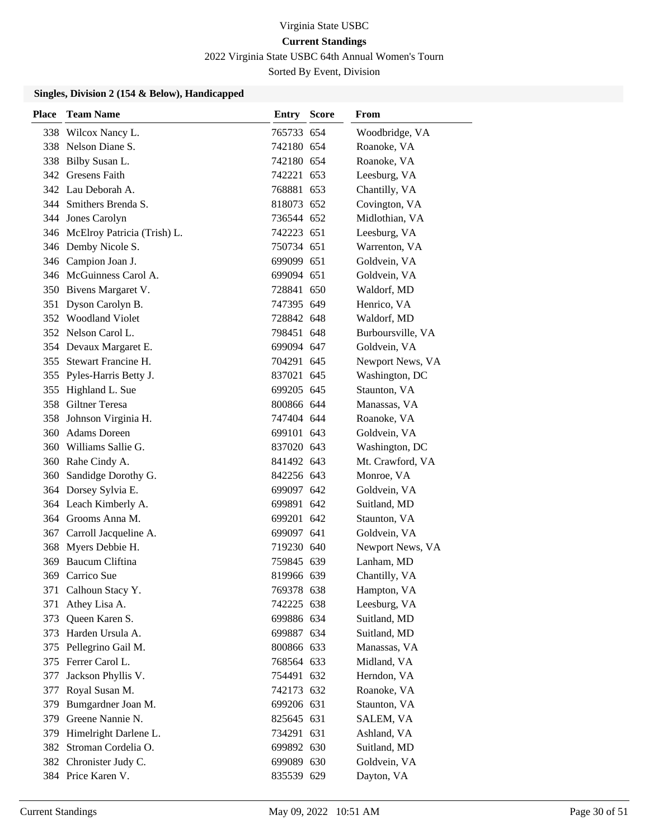2022 Virginia State USBC 64th Annual Women's Tourn

Sorted By Event, Division

| Place | <b>Team Name</b>                | Entry      | <b>Score</b> | From              |
|-------|---------------------------------|------------|--------------|-------------------|
|       | 338 Wilcox Nancy L.             | 765733 654 |              | Woodbridge, VA    |
|       | 338 Nelson Diane S.             | 742180 654 |              | Roanoke, VA       |
|       | 338 Bilby Susan L.              | 742180 654 |              | Roanoke, VA       |
|       | 342 Gresens Faith               | 742221 653 |              | Leesburg, VA      |
|       | 342 Lau Deborah A.              | 768881 653 |              | Chantilly, VA     |
|       | 344 Smithers Brenda S.          | 818073 652 |              | Covington, VA     |
|       | 344 Jones Carolyn               | 736544 652 |              | Midlothian, VA    |
|       | 346 McElroy Patricia (Trish) L. | 742223 651 |              | Leesburg, VA      |
|       | 346 Demby Nicole S.             | 750734 651 |              | Warrenton, VA     |
|       | 346 Campion Joan J.             | 699099 651 |              | Goldvein, VA      |
|       | 346 McGuinness Carol A.         | 699094 651 |              | Goldvein, VA      |
|       | 350 Bivens Margaret V.          | 728841 650 |              | Waldorf, MD       |
|       | 351 Dyson Carolyn B.            | 747395 649 |              | Henrico, VA       |
|       | 352 Woodland Violet             | 728842 648 |              | Waldorf, MD       |
|       | 352 Nelson Carol L.             | 798451 648 |              | Burboursville, VA |
|       | 354 Devaux Margaret E.          | 699094 647 |              | Goldvein, VA      |
|       | 355 Stewart Francine H.         | 704291 645 |              | Newport News, VA  |
|       | 355 Pyles-Harris Betty J.       | 837021 645 |              | Washington, DC    |
|       | 355 Highland L. Sue             | 699205 645 |              | Staunton, VA      |
|       | 358 Giltner Teresa              | 800866 644 |              | Manassas, VA      |
|       | 358 Johnson Virginia H.         | 747404 644 |              | Roanoke, VA       |
| 360   | <b>Adams</b> Doreen             | 699101 643 |              | Goldvein, VA      |
|       | 360 Williams Sallie G.          | 837020 643 |              | Washington, DC    |
|       | 360 Rahe Cindy A.               | 841492 643 |              | Mt. Crawford, VA  |
| 360   | Sandidge Dorothy G.             | 842256 643 |              | Monroe, VA        |
|       | 364 Dorsey Sylvia E.            | 699097 642 |              | Goldvein, VA      |
|       | 364 Leach Kimberly A.           | 699891 642 |              | Suitland, MD      |
|       | 364 Grooms Anna M.              | 699201 642 |              | Staunton, VA      |
|       | 367 Carroll Jacqueline A.       | 699097 641 |              | Goldvein, VA      |
|       | 368 Myers Debbie H.             | 719230 640 |              | Newport News, VA  |
| 369   | Baucum Cliftina                 | 759845 639 |              | Lanham, MD        |
| 369   | Carrico Sue                     | 819966 639 |              | Chantilly, VA     |
| 371   | Calhoun Stacy Y.                | 769378 638 |              | Hampton, VA       |
| 371   | Athey Lisa A.                   | 742225 638 |              | Leesburg, VA      |
| 373   | Queen Karen S.                  | 699886 634 |              | Suitland, MD      |
|       | 373 Harden Ursula A.            | 699887 634 |              | Suitland, MD      |
| 375   | Pellegrino Gail M.              | 800866 633 |              | Manassas, VA      |
|       | 375 Ferrer Carol L.             | 768564 633 |              | Midland, VA       |
| 377   | Jackson Phyllis V.              | 754491 632 |              | Herndon, VA       |
| 377   | Royal Susan M.                  | 742173 632 |              | Roanoke, VA       |
| 379   | Bumgardner Joan M.              | 699206 631 |              | Staunton, VA      |
| 379   | Greene Nannie N.                | 825645 631 |              | SALEM, VA         |
| 379   | Himelright Darlene L.           | 734291 631 |              | Ashland, VA       |
| 382   | Stroman Cordelia O.             | 699892 630 |              | Suitland, MD      |
|       | 382 Chronister Judy C.          | 699089 630 |              | Goldvein, VA      |
|       | 384 Price Karen V.              | 835539 629 |              | Dayton, VA        |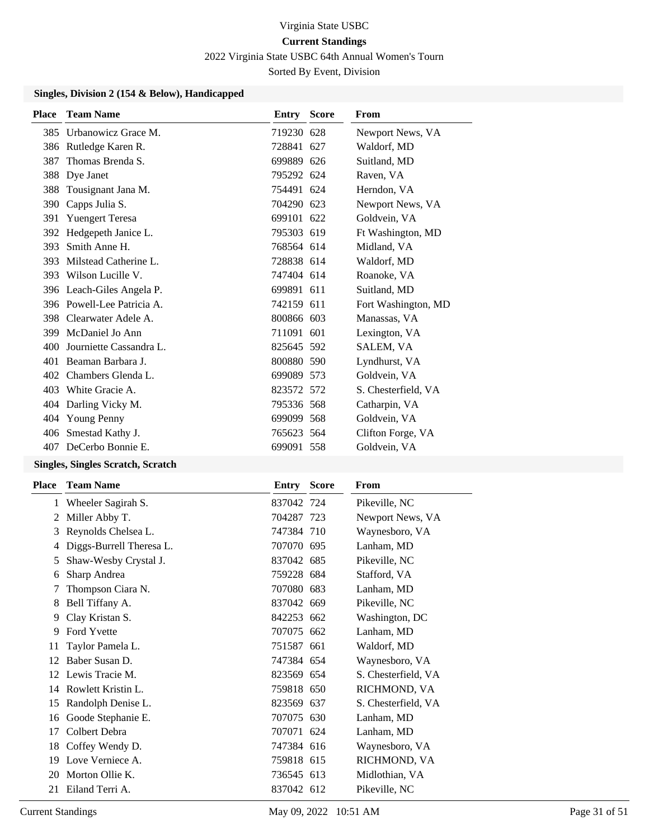2022 Virginia State USBC 64th Annual Women's Tourn

Sorted By Event, Division

#### **Singles, Division 2 (154 & Below), Handicapped**

| <b>Place</b> | <b>Team Name</b>           | <b>Entry Score</b> | From                |
|--------------|----------------------------|--------------------|---------------------|
| 385          | Urbanowicz Grace M.        | 719230 628         | Newport News, VA    |
| 386          | Rutledge Karen R.          | 728841 627         | Waldorf, MD         |
| 387          | Thomas Brenda S.           | 699889 626         | Suitland, MD        |
| 388          | Dye Janet                  | 795292 624         | Raven, VA           |
| 388          | Tousignant Jana M.         | 754491 624         | Herndon, VA         |
| 390          | Capps Julia S.             | 704290 623         | Newport News, VA    |
| 391          | <b>Yuengert Teresa</b>     | 699101 622         | Goldvein, VA        |
| 392          | Hedgepeth Janice L.        | 795303 619         | Ft Washington, MD   |
| 393          | Smith Anne H.              | 768564 614         | Midland, VA         |
| 393          | Milstead Catherine L.      | 728838 614         | Waldorf, MD         |
| 393          | Wilson Lucille V.          | 747404 614         | Roanoke, VA         |
|              | 396 Leach-Giles Angela P.  | 699891 611         | Suitland, MD        |
|              | 396 Powell-Lee Patricia A. | 742159 611         | Fort Washington, MD |
|              | 398 Clearwater Adele A.    | 800866 603         | Manassas, VA        |
|              | 399 McDaniel Jo Ann        | 711091 601         | Lexington, VA       |
| 400          | Journiette Cassandra L.    | 825645 592         | SALEM, VA           |
| 401          | Beaman Barbara J.          | 800880 590         | Lyndhurst, VA       |
| 402          | Chambers Glenda L.         | 699089 573         | Goldvein, VA        |
| 403          | White Gracie A.            | 823572 572         | S. Chesterfield, VA |
|              | 404 Darling Vicky M.       | 795336 568         | Catharpin, VA       |
|              | 404 Young Penny            | 699099 568         | Goldvein, VA        |
| 406          | Smestad Kathy J.           | 765623 564         | Clifton Forge, VA   |
| 407          | DeCerbo Bonnie E.          | 699091 558         | Goldvein, VA        |
|              |                            |                    |                     |

#### **Singles, Singles Scratch, Scratch**

| Place | <b>Team Name</b>         | Entry      | <b>Score</b> | From                |
|-------|--------------------------|------------|--------------|---------------------|
| 1     | Wheeler Sagirah S.       | 837042 724 |              | Pikeville, NC       |
| 2     | Miller Abby T.           | 704287 723 |              | Newport News, VA    |
| 3     | Reynolds Chelsea L.      | 747384 710 |              | Waynesboro, VA      |
| 4     | Diggs-Burrell Theresa L. | 707070 695 |              | Lanham, MD          |
| 5     | Shaw-Wesby Crystal J.    | 837042 685 |              | Pikeville, NC       |
| 6     | Sharp Andrea             | 759228 684 |              | Stafford, VA        |
|       | Thompson Ciara N.        | 707080 683 |              | Lanham, MD          |
| 8     | Bell Tiffany A.          | 837042 669 |              | Pikeville, NC       |
| 9     | Clay Kristan S.          | 842253 662 |              | Washington, DC      |
| 9     | <b>Ford Yvette</b>       | 707075 662 |              | Lanham, MD          |
| 11    | Taylor Pamela L.         | 751587 661 |              | Waldorf, MD         |
| 12    | Baber Susan D.           | 747384 654 |              | Waynesboro, VA      |
| 12    | Lewis Tracie M.          | 823569 654 |              | S. Chesterfield, VA |
| 14    | Rowlett Kristin L.       | 759818 650 |              | RICHMOND, VA        |
| 15    | Randolph Denise L.       | 823569 637 |              | S. Chesterfield, VA |
| 16    | Goode Stephanie E.       | 707075 630 |              | Lanham, MD          |
| 17    | Colbert Debra            | 707071 624 |              | Lanham, MD          |
| 18    | Coffey Wendy D.          | 747384 616 |              | Waynesboro, VA      |
| 19    | Love Verniece A.         | 759818 615 |              | RICHMOND, VA        |
| 20    | Morton Ollie K.          | 736545 613 |              | Midlothian, VA      |
| 21    | Eiland Terri A.          | 837042 612 |              | Pikeville, NC       |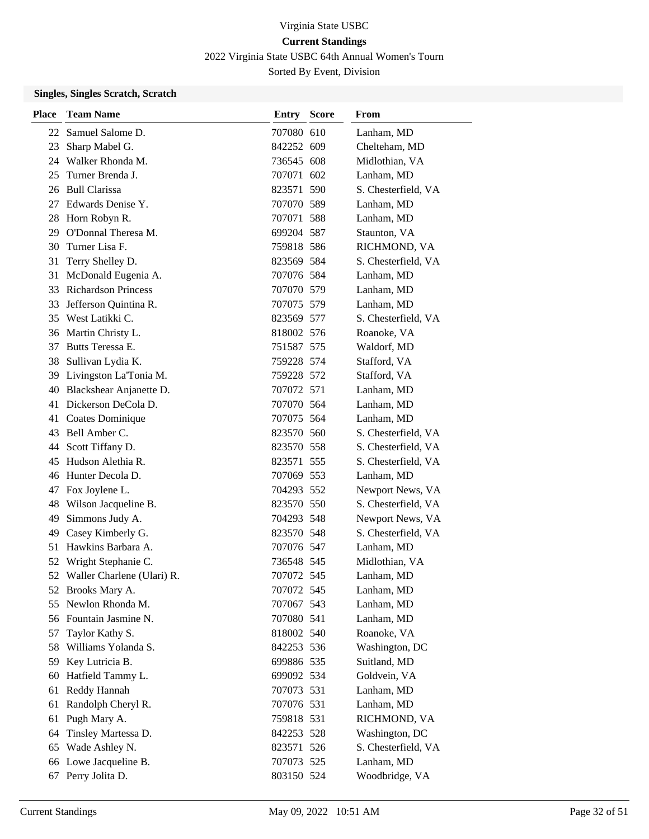2022 Virginia State USBC 64th Annual Women's Tourn

Sorted By Event, Division

### **Singles, Singles Scratch, Scratch**

| <b>Place</b> | <b>Team Name</b>              | Entry      | <b>Score</b> | From                |
|--------------|-------------------------------|------------|--------------|---------------------|
|              | 22 Samuel Salome D.           | 707080 610 |              | Lanham, MD          |
| 23           | Sharp Mabel G.                | 842252 609 |              | Chelteham, MD       |
|              | 24 Walker Rhonda M.           | 736545 608 |              | Midlothian, VA      |
| 25           | Turner Brenda J.              | 707071 602 |              | Lanham, MD          |
|              | 26 Bull Clarissa              | 823571 590 |              | S. Chesterfield, VA |
|              | 27 Edwards Denise Y.          | 707070 589 |              | Lanham, MD          |
|              | 28 Horn Robyn R.              | 707071 588 |              | Lanham, MD          |
| 29           | O'Donnal Theresa M.           | 699204 587 |              | Staunton, VA        |
| 30           | Turner Lisa F.                | 759818 586 |              | RICHMOND, VA        |
| 31           | Terry Shelley D.              | 823569 584 |              | S. Chesterfield, VA |
| 31           | McDonald Eugenia A.           | 707076 584 |              | Lanham, MD          |
|              | 33 Richardson Princess        | 707070 579 |              | Lanham, MD          |
| 33           | Jefferson Quintina R.         | 707075 579 |              | Lanham, MD          |
|              | 35 West Latikki C.            | 823569 577 |              | S. Chesterfield, VA |
|              | 36 Martin Christy L.          | 818002 576 |              | Roanoke, VA         |
|              | 37 Butts Teressa E.           | 751587 575 |              | Waldorf, MD         |
| 38           | Sullivan Lydia K.             | 759228 574 |              | Stafford, VA        |
| 39           | Livingston La'Tonia M.        | 759228 572 |              | Stafford, VA        |
| 40           | Blackshear Anjanette D.       | 707072 571 |              | Lanham, MD          |
|              | 41 Dickerson DeCola D.        | 707070 564 |              | Lanham, MD          |
|              | 41 Coates Dominique           | 707075 564 |              | Lanham, MD          |
| 43           | Bell Amber C.                 | 823570 560 |              | S. Chesterfield, VA |
| 44           | Scott Tiffany D.              | 823570 558 |              | S. Chesterfield, VA |
| 45           | Hudson Alethia R.             | 823571 555 |              | S. Chesterfield, VA |
| 46           | Hunter Decola D.              | 707069 553 |              | Lanham, MD          |
| 47           | Fox Joylene L.                | 704293 552 |              | Newport News, VA    |
| 48           | Wilson Jacqueline B.          | 823570 550 |              | S. Chesterfield, VA |
| 49           | Simmons Judy A.               | 704293 548 |              | Newport News, VA    |
| 49           | Casey Kimberly G.             | 823570 548 |              | S. Chesterfield, VA |
| 51           | Hawkins Barbara A.            | 707076 547 |              | Lanham, MD          |
| 52           | Wright Stephanie C.           | 736548 545 |              | Midlothian, VA      |
|              | 52 Waller Charlene (Ulari) R. | 707072 545 |              | Lanham, MD          |
|              | 52 Brooks Mary A.             | 707072 545 |              | Lanham, MD          |
| 55           | Newlon Rhonda M.              | 707067 543 |              | Lanham, MD          |
|              | 56 Fountain Jasmine N.        | 707080 541 |              | Lanham, MD          |
| 57           | Taylor Kathy S.               | 818002 540 |              | Roanoke, VA         |
| 58           | Williams Yolanda S.           | 842253 536 |              | Washington, DC      |
| 59           | Key Lutricia B.               | 699886 535 |              | Suitland, MD        |
| 60           | Hatfield Tammy L.             | 699092 534 |              | Goldvein, VA        |
| 61           | Reddy Hannah                  | 707073 531 |              | Lanham, MD          |
| 61           | Randolph Cheryl R.            | 707076 531 |              | Lanham, MD          |
| 61           | Pugh Mary A.                  | 759818 531 |              | RICHMOND, VA        |
| 64           | Tinsley Martessa D.           | 842253 528 |              | Washington, DC      |
| 65           | Wade Ashley N.                | 823571 526 |              | S. Chesterfield, VA |
| 66           | Lowe Jacqueline B.            | 707073 525 |              | Lanham, MD          |
| 67           | Perry Jolita D.               | 803150 524 |              | Woodbridge, VA      |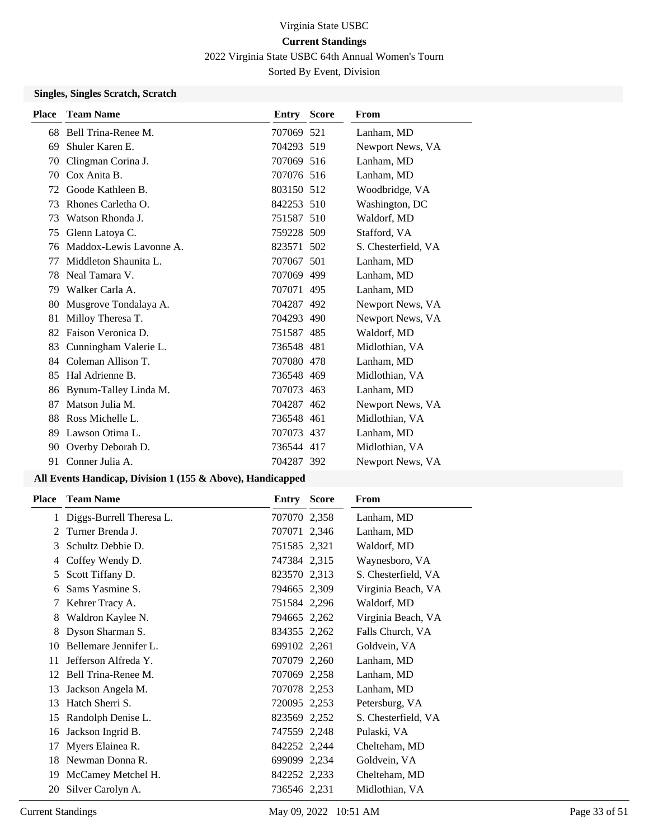2022 Virginia State USBC 64th Annual Women's Tourn

Sorted By Event, Division

## **Singles, Singles Scratch, Scratch**

| <b>Place</b> | <b>Team Name</b>        | Entry      | <b>Score</b> | From                |
|--------------|-------------------------|------------|--------------|---------------------|
|              | 68 Bell Trina-Renee M.  | 707069 521 |              | Lanham, MD          |
| 69           | Shuler Karen E.         | 704293 519 |              | Newport News, VA    |
| 70           | Clingman Corina J.      | 707069 516 |              | Lanham, MD          |
| 70           | Cox Anita B.            | 707076 516 |              | Lanham, MD          |
| 72           | Goode Kathleen B.       | 803150 512 |              | Woodbridge, VA      |
| 73           | Rhones Carletha O.      | 842253 510 |              | Washington, DC      |
| 73           | Watson Rhonda J.        | 751587 510 |              | Waldorf, MD         |
| 75           | Glenn Latoya C.         | 759228 509 |              | Stafford, VA        |
| 76           | Maddox-Lewis Lavonne A. | 823571 502 |              | S. Chesterfield, VA |
| 77           | Middleton Shaunita L.   | 707067 501 |              | Lanham, MD          |
| 78           | Neal Tamara V.          | 707069 499 |              | Lanham, MD          |
| 79           | Walker Carla A.         | 707071 495 |              | Lanham, MD          |
| 80           | Musgrove Tondalaya A.   | 704287 492 |              | Newport News, VA    |
| 81           | Milloy Theresa T.       | 704293 490 |              | Newport News, VA    |
| 82           | Faison Veronica D.      | 751587 485 |              | Waldorf, MD         |
| 83           | Cunningham Valerie L.   | 736548 481 |              | Midlothian, VA      |
| 84           | Coleman Allison T.      | 707080 478 |              | Lanham, MD          |
| 85           | Hal Adrienne B.         | 736548 469 |              | Midlothian, VA      |
| 86           | Bynum-Talley Linda M.   | 707073 463 |              | Lanham, MD          |
| 87           | Matson Julia M.         | 704287 462 |              | Newport News, VA    |
| 88           | Ross Michelle L.        | 736548 461 |              | Midlothian, VA      |
| 89           | Lawson Otima L.         | 707073 437 |              | Lanham, MD          |
| 90           | Overby Deborah D.       | 736544 417 |              | Midlothian, VA      |
| 91           | Conner Julia A.         | 704287 392 |              | Newport News, VA    |

| <b>Place</b> | <b>Team Name</b>         | Entry        | <b>Score</b> | From                |
|--------------|--------------------------|--------------|--------------|---------------------|
|              | Diggs-Burrell Theresa L. | 707070 2,358 |              | Lanham, MD          |
| 2            | Turner Brenda J.         | 707071 2,346 |              | Lanham, MD          |
| 3            | Schultz Debbie D.        | 751585 2,321 |              | Waldorf, MD         |
| 4            | Coffey Wendy D.          | 747384 2,315 |              | Waynesboro, VA      |
| 5            | Scott Tiffany D.         | 823570 2,313 |              | S. Chesterfield, VA |
| 6            | Sams Yasmine S.          | 794665 2,309 |              | Virginia Beach, VA  |
| 7            | Kehrer Tracy A.          | 751584 2,296 |              | Waldorf, MD         |
| 8            | Waldron Kaylee N.        | 794665 2,262 |              | Virginia Beach, VA  |
| 8            | Dyson Sharman S.         | 834355 2,262 |              | Falls Church, VA    |
| 10           | Bellemare Jennifer L.    | 699102 2,261 |              | Goldvein, VA        |
| 11           | Jefferson Alfreda Y.     | 707079 2,260 |              | Lanham, MD          |
| 12           | Bell Trina-Renee M.      | 707069 2,258 |              | Lanham, MD          |
| 13           | Jackson Angela M.        | 707078 2,253 |              | Lanham, MD          |
| 13           | Hatch Sherri S.          | 720095 2,253 |              | Petersburg, VA      |
| 15           | Randolph Denise L.       | 823569 2,252 |              | S. Chesterfield, VA |
| 16           | Jackson Ingrid B.        | 747559 2,248 |              | Pulaski, VA         |
| 17           | Myers Elainea R.         | 842252 2,244 |              | Chelteham, MD       |
| 18           | Newman Donna R.          | 699099 2,234 |              | Goldvein, VA        |
| 19           | McCamey Metchel H.       | 842252 2,233 |              | Chelteham, MD       |
| 20           | Silver Carolyn A.        | 736546 2,231 |              | Midlothian, VA      |
|              |                          |              |              |                     |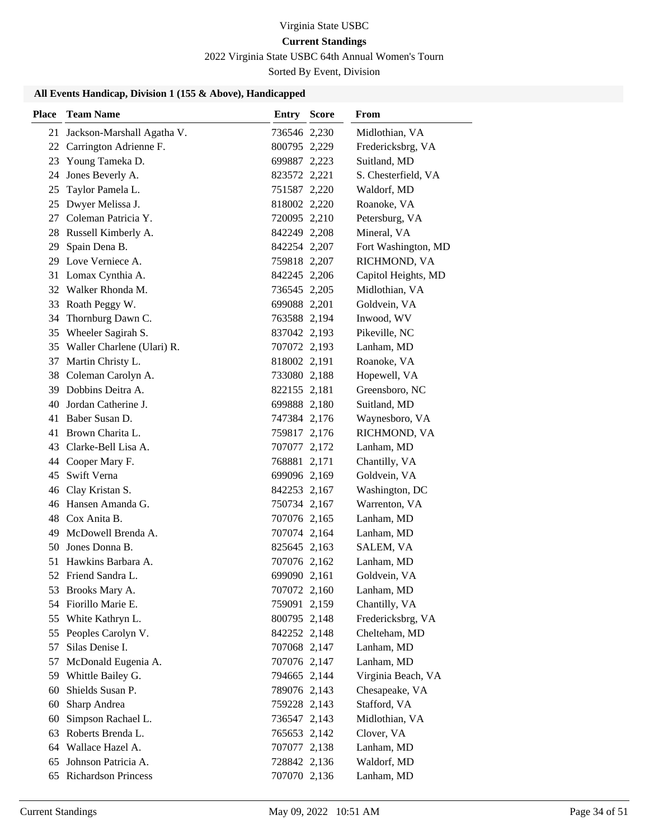# 2022 Virginia State USBC 64th Annual Women's Tourn

Sorted By Event, Division

| <b>Place</b> | <b>Team Name</b>              | <b>Entry Score</b> | From                |
|--------------|-------------------------------|--------------------|---------------------|
| 21           | Jackson-Marshall Agatha V.    | 736546 2,230       | Midlothian, VA      |
| 22           | Carrington Adrienne F.        | 800795 2,229       | Fredericksbrg, VA   |
|              | 23 Young Tameka D.            | 699887 2,223       | Suitland, MD        |
| 24           | Jones Beverly A.              | 823572 2,221       | S. Chesterfield, VA |
| 25           | Taylor Pamela L.              | 751587 2,220       | Waldorf, MD         |
| 25           | Dwyer Melissa J.              | 818002 2,220       | Roanoke, VA         |
| 27           | Coleman Patricia Y.           | 720095 2,210       | Petersburg, VA      |
|              | 28 Russell Kimberly A.        | 842249 2,208       | Mineral, VA         |
| 29           | Spain Dena B.                 | 842254 2,207       | Fort Washington, MD |
|              | 29 Love Verniece A.           | 759818 2,207       | RICHMOND, VA        |
|              | 31 Lomax Cynthia A.           | 842245 2,206       | Capitol Heights, MD |
|              | 32 Walker Rhonda M.           | 736545 2,205       | Midlothian, VA      |
| 33           | Roath Peggy W.                | 699088 2,201       | Goldvein, VA        |
| 34           | Thornburg Dawn C.             | 763588 2,194       | Inwood, WV          |
|              | 35 Wheeler Sagirah S.         | 837042 2,193       | Pikeville, NC       |
|              | 35 Waller Charlene (Ulari) R. | 707072 2,193       | Lanham, MD          |
| 37           | Martin Christy L.             | 818002 2,191       | Roanoke, VA         |
| 38           | Coleman Carolyn A.            | 733080 2,188       | Hopewell, VA        |
|              | 39 Dobbins Deitra A.          | 822155 2,181       | Greensboro, NC      |
| 40           | Jordan Catherine J.           | 699888 2,180       | Suitland, MD        |
|              | 41 Baber Susan D.             | 747384 2,176       | Waynesboro, VA      |
|              | 41 Brown Charita L.           | 759817 2,176       | RICHMOND, VA        |
|              | 43 Clarke-Bell Lisa A.        | 707077 2,172       | Lanham, MD          |
|              | 44 Cooper Mary F.             | 768881 2,171       | Chantilly, VA       |
| 45           | Swift Verna                   | 699096 2,169       | Goldvein, VA        |
| 46           | Clay Kristan S.               | 842253 2,167       | Washington, DC      |
|              | 46 Hansen Amanda G.           | 750734 2,167       | Warrenton, VA       |
|              | 48 Cox Anita B.               | 707076 2,165       | Lanham, MD          |
| 49           | McDowell Brenda A.            | 707074 2,164       | Lanham, MD          |
| 50           | Jones Donna B.                | 825645 2,163       | SALEM, VA           |
|              | 51 Hawkins Barbara A.         | 707076 2,162       | Lanham, MD          |
|              | 52 Friend Sandra L.           | 699090 2,161       | Goldvein, VA        |
|              | 53 Brooks Mary A.             | 707072 2,160       | Lanham, MD          |
| 54           | Fiorillo Marie E.             | 759091 2,159       | Chantilly, VA       |
| 55           | White Kathryn L.              | 800795 2,148       | Fredericksbrg, VA   |
| 55           | Peoples Carolyn V.            | 842252 2,148       | Chelteham, MD       |
| 57           | Silas Denise I.               | 707068 2,147       | Lanham, MD          |
| 57           | McDonald Eugenia A.           | 707076 2,147       | Lanham, MD          |
|              | 59 Whittle Bailey G.          | 794665 2,144       | Virginia Beach, VA  |
| 60           | Shields Susan P.              | 789076 2,143       | Chesapeake, VA      |
| 60           | Sharp Andrea                  | 759228 2,143       | Stafford, VA        |
| 60           | Simpson Rachael L.            | 736547 2,143       | Midlothian, VA      |
| 63           | Roberts Brenda L.             | 765653 2,142       | Clover, VA          |
|              | 64 Wallace Hazel A.           | 707077 2,138       | Lanham, MD          |
| 65           | Johnson Patricia A.           | 728842 2,136       | Waldorf, MD         |
| 65           | <b>Richardson Princess</b>    | 707070 2,136       | Lanham, MD          |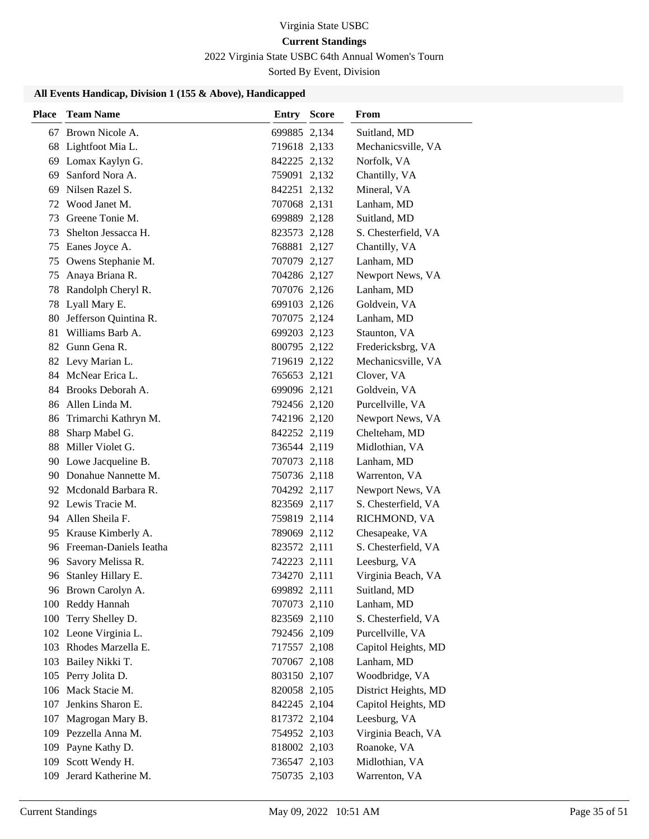# 2022 Virginia State USBC 64th Annual Women's Tourn

Sorted By Event, Division

| <b>Place</b> | <b>Team Name</b>          | <b>Entry Score</b> | From                 |
|--------------|---------------------------|--------------------|----------------------|
|              | 67 Brown Nicole A.        | 699885 2,134       | Suitland, MD         |
|              | 68 Lightfoot Mia L.       | 719618 2,133       | Mechanicsville, VA   |
|              | 69 Lomax Kaylyn G.        | 842225 2,132       | Norfolk, VA          |
| 69           | Sanford Nora A.           | 759091 2,132       | Chantilly, VA        |
| 69           | Nilsen Razel S.           | 842251 2,132       | Mineral, VA          |
|              | 72 Wood Janet M.          | 707068 2,131       | Lanham, MD           |
|              | 73 Greene Tonie M.        | 699889 2,128       | Suitland, MD         |
| 73           | Shelton Jessacca H.       | 823573 2,128       | S. Chesterfield, VA  |
| 75           | Eanes Joyce A.            | 768881 2,127       | Chantilly, VA        |
| 75           | Owens Stephanie M.        | 707079 2,127       | Lanham, MD           |
| 75           | Anaya Briana R.           | 704286 2,127       | Newport News, VA     |
| 78           | Randolph Cheryl R.        | 707076 2,126       | Lanham, MD           |
| 78           | Lyall Mary E.             | 699103 2,126       | Goldvein, VA         |
|              | 80 Jefferson Quintina R.  | 707075 2,124       | Lanham, MD           |
|              | 81 Williams Barb A.       | 699203 2,123       | Staunton, VA         |
|              | 82 Gunn Gena R.           | 800795 2,122       | Fredericksbrg, VA    |
|              | 82 Levy Marian L.         | 719619 2,122       | Mechanicsville, VA   |
|              | 84 McNear Erica L.        | 765653 2,121       | Clover, VA           |
|              | 84 Brooks Deborah A.      | 699096 2,121       | Goldvein, VA         |
|              | 86 Allen Linda M.         | 792456 2,120       | Purcellville, VA     |
| 86           | Trimarchi Kathryn M.      | 742196 2,120       | Newport News, VA     |
| 88           | Sharp Mabel G.            | 842252 2,119       | Chelteham, MD        |
|              | 88 Miller Violet G.       | 736544 2,119       | Midlothian, VA       |
|              | 90 Lowe Jacqueline B.     | 707073 2,118       | Lanham, MD           |
|              | 90 Donahue Nannette M.    | 750736 2,118       | Warrenton, VA        |
|              | 92 Mcdonald Barbara R.    | 704292 2,117       | Newport News, VA     |
|              | 92 Lewis Tracie M.        | 823569 2,117       | S. Chesterfield, VA  |
|              | 94 Allen Sheila F.        | 759819 2,114       | RICHMOND, VA         |
|              | 95 Krause Kimberly A.     | 789069 2,112       | Chesapeake, VA       |
|              | 96 Freeman-Daniels Jeatha | 823572 2,111       | S. Chesterfield, VA  |
|              | 96 Savory Melissa R.      | 742223 2,111       | Leesburg, VA         |
| 96           | Stanley Hillary E.        | 734270 2,111       | Virginia Beach, VA   |
|              | 96 Brown Carolyn A.       | 699892 2,111       | Suitland, MD         |
|              | 100 Reddy Hannah          | 707073 2,110       | Lanham, MD           |
|              | 100 Terry Shelley D.      | 823569 2,110       | S. Chesterfield, VA  |
|              | 102 Leone Virginia L.     | 792456 2,109       | Purcellville, VA     |
|              | 103 Rhodes Marzella E.    | 717557 2,108       | Capitol Heights, MD  |
|              | 103 Bailey Nikki T.       | 707067 2,108       | Lanham, MD           |
|              | 105 Perry Jolita D.       | 803150 2,107       | Woodbridge, VA       |
| 106          | Mack Stacie M.            | 820058 2,105       | District Heights, MD |
| 107          | Jenkins Sharon E.         | 842245 2,104       | Capitol Heights, MD  |
|              | 107 Magrogan Mary B.      | 817372 2,104       | Leesburg, VA         |
|              | 109 Pezzella Anna M.      | 754952 2,103       | Virginia Beach, VA   |
|              | 109 Payne Kathy D.        | 818002 2,103       | Roanoke, VA          |
|              | 109 Scott Wendy H.        | 736547 2,103       | Midlothian, VA       |
| 109          | Jerard Katherine M.       | 750735 2,103       | Warrenton, VA        |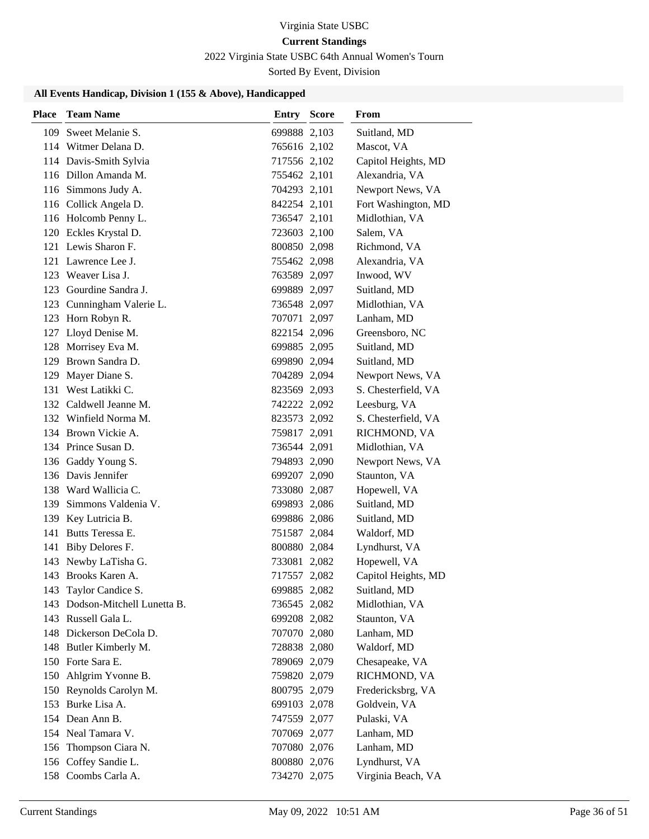# 2022 Virginia State USBC 64th Annual Women's Tourn

Sorted By Event, Division

| Place | <b>Team Name</b>               | <b>Entry Score</b> | From                |
|-------|--------------------------------|--------------------|---------------------|
| 109   | Sweet Melanie S.               | 699888 2,103       | Suitland, MD        |
|       | 114 Witmer Delana D.           | 765616 2,102       | Mascot, VA          |
|       | 114 Davis-Smith Sylvia         | 717556 2,102       | Capitol Heights, MD |
|       | 116 Dillon Amanda M.           | 755462 2,101       | Alexandria, VA      |
|       | 116 Simmons Judy A.            | 704293 2,101       | Newport News, VA    |
|       | 116 Collick Angela D.          | 842254 2,101       | Fort Washington, MD |
|       | 116 Holcomb Penny L.           | 736547 2,101       | Midlothian, VA      |
|       | 120 Eckles Krystal D.          | 723603 2,100       | Salem, VA           |
|       | 121 Lewis Sharon F.            | 800850 2,098       | Richmond, VA        |
|       | 121 Lawrence Lee J.            | 755462 2,098       | Alexandria, VA      |
|       | 123 Weaver Lisa J.             | 763589 2,097       | Inwood, WV          |
|       | 123 Gourdine Sandra J.         | 699889 2,097       | Suitland, MD        |
|       | 123 Cunningham Valerie L.      | 736548 2,097       | Midlothian, VA      |
|       | 123 Horn Robyn R.              | 707071 2,097       | Lanham, MD          |
|       | 127 Lloyd Denise M.            | 822154 2,096       | Greensboro, NC      |
| 128   | Morrisey Eva M.                | 699885 2,095       | Suitland, MD        |
|       | 129 Brown Sandra D.            | 699890 2,094       | Suitland, MD        |
| 129   | Mayer Diane S.                 | 704289 2,094       | Newport News, VA    |
|       | 131 West Latikki C.            | 823569 2,093       | S. Chesterfield, VA |
|       | 132 Caldwell Jeanne M.         | 742222 2,092       | Leesburg, VA        |
|       | 132 Winfield Norma M.          | 823573 2,092       | S. Chesterfield, VA |
|       | 134 Brown Vickie A.            | 759817 2,091       | RICHMOND, VA        |
|       | 134 Prince Susan D.            | 736544 2,091       | Midlothian, VA      |
|       | 136 Gaddy Young S.             | 794893 2,090       | Newport News, VA    |
|       | 136 Davis Jennifer             | 699207 2,090       | Staunton, VA        |
|       | 138 Ward Wallicia C.           | 733080 2,087       | Hopewell, VA        |
|       | 139 Simmons Valdenia V.        | 699893 2,086       | Suitland, MD        |
|       | 139 Key Lutricia B.            | 699886 2,086       | Suitland, MD        |
|       | 141 Butts Teressa E.           | 751587 2,084       | Waldorf, MD         |
|       | 141 Biby Delores F.            | 800880 2,084       | Lyndhurst, VA       |
|       | 143 Newby LaTisha G.           | 733081 2,082       | Hopewell, VA        |
|       | 143 Brooks Karen A.            | 717557 2,082       | Capitol Heights, MD |
|       | 143 Taylor Candice S.          | 699885 2,082       | Suitland, MD        |
|       | 143 Dodson-Mitchell Lunetta B. | 736545 2,082       | Midlothian, VA      |
|       | 143 Russell Gala L.            | 699208 2,082       | Staunton, VA        |
|       | 148 Dickerson DeCola D.        | 707070 2,080       | Lanham, MD          |
|       | 148 Butler Kimberly M.         | 728838 2,080       | Waldorf, MD         |
|       | 150 Forte Sara E.              | 789069 2,079       | Chesapeake, VA      |
| 150   | Ahlgrim Yvonne B.              | 759820 2,079       | RICHMOND, VA        |
| 150   | Reynolds Carolyn M.            | 800795 2,079       | Fredericksbrg, VA   |
|       | 153 Burke Lisa A.              | 699103 2,078       | Goldvein, VA        |
|       | 154 Dean Ann B.                | 747559 2,077       | Pulaski, VA         |
|       | 154 Neal Tamara V.             | 707069 2,077       | Lanham, MD          |
| 156   | Thompson Ciara N.              | 707080 2,076       | Lanham, MD          |
|       | 156 Coffey Sandie L.           | 800880 2,076       | Lyndhurst, VA       |
|       | 158 Coombs Carla A.            | 734270 2,075       | Virginia Beach, VA  |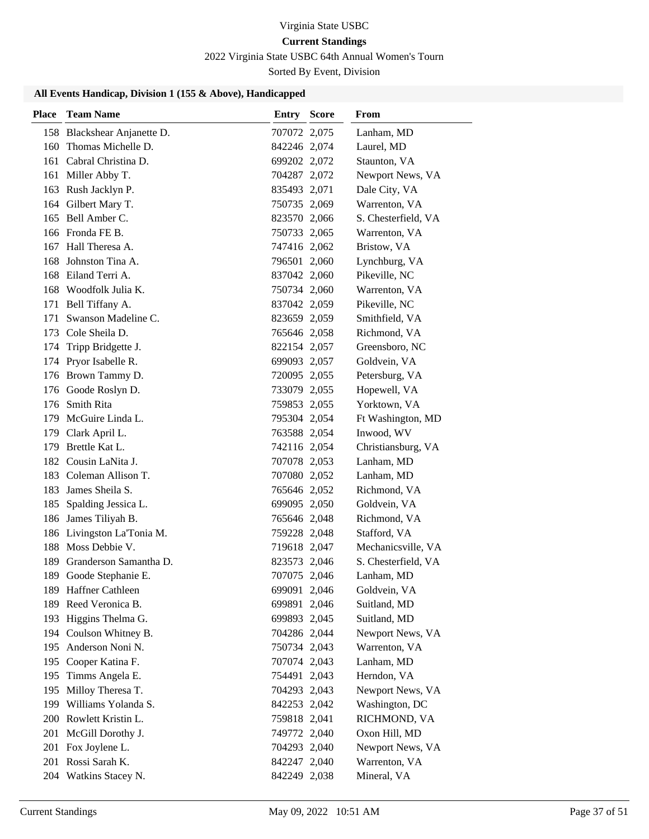# Virginia State USBC

# **Current Standings**

2022 Virginia State USBC 64th Annual Women's Tourn

Sorted By Event, Division

| <b>Place</b> | <b>Team Name</b>                             | Entry                        | <b>Score</b> | From                               |
|--------------|----------------------------------------------|------------------------------|--------------|------------------------------------|
|              | 158 Blackshear Anjanette D.                  | 707072 2,075                 |              | Lanham, MD                         |
| 160          | Thomas Michelle D.                           | 842246 2,074                 |              | Laurel, MD                         |
|              | 161 Cabral Christina D.                      | 699202 2,072                 |              | Staunton, VA                       |
|              | 161 Miller Abby T.                           | 704287 2,072                 |              | Newport News, VA                   |
|              | 163 Rush Jacklyn P.                          | 835493 2,071                 |              | Dale City, VA                      |
|              | 164 Gilbert Mary T.                          | 750735 2,069                 |              | Warrenton, VA                      |
|              | 165 Bell Amber C.                            | 823570 2,066                 |              | S. Chesterfield, VA                |
|              | 166 Fronda FE B.                             | 750733 2,065                 |              | Warrenton, VA                      |
|              | 167 Hall Theresa A.                          | 747416 2,062                 |              | Bristow, VA                        |
| 168          | Johnston Tina A.                             | 796501 2,060                 |              | Lynchburg, VA                      |
|              | 168 Eiland Terri A.                          | 837042 2,060                 |              | Pikeville, NC                      |
|              | 168 Woodfolk Julia K.                        | 750734 2,060                 |              | Warrenton, VA                      |
|              | 171 Bell Tiffany A.                          | 837042 2,059                 |              | Pikeville, NC                      |
| 171          | Swanson Madeline C.                          | 823659 2,059                 |              | Smithfield, VA                     |
|              | 173 Cole Sheila D.                           | 765646 2,058                 |              | Richmond, VA                       |
| 174          | Tripp Bridgette J.                           | 822154 2,057                 |              | Greensboro, NC                     |
|              | 174 Pryor Isabelle R.                        | 699093 2,057                 |              | Goldvein, VA                       |
|              | 176 Brown Tammy D.                           | 720095 2,055                 |              | Petersburg, VA                     |
|              | 176 Goode Roslyn D.                          | 733079 2,055                 |              | Hopewell, VA                       |
|              | 176 Smith Rita                               | 759853 2,055                 |              | Yorktown, VA                       |
|              | 179 McGuire Linda L.                         | 795304 2,054                 |              | Ft Washington, MD                  |
|              | 179 Clark April L.                           | 763588 2,054                 |              | Inwood, WV                         |
|              | 179 Brettle Kat L.                           | 742116 2,054                 |              | Christiansburg, VA                 |
|              | 182 Cousin LaNita J.                         | 707078 2,053                 |              | Lanham, MD                         |
|              | 183 Coleman Allison T.                       | 707080 2,052                 |              | Lanham, MD                         |
| 183          | James Sheila S.                              | 765646 2,052                 |              | Richmond, VA                       |
|              | 185 Spalding Jessica L.                      | 699095 2,050                 |              | Goldvein, VA                       |
| 186          | James Tiliyah B.                             | 765646 2,048                 |              | Richmond, VA                       |
|              | 186 Livingston La'Tonia M.                   | 759228 2,048                 |              | Stafford, VA                       |
|              | 188 Moss Debbie V.                           | 719618 2,047                 |              | Mechanicsville, VA                 |
|              | 189 Granderson Samantha D.                   | 823573 2,046                 |              | S. Chesterfield, VA                |
| 189          | Goode Stephanie E.                           | 707075 2,046                 |              | Lanham, MD                         |
|              | 189 Haffner Cathleen                         | 699091 2,046                 |              | Goldvein, VA                       |
|              | 189 Reed Veronica B.                         | 699891 2,046                 |              | Suitland, MD                       |
|              | 193 Higgins Thelma G.                        | 699893 2,045                 |              | Suitland, MD                       |
|              | 194 Coulson Whitney B.                       | 704286 2,044                 |              | Newport News, VA                   |
| 195          | Anderson Noni N.<br>Cooper Katina F.         | 750734 2,043                 |              | Warrenton, VA                      |
| 195          |                                              | 707074 2,043                 |              | Lanham, MD                         |
| 195          | Timms Angela E.                              | 754491 2,043                 |              | Herndon, VA                        |
| 195          | Milloy Theresa T.<br>199 Williams Yolanda S. | 704293 2,043<br>842253 2,042 |              | Newport News, VA<br>Washington, DC |
|              | 200 Rowlett Kristin L.                       | 759818 2,041                 |              |                                    |
|              |                                              | 749772 2,040                 |              | RICHMOND, VA                       |
|              | 201 McGill Dorothy J.                        | 704293 2,040                 |              | Oxon Hill, MD                      |
| 201          | 201 Fox Joylene L.<br>Rossi Sarah K.         |                              |              | Newport News, VA<br>Warrenton, VA  |
|              |                                              | 842247 2,040                 |              |                                    |
|              | 204 Watkins Stacey N.                        | 842249 2,038                 |              | Mineral, VA                        |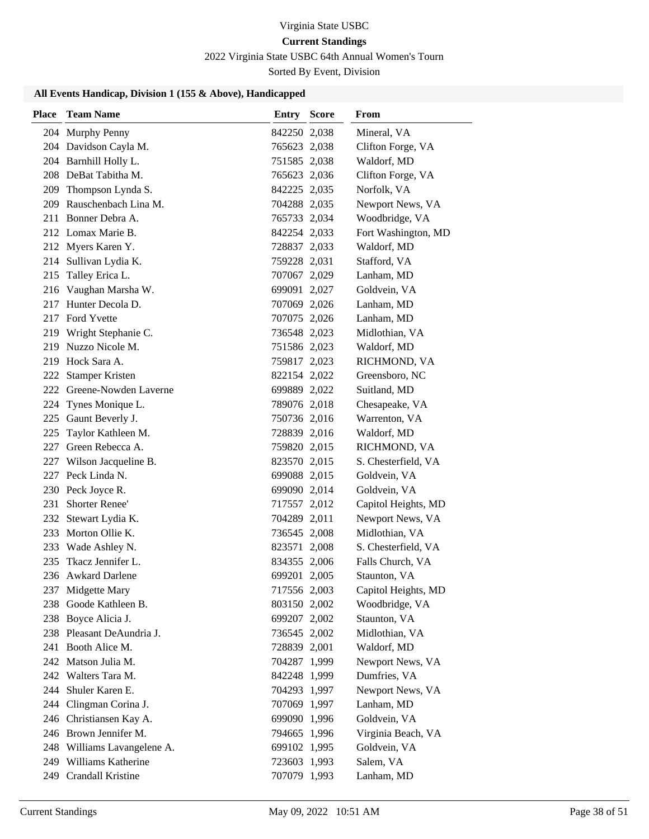# Virginia State USBC

# **Current Standings**

2022 Virginia State USBC 64th Annual Women's Tourn

Sorted By Event, Division

| <b>Place</b> | <b>Team Name</b>                           | <b>Entry Score</b>           | From                           |
|--------------|--------------------------------------------|------------------------------|--------------------------------|
|              | 204 Murphy Penny                           | 842250 2,038                 | Mineral, VA                    |
|              | 204 Davidson Cayla M.                      | 765623 2,038                 | Clifton Forge, VA              |
|              | 204 Barnhill Holly L.                      | 751585 2,038                 | Waldorf, MD                    |
|              | 208 DeBat Tabitha M.                       | 765623 2,036                 | Clifton Forge, VA              |
|              | 209 Thompson Lynda S.                      | 842225 2,035                 | Norfolk, VA                    |
|              | 209 Rauschenbach Lina M.                   | 704288 2,035                 | Newport News, VA               |
|              | 211 Bonner Debra A.                        | 765733 2,034                 | Woodbridge, VA                 |
|              | 212 Lomax Marie B.                         | 842254 2,033                 | Fort Washington, MD            |
|              | 212 Myers Karen Y.                         | 728837 2,033                 | Waldorf, MD                    |
|              | 214 Sullivan Lydia K.                      | 759228 2,031                 | Stafford, VA                   |
| 215          | Talley Erica L.                            | 707067 2,029                 | Lanham, MD                     |
|              | 216 Vaughan Marsha W.                      | 699091 2,027                 | Goldvein, VA                   |
|              | 217 Hunter Decola D.                       | 707069 2,026                 | Lanham, MD                     |
|              | 217 Ford Yvette                            | 707075 2,026                 | Lanham, MD                     |
|              | 219 Wright Stephanie C.                    | 736548 2,023                 | Midlothian, VA                 |
|              | 219 Nuzzo Nicole M.                        | 751586 2,023                 | Waldorf, MD                    |
|              | 219 Hock Sara A.                           | 759817 2,023                 | RICHMOND, VA                   |
| 222          | <b>Stamper Kristen</b>                     | 822154 2,022                 | Greensboro, NC                 |
|              | 222 Greene-Nowden Laverne                  | 699889 2,022                 | Suitland, MD                   |
|              | 224 Tynes Monique L.                       | 789076 2,018                 | Chesapeake, VA                 |
|              | 225 Gaunt Beverly J.                       | 750736 2,016                 | Warrenton, VA                  |
| 225          | Taylor Kathleen M.                         | 728839 2,016                 | Waldorf, MD                    |
|              | 227 Green Rebecca A.                       | 759820 2,015                 | RICHMOND, VA                   |
| 227          | Wilson Jacqueline B.                       | 823570 2,015                 | S. Chesterfield, VA            |
|              | 227 Peck Linda N.                          | 699088 2,015                 | Goldvein, VA                   |
|              | 230 Peck Joyce R.                          | 699090 2,014                 | Goldvein, VA                   |
| 231          | Shorter Renee'                             | 717557 2,012                 | Capitol Heights, MD            |
|              | 232 Stewart Lydia K.                       | 704289 2,011                 | Newport News, VA               |
|              | 233 Morton Ollie K.                        | 736545 2,008                 | Midlothian, VA                 |
|              | 233 Wade Ashley N.                         | 823571 2,008                 | S. Chesterfield, VA            |
| 235          | Tkacz Jennifer L.                          | 834355 2,006                 | Falls Church, VA               |
|              | 236 Awkard Darlene                         | 699201 2,005                 | Staunton, VA                   |
|              | 237 Midgette Mary<br>238 Goode Kathleen B. | 717556 2,003                 | Capitol Heights, MD            |
|              | 238 Boyce Alicia J.                        | 803150 2,002<br>699207 2,002 | Woodbridge, VA<br>Staunton, VA |
|              | 238 Pleasant DeAundria J.                  | 736545 2,002                 | Midlothian, VA                 |
|              | 241 Booth Alice M.                         | 728839 2,001                 | Waldorf, MD                    |
|              | 242 Matson Julia M.                        | 704287 1,999                 | Newport News, VA               |
|              | 242 Walters Tara M.                        | 842248 1,999                 | Dumfries, VA                   |
| 244          | Shuler Karen E.                            | 704293 1,997                 | Newport News, VA               |
| 244          | Clingman Corina J.                         | 707069 1,997                 | Lanham, MD                     |
|              | 246 Christiansen Kay A.                    | 699090 1,996                 | Goldvein, VA                   |
|              | 246 Brown Jennifer M.                      | 794665 1,996                 | Virginia Beach, VA             |
|              | 248 Williams Lavangelene A.                | 699102 1,995                 | Goldvein, VA                   |
|              | 249 Williams Katherine                     | 723603 1,993                 | Salem, VA                      |
| 249          | Crandall Kristine                          | 707079 1,993                 | Lanham, MD                     |
|              |                                            |                              |                                |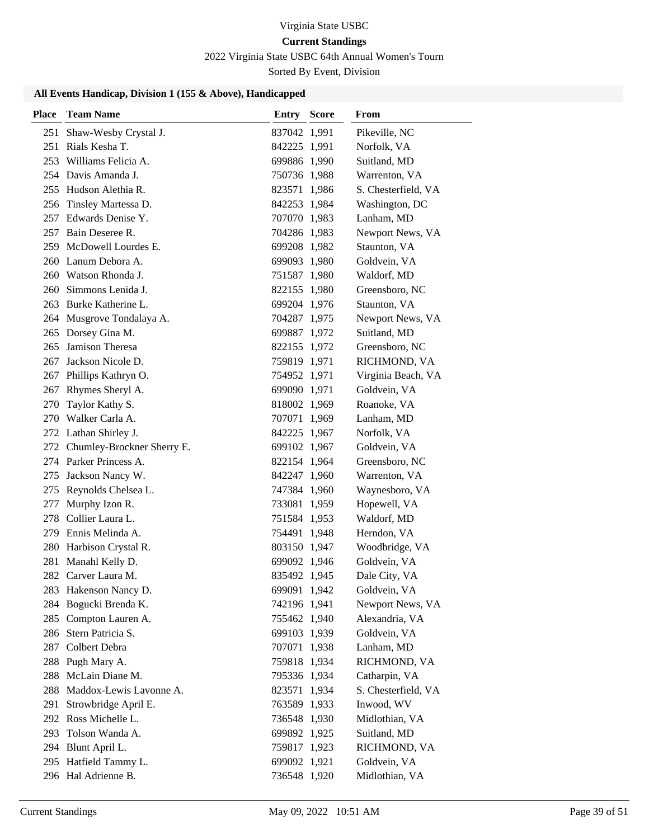# 2022 Virginia State USBC 64th Annual Women's Tourn

Sorted By Event, Division

| Place | <b>Team Name</b>               | <b>Entry Score</b> | From                |
|-------|--------------------------------|--------------------|---------------------|
| 251   | Shaw-Wesby Crystal J.          | 837042 1,991       | Pikeville, NC       |
| 251   | Rials Kesha T.                 | 842225 1,991       | Norfolk, VA         |
|       | 253 Williams Felicia A.        | 699886 1,990       | Suitland, MD        |
|       | 254 Davis Amanda J.            | 750736 1,988       | Warrenton, VA       |
|       | 255 Hudson Alethia R.          | 823571 1,986       | S. Chesterfield, VA |
| 256   | Tinsley Martessa D.            | 842253 1,984       | Washington, DC      |
|       | 257 Edwards Denise Y.          | 707070 1,983       | Lanham, MD          |
|       | 257 Bain Deseree R.            | 704286 1,983       | Newport News, VA    |
|       | 259 McDowell Lourdes E.        | 699208 1,982       | Staunton, VA        |
|       | 260 Lanum Debora A.            | 699093 1,980       | Goldvein, VA        |
|       | 260 Watson Rhonda J.           | 751587 1,980       | Waldorf, MD         |
|       | 260 Simmons Lenida J.          | 822155 1,980       | Greensboro, NC      |
|       | 263 Burke Katherine L.         | 699204 1,976       | Staunton, VA        |
|       | 264 Musgrove Tondalaya A.      | 704287 1,975       | Newport News, VA    |
|       | 265 Dorsey Gina M.             | 699887 1,972       | Suitland, MD        |
| 265   | Jamison Theresa                | 822155 1,972       | Greensboro, NC      |
| 267   | Jackson Nicole D.              | 759819 1,971       | RICHMOND, VA        |
| 267   | Phillips Kathryn O.            | 754952 1,971       | Virginia Beach, VA  |
|       | 267 Rhymes Sheryl A.           | 699090 1,971       | Goldvein, VA        |
| 270   | Taylor Kathy S.                | 818002 1,969       | Roanoke, VA         |
|       | 270 Walker Carla A.            | 707071 1,969       | Lanham, MD          |
|       | 272 Lathan Shirley J.          | 842225 1,967       | Norfolk, VA         |
|       | 272 Chumley-Brockner Sherry E. | 699102 1,967       | Goldvein, VA        |
|       | 274 Parker Princess A.         | 822154 1,964       | Greensboro, NC      |
|       | 275 Jackson Nancy W.           | 842247 1,960       | Warrenton, VA       |
|       | 275 Reynolds Chelsea L.        | 747384 1,960       | Waynesboro, VA      |
| 277   | Murphy Izon R.                 | 733081 1,959       | Hopewell, VA        |
|       | 278 Collier Laura L.           | 751584 1,953       | Waldorf, MD         |
|       | 279 Ennis Melinda A.           | 754491 1,948       | Herndon, VA         |
|       | 280 Harbison Crystal R.        | 803150 1,947       | Woodbridge, VA      |
|       | 281 Manahl Kelly D.            | 699092 1,946       | Goldvein, VA        |
|       | 282 Carver Laura M.            | 835492 1,945       | Dale City, VA       |
|       | 283 Hakenson Nancy D.          | 699091 1,942       | Goldvein, VA        |
|       | 284 Bogucki Brenda K.          | 742196 1,941       | Newport News, VA    |
|       | 285 Compton Lauren A.          | 755462 1,940       | Alexandria, VA      |
|       | 286 Stern Patricia S.          | 699103 1,939       | Goldvein, VA        |
|       | 287 Colbert Debra              | 707071 1,938       | Lanham, MD          |
|       | 288 Pugh Mary A.               | 759818 1,934       | RICHMOND, VA        |
|       | 288 McLain Diane M.            | 795336 1,934       | Catharpin, VA       |
|       | 288 Maddox-Lewis Lavonne A.    | 823571 1,934       | S. Chesterfield, VA |
|       | 291 Strowbridge April E.       | 763589 1,933       | Inwood, WV          |
|       | 292 Ross Michelle L.           | 736548 1,930       | Midlothian, VA      |
|       | 293 Tolson Wanda A.            | 699892 1,925       | Suitland, MD        |
|       | 294 Blunt April L.             | 759817 1,923       | RICHMOND, VA        |
|       | 295 Hatfield Tammy L.          | 699092 1,921       | Goldvein, VA        |
|       | 296 Hal Adrienne B.            | 736548 1,920       | Midlothian, VA      |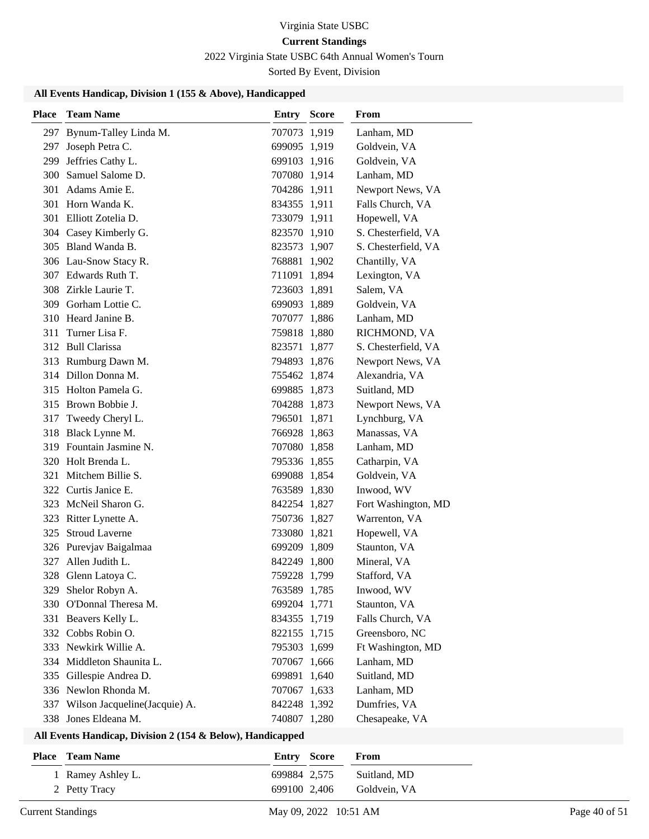# Virginia State USBC

# **Current Standings**

2022 Virginia State USBC 64th Annual Women's Tourn

Sorted By Event, Division

#### **All Events Handicap, Division 1 (155 & Above), Handicapped**

| <b>Place</b> | <b>Team Name</b>              | <b>Entry Score</b> | From                |
|--------------|-------------------------------|--------------------|---------------------|
|              | 297 Bynum-Talley Linda M.     | 707073 1,919       | Lanham, MD          |
| 297          | Joseph Petra C.               | 699095 1,919       | Goldvein, VA        |
| 299          | Jeffries Cathy L.             | 699103 1,916       | Goldvein, VA        |
| 300          | Samuel Salome D.              | 707080 1,914       | Lanham, MD          |
|              | 301 Adams Amie E.             | 704286 1,911       | Newport News, VA    |
|              | 301 Horn Wanda K.             | 834355 1,911       | Falls Church, VA    |
|              | 301 Elliott Zotelia D.        | 733079 1,911       | Hopewell, VA        |
|              | 304 Casey Kimberly G.         | 823570 1,910       | S. Chesterfield, VA |
|              | 305 Bland Wanda B.            | 823573 1,907       | S. Chesterfield, VA |
|              | 306 Lau-Snow Stacy R.         | 768881 1,902       | Chantilly, VA       |
|              | 307 Edwards Ruth T.           | 711091 1,894       | Lexington, VA       |
|              | 308 Zirkle Laurie T.          | 723603 1,891       | Salem, VA           |
|              | 309 Gorham Lottie C.          | 699093 1,889       | Goldvein, VA        |
|              | 310 Heard Janine B.           | 707077 1,886       | Lanham, MD          |
| 311          | Turner Lisa F.                | 759818 1,880       | RICHMOND, VA        |
|              | 312 Bull Clarissa             | 823571 1,877       | S. Chesterfield, VA |
|              | 313 Rumburg Dawn M.           | 794893 1,876       | Newport News, VA    |
|              | 314 Dillon Donna M.           | 755462 1,874       | Alexandria, VA      |
|              | 315 Holton Pamela G.          | 699885 1,873       | Suitland, MD        |
|              | 315 Brown Bobbie J.           | 704288 1,873       | Newport News, VA    |
| 317          | Tweedy Cheryl L.              | 796501 1,871       | Lynchburg, VA       |
|              | 318 Black Lynne M.            | 766928 1,863       | Manassas, VA        |
|              | 319 Fountain Jasmine N.       | 707080 1,858       | Lanham, MD          |
|              | 320 Holt Brenda L.            | 795336 1,855       | Catharpin, VA       |
| 321          | Mitchem Billie S.             | 699088 1,854       | Goldvein, VA        |
|              | 322 Curtis Janice E.          | 763589 1,830       | Inwood, WV          |
|              | 323 McNeil Sharon G.          | 842254 1,827       | Fort Washington, MD |
| 323          | Ritter Lynette A.             | 750736 1,827       | Warrenton, VA       |
| 325          | <b>Stroud Laverne</b>         | 733080 1,821       | Hopewell, VA        |
|              | 326 Purevjav Baigalmaa        | 699209 1,809       | Staunton, VA        |
|              | 327 Allen Judith L.           | 842249 1,800       | Mineral, VA         |
| 328          | Glenn Latoya C.               | 759228 1,799       | Stafford, VA        |
|              | 329 Shelor Robyn A.           | 763589 1,785       | Inwood, WV          |
|              | 330 O'Donnal Theresa M.       | 699204 1,771       | Staunton, VA        |
|              | 331 Beavers Kelly L.          | 834355 1,719       | Falls Church, VA    |
|              | 332 Cobbs Robin O.            | 822155 1,715       | Greensboro, NC      |
|              | 333 Newkirk Willie A.         | 795303 1,699       | Ft Washington, MD   |
|              | 334 Middleton Shaunita L.     | 707067 1,666       | Lanham, MD          |
|              | 335 Gillespie Andrea D.       | 699891 1,640       | Suitland, MD        |
|              | 336 Newlon Rhonda M.          | 707067 1,633       | Lanham, MD          |
| 337          | Wilson Jacqueline(Jacquie) A. | 842248 1,392       | Dumfries, VA        |
| 338          | Jones Eldeana M.              | 740807 1,280       | Chesapeake, VA      |

| <b>Place</b> Team Name | Entry Score  | <b>From</b>  |
|------------------------|--------------|--------------|
| 1 Ramey Ashley L.      | 699884 2.575 | Suitland, MD |
| 2 Petty Tracy          | 699100 2.406 | Goldvein. VA |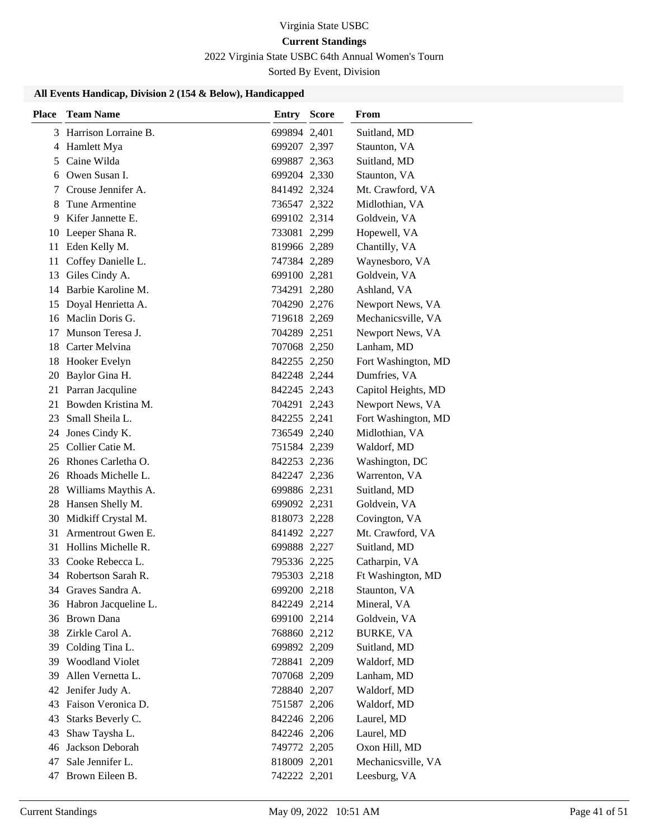# 2022 Virginia State USBC 64th Annual Women's Tourn

Sorted By Event, Division

| <b>Place</b> | <b>Team Name</b>        | <b>Entry Score</b> | From                |
|--------------|-------------------------|--------------------|---------------------|
|              | 3 Harrison Lorraine B.  | 699894 2,401       | Suitland, MD        |
| 4            | Hamlett Mya             | 699207 2,397       | Staunton, VA        |
|              | 5 Caine Wilda           | 699887 2,363       | Suitland, MD        |
|              | 6 Owen Susan I.         | 699204 2,330       | Staunton, VA        |
|              | 7 Crouse Jennifer A.    | 841492 2,324       | Mt. Crawford, VA    |
| 8            | Tune Armentine          | 736547 2,322       | Midlothian, VA      |
| 9            | Kifer Jannette E.       | 699102 2,314       | Goldvein, VA        |
| 10           | Leeper Shana R.         | 733081 2,299       | Hopewell, VA        |
| 11           | Eden Kelly M.           | 819966 2,289       | Chantilly, VA       |
| 11           | Coffey Danielle L.      | 747384 2,289       | Waynesboro, VA      |
|              | 13 Giles Cindy A.       | 699100 2,281       | Goldvein, VA        |
|              | 14 Barbie Karoline M.   | 734291 2,280       | Ashland, VA         |
| 15           | Doyal Henrietta A.      | 704290 2,276       | Newport News, VA    |
|              | 16 Maclin Doris G.      | 719618 2,269       | Mechanicsville, VA  |
| 17           | Munson Teresa J.        | 704289 2,251       | Newport News, VA    |
|              | 18 Carter Melvina       | 707068 2,250       | Lanham, MD          |
| 18           | Hooker Evelyn           | 842255 2,250       | Fort Washington, MD |
| 20           | Baylor Gina H.          | 842248 2,244       | Dumfries, VA        |
| 21           | Parran Jacquline        | 842245 2,243       | Capitol Heights, MD |
| 21           | Bowden Kristina M.      | 704291 2,243       | Newport News, VA    |
| 23           | Small Sheila L.         | 842255 2,241       | Fort Washington, MD |
| 24           | Jones Cindy K.          | 736549 2,240       | Midlothian, VA      |
|              | 25 Collier Catie M.     | 751584 2,239       | Waldorf, MD         |
| 26           | Rhones Carletha O.      | 842253 2,236       | Washington, DC      |
|              | 26 Rhoads Michelle L.   | 842247 2,236       | Warrenton, VA       |
| 28           | Williams Maythis A.     | 699886 2,231       | Suitland, MD        |
|              | 28 Hansen Shelly M.     | 699092 2,231       | Goldvein, VA        |
| 30           | Midkiff Crystal M.      | 818073 2,228       | Covington, VA       |
| 31           | Armentrout Gwen E.      | 841492 2,227       | Mt. Crawford, VA    |
| 31           | Hollins Michelle R.     | 699888 2,227       | Suitland, MD        |
|              | 33 Cooke Rebecca L.     | 795336 2,225       | Catharpin, VA       |
|              | 34 Robertson Sarah R.   | 795303 2,218       | Ft Washington, MD   |
|              | 34 Graves Sandra A.     | 699200 2,218       | Staunton, VA        |
|              | 36 Habron Jacqueline L. | 842249 2,214       | Mineral, VA         |
|              | 36 Brown Dana           | 699100 2,214       | Goldvein, VA        |
|              | 38 Zirkle Carol A.      | 768860 2,212       | <b>BURKE, VA</b>    |
| 39           | Colding Tina L.         | 699892 2,209       | Suitland, MD        |
| 39           | <b>Woodland Violet</b>  | 728841 2,209       | Waldorf, MD         |
| 39           | Allen Vernetta L.       | 707068 2,209       | Lanham, MD          |
| 42           | Jenifer Judy A.         | 728840 2,207       | Waldorf, MD         |
| 43           | Faison Veronica D.      | 751587 2,206       | Waldorf, MD         |
| 43           | Starks Beverly C.       | 842246 2,206       | Laurel, MD          |
| 43           | Shaw Taysha L.          | 842246 2,206       | Laurel, MD          |
| 46           | Jackson Deborah         | 749772 2,205       | Oxon Hill, MD       |
| 47           | Sale Jennifer L.        | 818009 2,201       | Mechanicsville, VA  |
| 47           | Brown Eileen B.         | 742222 2,201       | Leesburg, VA        |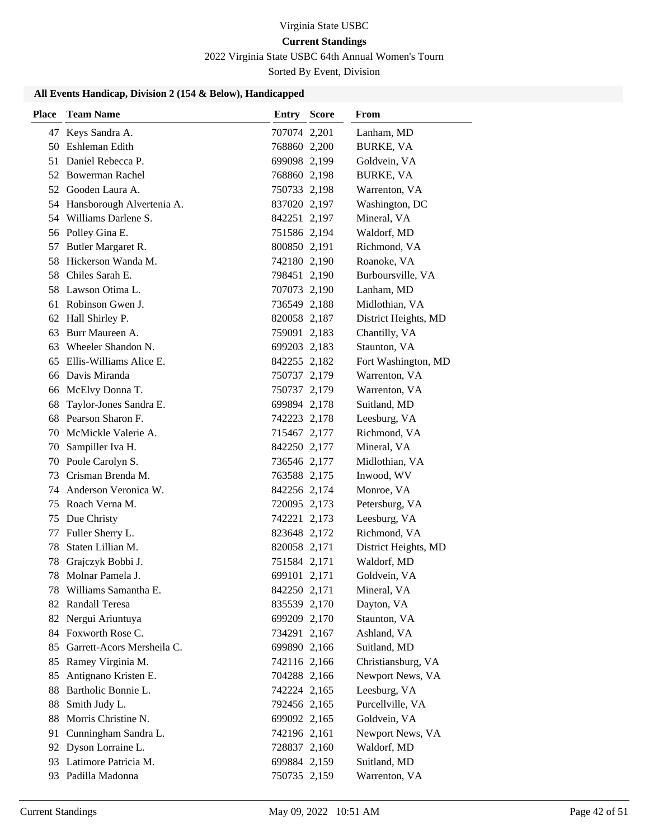# 2022 Virginia State USBC 64th Annual Women's Tourn

Sorted By Event, Division

| <b>Place</b> | <b>Team Name</b>             | <b>Entry Score</b> | From                 |
|--------------|------------------------------|--------------------|----------------------|
|              | 47 Keys Sandra A.            | 707074 2,201       | Lanham, MD           |
|              | 50 Eshleman Edith            | 768860 2,200       | <b>BURKE, VA</b>     |
|              | 51 Daniel Rebecca P.         | 699098 2,199       | Goldvein, VA         |
|              | 52 Bowerman Rachel           | 768860 2,198       | <b>BURKE, VA</b>     |
|              | 52 Gooden Laura A.           | 750733 2,198       | Warrenton, VA        |
|              | 54 Hansborough Alvertenia A. | 837020 2,197       | Washington, DC       |
|              | 54 Williams Darlene S.       | 842251 2,197       | Mineral, VA          |
|              | 56 Polley Gina E.            | 751586 2,194       | Waldorf, MD          |
| 57           | Butler Margaret R.           | 800850 2,191       | Richmond, VA         |
|              | 58 Hickerson Wanda M.        | 742180 2,190       | Roanoke, VA          |
|              | 58 Chiles Sarah E.           | 798451 2,190       | Burboursville, VA    |
|              | 58 Lawson Otima L.           | 707073 2,190       | Lanham, MD           |
| 61           | Robinson Gwen J.             | 736549 2,188       | Midlothian, VA       |
|              | 62 Hall Shirley P.           | 820058 2,187       | District Heights, MD |
| 63           | Burr Maureen A.              | 759091 2,183       | Chantilly, VA        |
| 63           | Wheeler Shandon N.           | 699203 2,183       | Staunton, VA         |
| 65           | Ellis-Williams Alice E.      | 842255 2,182       | Fort Washington, MD  |
|              | 66 Davis Miranda             | 750737 2,179       | Warrenton, VA        |
|              | 66 McElvy Donna T.           | 750737 2,179       | Warrenton, VA        |
| 68           | Taylor-Jones Sandra E.       | 699894 2,178       | Suitland, MD         |
| 68           | Pearson Sharon F.            | 742223 2,178       | Leesburg, VA         |
| 70           | McMickle Valerie A.          | 715467 2,177       | Richmond, VA         |
| 70           | Sampiller Iva H.             | 842250 2,177       | Mineral, VA          |
| 70           | Poole Carolyn S.             | 736546 2,177       | Midlothian, VA       |
| 73           | Crisman Brenda M.            | 763588 2,175       | Inwood, WV           |
|              | 74 Anderson Veronica W.      | 842256 2,174       | Monroe, VA           |
|              | 75 Roach Verna M.            | 720095 2,173       | Petersburg, VA       |
| 75           | Due Christy                  | 742221 2,173       | Leesburg, VA         |
| 77           | Fuller Sherry L.             | 823648 2,172       | Richmond, VA         |
| 78           | Staten Lillian M.            | 820058 2,171       | District Heights, MD |
| 78           | Grajczyk Bobbi J.            | 751584 2,171       | Waldorf, MD          |
| 78           | Molnar Pamela J.             | 699101 2,171       | Goldvein, VA         |
|              | 78 Williams Samantha E.      | 842250 2,171       | Mineral, VA          |
|              | 82 Randall Teresa            | 835539 2,170       | Dayton, VA           |
|              | 82 Nergui Ariuntuya          | 699209 2,170       | Staunton, VA         |
|              | 84 Foxworth Rose C.          | 734291 2,167       | Ashland, VA          |
| 85           | Garrett-Acors Mersheila C.   | 699890 2,166       | Suitland, MD         |
| 85           | Ramey Virginia M.            | 742116 2,166       | Christiansburg, VA   |
| 85           | Antignano Kristen E.         | 704288 2,166       | Newport News, VA     |
| 88           | Bartholic Bonnie L.          | 742224 2,165       | Leesburg, VA         |
| 88           | Smith Judy L.                | 792456 2,165       | Purcellville, VA     |
| 88           | Morris Christine N.          | 699092 2,165       | Goldvein, VA         |
| 91           | Cunningham Sandra L.         | 742196 2,161       | Newport News, VA     |
|              | 92 Dyson Lorraine L.         | 728837 2,160       | Waldorf, MD          |
| 93           | Latimore Patricia M.         | 699884 2,159       | Suitland, MD         |
|              | 93 Padilla Madonna           | 750735 2,159       | Warrenton, VA        |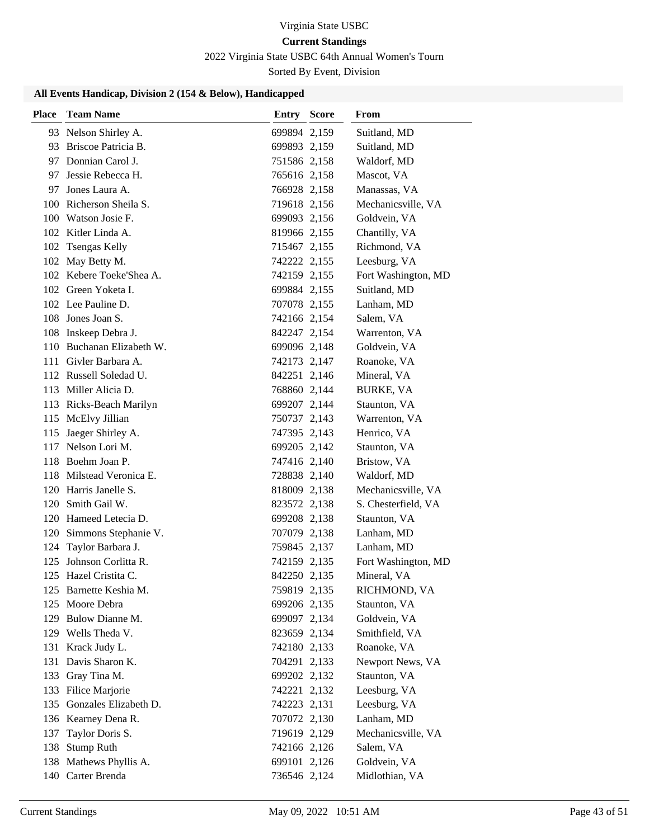# Virginia State USBC

# **Current Standings**

2022 Virginia State USBC 64th Annual Women's Tourn

Sorted By Event, Division

| <b>Place</b> | <b>Team Name</b>                          | <b>Entry Score</b>           | From                           |
|--------------|-------------------------------------------|------------------------------|--------------------------------|
|              | 93 Nelson Shirley A.                      | 699894 2,159                 | Suitland, MD                   |
|              | 93 Briscoe Patricia B.                    | 699893 2,159                 | Suitland, MD                   |
|              | 97 Donnian Carol J.                       | 751586 2,158                 | Waldorf, MD                    |
|              | 97 Jessie Rebecca H.                      | 765616 2,158                 | Mascot, VA                     |
| 97           | Jones Laura A.                            | 766928 2,158                 | Manassas, VA                   |
|              | 100 Richerson Sheila S.                   | 719618 2,156                 | Mechanicsville, VA             |
|              | 100 Watson Josie F.                       | 699093 2,156                 | Goldvein, VA                   |
|              | 102 Kitler Linda A.                       | 819966 2,155                 | Chantilly, VA                  |
| 102          | <b>Tsengas Kelly</b>                      | 715467 2,155                 | Richmond, VA                   |
|              | 102 May Betty M.                          | 742222 2,155                 | Leesburg, VA                   |
|              | 102 Kebere Toeke'Shea A.                  | 742159 2,155                 | Fort Washington, MD            |
|              | 102 Green Yoketa I.                       | 699884 2,155                 | Suitland, MD                   |
|              | 102 Lee Pauline D.                        | 707078 2,155                 | Lanham, MD                     |
|              | 108 Jones Joan S.                         | 742166 2,154                 | Salem, VA                      |
|              | 108 Inskeep Debra J.                      | 842247 2,154                 | Warrenton, VA                  |
|              | 110 Buchanan Elizabeth W.                 | 699096 2,148                 | Goldvein, VA                   |
|              | 111 Givler Barbara A.                     | 742173 2,147                 | Roanoke, VA                    |
|              | 112 Russell Soledad U.                    | 842251 2,146                 | Mineral, VA                    |
|              | 113 Miller Alicia D.                      | 768860 2,144                 | <b>BURKE, VA</b>               |
|              | 113 Ricks-Beach Marilyn                   | 699207 2,144                 | Staunton, VA                   |
|              | 115 McElvy Jillian                        | 750737 2,143                 | Warrenton, VA                  |
| 115          | Jaeger Shirley A.                         | 747395 2,143                 | Henrico, VA                    |
|              | 117 Nelson Lori M.                        | 699205 2,142                 | Staunton, VA                   |
|              | 118 Boehm Joan P.                         | 747416 2,140                 | Bristow, VA                    |
|              | 118 Milstead Veronica E.                  | 728838 2,140                 | Waldorf, MD                    |
|              | 120 Harris Janelle S.                     | 818009 2,138                 | Mechanicsville, VA             |
|              | 120 Smith Gail W.                         | 823572 2,138                 | S. Chesterfield, VA            |
|              | 120 Hameed Letecia D.                     | 699208 2,138                 | Staunton, VA                   |
|              | 120 Simmons Stephanie V.                  | 707079 2,138                 | Lanham, MD                     |
|              | 124 Taylor Barbara J.                     | 759845 2,137                 | Lanham, MD                     |
|              | 125 Johnson Corlitta R.                   | 742159 2,135                 | Fort Washington, MD            |
|              | 125 Hazel Cristita C.                     | 842250 2,135                 | Mineral, VA                    |
|              | 125 Barnette Keshia M.                    | 759819 2,135                 | RICHMOND, VA                   |
|              | 125 Moore Debra                           | 699206 2,135                 | Staunton, VA                   |
|              | 129 Bulow Dianne M.<br>129 Wells Theda V. | 699097 2,134                 | Goldvein, VA<br>Smithfield, VA |
|              | 131 Krack Judy L.                         | 823659 2,134<br>742180 2,133 | Roanoke, VA                    |
| 131          | Davis Sharon K.                           | 704291 2,133                 | Newport News, VA               |
| 133          | Gray Tina M.                              | 699202 2,132                 | Staunton, VA                   |
| 133          | Filice Marjorie                           | 742221 2,132                 | Leesburg, VA                   |
| 135          | Gonzales Elizabeth D.                     | 742223 2,131                 | Leesburg, VA                   |
|              | 136 Kearney Dena R.                       | 707072 2,130                 | Lanham, MD                     |
| 137          | Taylor Doris S.                           | 719619 2,129                 | Mechanicsville, VA             |
| 138          | <b>Stump Ruth</b>                         | 742166 2,126                 | Salem, VA                      |
|              | 138 Mathews Phyllis A.                    | 699101 2,126                 | Goldvein, VA                   |
|              | 140 Carter Brenda                         | 736546 2,124                 | Midlothian, VA                 |
|              |                                           |                              |                                |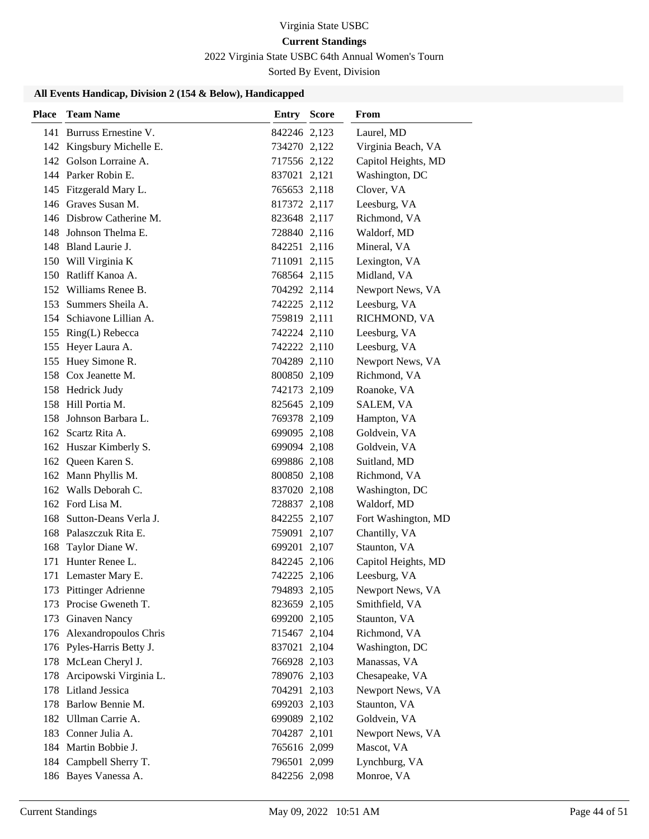# Virginia State USBC

# **Current Standings**

2022 Virginia State USBC 64th Annual Women's Tourn

Sorted By Event, Division

| <b>Place</b> | <b>Team Name</b>           | Entry        | <b>Score</b> | From                |
|--------------|----------------------------|--------------|--------------|---------------------|
|              | 141 Burruss Ernestine V.   | 842246 2,123 |              | Laurel, MD          |
|              | 142 Kingsbury Michelle E.  | 734270 2,122 |              | Virginia Beach, VA  |
|              | 142 Golson Lorraine A.     | 717556 2,122 |              | Capitol Heights, MD |
|              | 144 Parker Robin E.        | 837021 2,121 |              | Washington, DC      |
|              | 145 Fitzgerald Mary L.     | 765653 2,118 |              | Clover, VA          |
|              | 146 Graves Susan M.        | 817372 2,117 |              | Leesburg, VA        |
|              | 146 Disbrow Catherine M.   | 823648 2,117 |              | Richmond, VA        |
|              | 148 Johnson Thelma E.      | 728840 2,116 |              | Waldorf, MD         |
|              | 148 Bland Laurie J.        | 842251 2,116 |              | Mineral, VA         |
|              | 150 Will Virginia K        | 711091 2,115 |              | Lexington, VA       |
|              | 150 Ratliff Kanoa A.       | 768564 2,115 |              | Midland, VA         |
|              | 152 Williams Renee B.      | 704292 2,114 |              | Newport News, VA    |
|              | 153 Summers Sheila A.      | 742225 2,112 |              | Leesburg, VA        |
|              | 154 Schiavone Lillian A.   | 759819 2,111 |              | RICHMOND, VA        |
|              | 155 Ring(L) Rebecca        | 742224 2,110 |              | Leesburg, VA        |
|              | 155 Heyer Laura A.         | 742222 2,110 |              | Leesburg, VA        |
|              | 155 Huey Simone R.         | 704289 2,110 |              | Newport News, VA    |
|              | 158 Cox Jeanette M.        | 800850 2,109 |              | Richmond, VA        |
|              | 158 Hedrick Judy           | 742173 2,109 |              | Roanoke, VA         |
|              | 158 Hill Portia M.         | 825645 2,109 |              | SALEM, VA           |
|              | 158 Johnson Barbara L.     | 769378 2,109 |              | Hampton, VA         |
|              | 162 Scartz Rita A.         | 699095 2,108 |              | Goldvein, VA        |
|              | 162 Huszar Kimberly S.     | 699094 2,108 |              | Goldvein, VA        |
|              | 162 Queen Karen S.         | 699886 2,108 |              | Suitland, MD        |
|              | 162 Mann Phyllis M.        | 800850 2,108 |              | Richmond, VA        |
|              | 162 Walls Deborah C.       | 837020 2,108 |              | Washington, DC      |
|              | 162 Ford Lisa M.           | 728837 2,108 |              | Waldorf, MD         |
| 168          | Sutton-Deans Verla J.      | 842255 2,107 |              | Fort Washington, MD |
|              | 168 Palaszczuk Rita E.     | 759091 2,107 |              | Chantilly, VA       |
| 168          | Taylor Diane W.            | 699201 2,107 |              | Staunton, VA        |
|              | 171 Hunter Renee L.        | 842245 2,106 |              | Capitol Heights, MD |
|              | 171 Lemaster Mary E.       | 742225 2,106 |              | Leesburg, VA        |
|              | 173 Pittinger Adrienne     | 794893 2,105 |              | Newport News, VA    |
|              | 173 Procise Gweneth T.     | 823659 2,105 |              | Smithfield, VA      |
|              | 173 Ginaven Nancy          | 699200 2,105 |              | Staunton, VA        |
|              | 176 Alexandropoulos Chris  | 715467 2,104 |              | Richmond, VA        |
|              | 176 Pyles-Harris Betty J.  | 837021 2,104 |              | Washington, DC      |
|              | 178 McLean Cheryl J.       | 766928 2,103 |              | Manassas, VA        |
|              | 178 Arcipowski Virginia L. | 789076 2,103 |              | Chesapeake, VA      |
|              | 178 Litland Jessica        | 704291 2,103 |              | Newport News, VA    |
|              | 178 Barlow Bennie M.       | 699203 2,103 |              | Staunton, VA        |
|              | 182 Ullman Carrie A.       | 699089 2,102 |              | Goldvein, VA        |
|              | 183 Conner Julia A.        | 704287 2,101 |              | Newport News, VA    |
|              | 184 Martin Bobbie J.       | 765616 2,099 |              | Mascot, VA          |
|              | 184 Campbell Sherry T.     | 796501 2,099 |              | Lynchburg, VA       |
|              | 186 Bayes Vanessa A.       | 842256 2,098 |              | Monroe, VA          |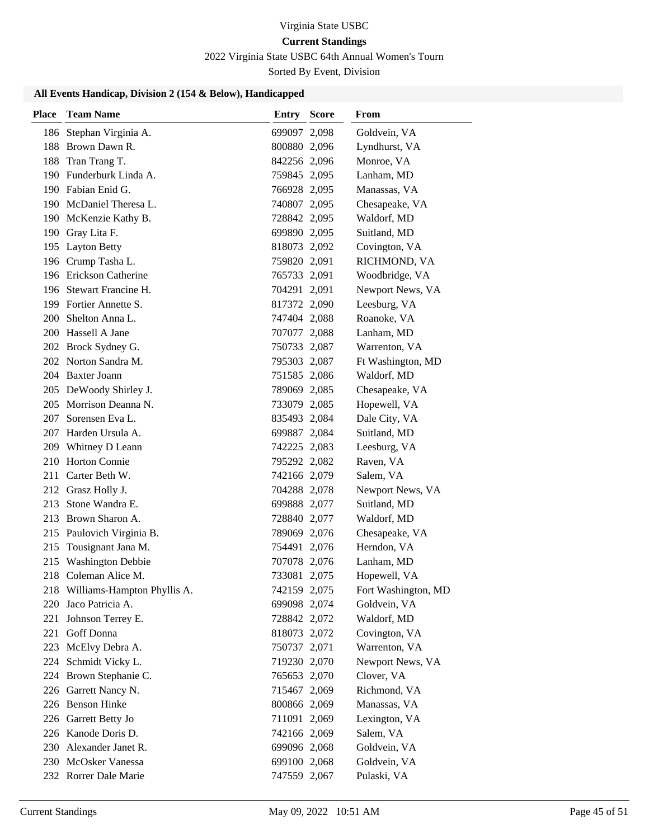## 2022 Virginia State USBC 64th Annual Women's Tourn

Sorted By Event, Division

| 186 Stephan Virginia A.<br>Goldvein, VA<br>699097 2,098<br>188 Brown Dawn R.<br>800880 2,096<br>Lyndhurst, VA<br>Monroe, VA<br>188<br>Tran Trang T.<br>842256 2,096<br>190 Funderburk Linda A.<br>Lanham, MD<br>759845 2,095<br>190 Fabian Enid G.<br>Manassas, VA<br>766928 2,095<br>190 McDaniel Theresa L.<br>740807 2,095<br>Chesapeake, VA<br>190 McKenzie Kathy B.<br>728842 2,095<br>Waldorf, MD<br>190 Gray Lita F.<br>699890 2,095<br>Suitland, MD<br>195 Layton Betty<br>818073 2,092<br>Covington, VA<br>196 Crump Tasha L.<br>759820 2,091<br>RICHMOND, VA<br>196 Erickson Catherine<br>765733 2,091<br>Woodbridge, VA<br>704291 2,091<br>Newport News, VA<br>196 Stewart Francine H.<br>199 Fortier Annette S.<br>Leesburg, VA<br>817372 2,090<br>200 Shelton Anna L.<br>Roanoke, VA<br>747404 2,088<br>200 Hassell A Jane<br>707077 2,088<br>Lanham, MD<br>202 Brock Sydney G.<br>Warrenton, VA<br>750733 2,087<br>202 Norton Sandra M.<br>Ft Washington, MD<br>795303 2,087<br>204 Baxter Joann<br>Waldorf, MD<br>751585 2,086<br>205 DeWoody Shirley J.<br>Chesapeake, VA<br>789069 2,085<br>205 Morrison Deanna N.<br>Hopewell, VA<br>733079 2,085<br>Sorensen Eva L.<br>Dale City, VA<br>207<br>835493 2,084<br>207 Harden Ursula A.<br>699887 2,084<br>Suitland, MD<br>209 Whitney D Leann<br>742225 2,083<br>Leesburg, VA<br>210 Horton Connie<br>795292 2,082<br>Raven, VA<br>Carter Beth W.<br>211<br>742166 2,079<br>Salem, VA<br>212 Grasz Holly J.<br>Newport News, VA<br>704288 2,078<br>213<br>Stone Wandra E.<br>Suitland, MD<br>699888 2,077<br>213<br>Brown Sharon A.<br>728840 2,077<br>Waldorf, MD<br>215 Paulovich Virginia B.<br>Chesapeake, VA<br>789069 2,076<br>Tousignant Jana M.<br>Herndon, VA<br>215<br>754491 2,076<br><b>Washington Debbie</b><br>215<br>707078 2,076<br>Lanham, MD<br>733081 2,075<br>218 Coleman Alice M.<br>Hopewell, VA<br>218 Williams-Hampton Phyllis A.<br>742159 2,075<br>Fort Washington, MD<br>220 Jaco Patricia A.<br>Goldvein, VA<br>699098 2,074 |
|--------------------------------------------------------------------------------------------------------------------------------------------------------------------------------------------------------------------------------------------------------------------------------------------------------------------------------------------------------------------------------------------------------------------------------------------------------------------------------------------------------------------------------------------------------------------------------------------------------------------------------------------------------------------------------------------------------------------------------------------------------------------------------------------------------------------------------------------------------------------------------------------------------------------------------------------------------------------------------------------------------------------------------------------------------------------------------------------------------------------------------------------------------------------------------------------------------------------------------------------------------------------------------------------------------------------------------------------------------------------------------------------------------------------------------------------------------------------------------------------------------------------------------------------------------------------------------------------------------------------------------------------------------------------------------------------------------------------------------------------------------------------------------------------------------------------------------------------------------------------------------------------------------------------------------------------------------------------------------------------------------------------------|
|                                                                                                                                                                                                                                                                                                                                                                                                                                                                                                                                                                                                                                                                                                                                                                                                                                                                                                                                                                                                                                                                                                                                                                                                                                                                                                                                                                                                                                                                                                                                                                                                                                                                                                                                                                                                                                                                                                                                                                                                                          |
|                                                                                                                                                                                                                                                                                                                                                                                                                                                                                                                                                                                                                                                                                                                                                                                                                                                                                                                                                                                                                                                                                                                                                                                                                                                                                                                                                                                                                                                                                                                                                                                                                                                                                                                                                                                                                                                                                                                                                                                                                          |
|                                                                                                                                                                                                                                                                                                                                                                                                                                                                                                                                                                                                                                                                                                                                                                                                                                                                                                                                                                                                                                                                                                                                                                                                                                                                                                                                                                                                                                                                                                                                                                                                                                                                                                                                                                                                                                                                                                                                                                                                                          |
|                                                                                                                                                                                                                                                                                                                                                                                                                                                                                                                                                                                                                                                                                                                                                                                                                                                                                                                                                                                                                                                                                                                                                                                                                                                                                                                                                                                                                                                                                                                                                                                                                                                                                                                                                                                                                                                                                                                                                                                                                          |
|                                                                                                                                                                                                                                                                                                                                                                                                                                                                                                                                                                                                                                                                                                                                                                                                                                                                                                                                                                                                                                                                                                                                                                                                                                                                                                                                                                                                                                                                                                                                                                                                                                                                                                                                                                                                                                                                                                                                                                                                                          |
|                                                                                                                                                                                                                                                                                                                                                                                                                                                                                                                                                                                                                                                                                                                                                                                                                                                                                                                                                                                                                                                                                                                                                                                                                                                                                                                                                                                                                                                                                                                                                                                                                                                                                                                                                                                                                                                                                                                                                                                                                          |
|                                                                                                                                                                                                                                                                                                                                                                                                                                                                                                                                                                                                                                                                                                                                                                                                                                                                                                                                                                                                                                                                                                                                                                                                                                                                                                                                                                                                                                                                                                                                                                                                                                                                                                                                                                                                                                                                                                                                                                                                                          |
|                                                                                                                                                                                                                                                                                                                                                                                                                                                                                                                                                                                                                                                                                                                                                                                                                                                                                                                                                                                                                                                                                                                                                                                                                                                                                                                                                                                                                                                                                                                                                                                                                                                                                                                                                                                                                                                                                                                                                                                                                          |
|                                                                                                                                                                                                                                                                                                                                                                                                                                                                                                                                                                                                                                                                                                                                                                                                                                                                                                                                                                                                                                                                                                                                                                                                                                                                                                                                                                                                                                                                                                                                                                                                                                                                                                                                                                                                                                                                                                                                                                                                                          |
|                                                                                                                                                                                                                                                                                                                                                                                                                                                                                                                                                                                                                                                                                                                                                                                                                                                                                                                                                                                                                                                                                                                                                                                                                                                                                                                                                                                                                                                                                                                                                                                                                                                                                                                                                                                                                                                                                                                                                                                                                          |
|                                                                                                                                                                                                                                                                                                                                                                                                                                                                                                                                                                                                                                                                                                                                                                                                                                                                                                                                                                                                                                                                                                                                                                                                                                                                                                                                                                                                                                                                                                                                                                                                                                                                                                                                                                                                                                                                                                                                                                                                                          |
|                                                                                                                                                                                                                                                                                                                                                                                                                                                                                                                                                                                                                                                                                                                                                                                                                                                                                                                                                                                                                                                                                                                                                                                                                                                                                                                                                                                                                                                                                                                                                                                                                                                                                                                                                                                                                                                                                                                                                                                                                          |
|                                                                                                                                                                                                                                                                                                                                                                                                                                                                                                                                                                                                                                                                                                                                                                                                                                                                                                                                                                                                                                                                                                                                                                                                                                                                                                                                                                                                                                                                                                                                                                                                                                                                                                                                                                                                                                                                                                                                                                                                                          |
|                                                                                                                                                                                                                                                                                                                                                                                                                                                                                                                                                                                                                                                                                                                                                                                                                                                                                                                                                                                                                                                                                                                                                                                                                                                                                                                                                                                                                                                                                                                                                                                                                                                                                                                                                                                                                                                                                                                                                                                                                          |
|                                                                                                                                                                                                                                                                                                                                                                                                                                                                                                                                                                                                                                                                                                                                                                                                                                                                                                                                                                                                                                                                                                                                                                                                                                                                                                                                                                                                                                                                                                                                                                                                                                                                                                                                                                                                                                                                                                                                                                                                                          |
|                                                                                                                                                                                                                                                                                                                                                                                                                                                                                                                                                                                                                                                                                                                                                                                                                                                                                                                                                                                                                                                                                                                                                                                                                                                                                                                                                                                                                                                                                                                                                                                                                                                                                                                                                                                                                                                                                                                                                                                                                          |
|                                                                                                                                                                                                                                                                                                                                                                                                                                                                                                                                                                                                                                                                                                                                                                                                                                                                                                                                                                                                                                                                                                                                                                                                                                                                                                                                                                                                                                                                                                                                                                                                                                                                                                                                                                                                                                                                                                                                                                                                                          |
|                                                                                                                                                                                                                                                                                                                                                                                                                                                                                                                                                                                                                                                                                                                                                                                                                                                                                                                                                                                                                                                                                                                                                                                                                                                                                                                                                                                                                                                                                                                                                                                                                                                                                                                                                                                                                                                                                                                                                                                                                          |
|                                                                                                                                                                                                                                                                                                                                                                                                                                                                                                                                                                                                                                                                                                                                                                                                                                                                                                                                                                                                                                                                                                                                                                                                                                                                                                                                                                                                                                                                                                                                                                                                                                                                                                                                                                                                                                                                                                                                                                                                                          |
|                                                                                                                                                                                                                                                                                                                                                                                                                                                                                                                                                                                                                                                                                                                                                                                                                                                                                                                                                                                                                                                                                                                                                                                                                                                                                                                                                                                                                                                                                                                                                                                                                                                                                                                                                                                                                                                                                                                                                                                                                          |
|                                                                                                                                                                                                                                                                                                                                                                                                                                                                                                                                                                                                                                                                                                                                                                                                                                                                                                                                                                                                                                                                                                                                                                                                                                                                                                                                                                                                                                                                                                                                                                                                                                                                                                                                                                                                                                                                                                                                                                                                                          |
|                                                                                                                                                                                                                                                                                                                                                                                                                                                                                                                                                                                                                                                                                                                                                                                                                                                                                                                                                                                                                                                                                                                                                                                                                                                                                                                                                                                                                                                                                                                                                                                                                                                                                                                                                                                                                                                                                                                                                                                                                          |
|                                                                                                                                                                                                                                                                                                                                                                                                                                                                                                                                                                                                                                                                                                                                                                                                                                                                                                                                                                                                                                                                                                                                                                                                                                                                                                                                                                                                                                                                                                                                                                                                                                                                                                                                                                                                                                                                                                                                                                                                                          |
|                                                                                                                                                                                                                                                                                                                                                                                                                                                                                                                                                                                                                                                                                                                                                                                                                                                                                                                                                                                                                                                                                                                                                                                                                                                                                                                                                                                                                                                                                                                                                                                                                                                                                                                                                                                                                                                                                                                                                                                                                          |
|                                                                                                                                                                                                                                                                                                                                                                                                                                                                                                                                                                                                                                                                                                                                                                                                                                                                                                                                                                                                                                                                                                                                                                                                                                                                                                                                                                                                                                                                                                                                                                                                                                                                                                                                                                                                                                                                                                                                                                                                                          |
|                                                                                                                                                                                                                                                                                                                                                                                                                                                                                                                                                                                                                                                                                                                                                                                                                                                                                                                                                                                                                                                                                                                                                                                                                                                                                                                                                                                                                                                                                                                                                                                                                                                                                                                                                                                                                                                                                                                                                                                                                          |
|                                                                                                                                                                                                                                                                                                                                                                                                                                                                                                                                                                                                                                                                                                                                                                                                                                                                                                                                                                                                                                                                                                                                                                                                                                                                                                                                                                                                                                                                                                                                                                                                                                                                                                                                                                                                                                                                                                                                                                                                                          |
|                                                                                                                                                                                                                                                                                                                                                                                                                                                                                                                                                                                                                                                                                                                                                                                                                                                                                                                                                                                                                                                                                                                                                                                                                                                                                                                                                                                                                                                                                                                                                                                                                                                                                                                                                                                                                                                                                                                                                                                                                          |
|                                                                                                                                                                                                                                                                                                                                                                                                                                                                                                                                                                                                                                                                                                                                                                                                                                                                                                                                                                                                                                                                                                                                                                                                                                                                                                                                                                                                                                                                                                                                                                                                                                                                                                                                                                                                                                                                                                                                                                                                                          |
|                                                                                                                                                                                                                                                                                                                                                                                                                                                                                                                                                                                                                                                                                                                                                                                                                                                                                                                                                                                                                                                                                                                                                                                                                                                                                                                                                                                                                                                                                                                                                                                                                                                                                                                                                                                                                                                                                                                                                                                                                          |
|                                                                                                                                                                                                                                                                                                                                                                                                                                                                                                                                                                                                                                                                                                                                                                                                                                                                                                                                                                                                                                                                                                                                                                                                                                                                                                                                                                                                                                                                                                                                                                                                                                                                                                                                                                                                                                                                                                                                                                                                                          |
|                                                                                                                                                                                                                                                                                                                                                                                                                                                                                                                                                                                                                                                                                                                                                                                                                                                                                                                                                                                                                                                                                                                                                                                                                                                                                                                                                                                                                                                                                                                                                                                                                                                                                                                                                                                                                                                                                                                                                                                                                          |
|                                                                                                                                                                                                                                                                                                                                                                                                                                                                                                                                                                                                                                                                                                                                                                                                                                                                                                                                                                                                                                                                                                                                                                                                                                                                                                                                                                                                                                                                                                                                                                                                                                                                                                                                                                                                                                                                                                                                                                                                                          |
| 221<br>Johnson Terrey E.<br>728842 2,072<br>Waldorf, MD                                                                                                                                                                                                                                                                                                                                                                                                                                                                                                                                                                                                                                                                                                                                                                                                                                                                                                                                                                                                                                                                                                                                                                                                                                                                                                                                                                                                                                                                                                                                                                                                                                                                                                                                                                                                                                                                                                                                                                  |
| 221 Goff Donna<br>Covington, VA<br>818073 2,072                                                                                                                                                                                                                                                                                                                                                                                                                                                                                                                                                                                                                                                                                                                                                                                                                                                                                                                                                                                                                                                                                                                                                                                                                                                                                                                                                                                                                                                                                                                                                                                                                                                                                                                                                                                                                                                                                                                                                                          |
| Warrenton, VA<br>McElvy Debra A.<br>223<br>750737 2,071                                                                                                                                                                                                                                                                                                                                                                                                                                                                                                                                                                                                                                                                                                                                                                                                                                                                                                                                                                                                                                                                                                                                                                                                                                                                                                                                                                                                                                                                                                                                                                                                                                                                                                                                                                                                                                                                                                                                                                  |
| Schmidt Vicky L.<br>Newport News, VA<br>719230 2,070<br>224                                                                                                                                                                                                                                                                                                                                                                                                                                                                                                                                                                                                                                                                                                                                                                                                                                                                                                                                                                                                                                                                                                                                                                                                                                                                                                                                                                                                                                                                                                                                                                                                                                                                                                                                                                                                                                                                                                                                                              |
| 224 Brown Stephanie C.<br>765653 2,070<br>Clover, VA                                                                                                                                                                                                                                                                                                                                                                                                                                                                                                                                                                                                                                                                                                                                                                                                                                                                                                                                                                                                                                                                                                                                                                                                                                                                                                                                                                                                                                                                                                                                                                                                                                                                                                                                                                                                                                                                                                                                                                     |
| 226 Garrett Nancy N.<br>Richmond, VA<br>715467 2,069                                                                                                                                                                                                                                                                                                                                                                                                                                                                                                                                                                                                                                                                                                                                                                                                                                                                                                                                                                                                                                                                                                                                                                                                                                                                                                                                                                                                                                                                                                                                                                                                                                                                                                                                                                                                                                                                                                                                                                     |
| 226 Benson Hinke<br>Manassas, VA<br>800866 2,069                                                                                                                                                                                                                                                                                                                                                                                                                                                                                                                                                                                                                                                                                                                                                                                                                                                                                                                                                                                                                                                                                                                                                                                                                                                                                                                                                                                                                                                                                                                                                                                                                                                                                                                                                                                                                                                                                                                                                                         |
| 226 Garrett Betty Jo<br>Lexington, VA<br>711091 2,069                                                                                                                                                                                                                                                                                                                                                                                                                                                                                                                                                                                                                                                                                                                                                                                                                                                                                                                                                                                                                                                                                                                                                                                                                                                                                                                                                                                                                                                                                                                                                                                                                                                                                                                                                                                                                                                                                                                                                                    |
| 226 Kanode Doris D.<br>742166 2,069<br>Salem, VA                                                                                                                                                                                                                                                                                                                                                                                                                                                                                                                                                                                                                                                                                                                                                                                                                                                                                                                                                                                                                                                                                                                                                                                                                                                                                                                                                                                                                                                                                                                                                                                                                                                                                                                                                                                                                                                                                                                                                                         |
| 230 Alexander Janet R.<br>699096 2,068<br>Goldvein, VA                                                                                                                                                                                                                                                                                                                                                                                                                                                                                                                                                                                                                                                                                                                                                                                                                                                                                                                                                                                                                                                                                                                                                                                                                                                                                                                                                                                                                                                                                                                                                                                                                                                                                                                                                                                                                                                                                                                                                                   |
| 230 McOsker Vanessa<br>699100 2,068<br>Goldvein, VA                                                                                                                                                                                                                                                                                                                                                                                                                                                                                                                                                                                                                                                                                                                                                                                                                                                                                                                                                                                                                                                                                                                                                                                                                                                                                                                                                                                                                                                                                                                                                                                                                                                                                                                                                                                                                                                                                                                                                                      |
| Pulaski, VA<br>232 Rorrer Dale Marie<br>747559 2,067                                                                                                                                                                                                                                                                                                                                                                                                                                                                                                                                                                                                                                                                                                                                                                                                                                                                                                                                                                                                                                                                                                                                                                                                                                                                                                                                                                                                                                                                                                                                                                                                                                                                                                                                                                                                                                                                                                                                                                     |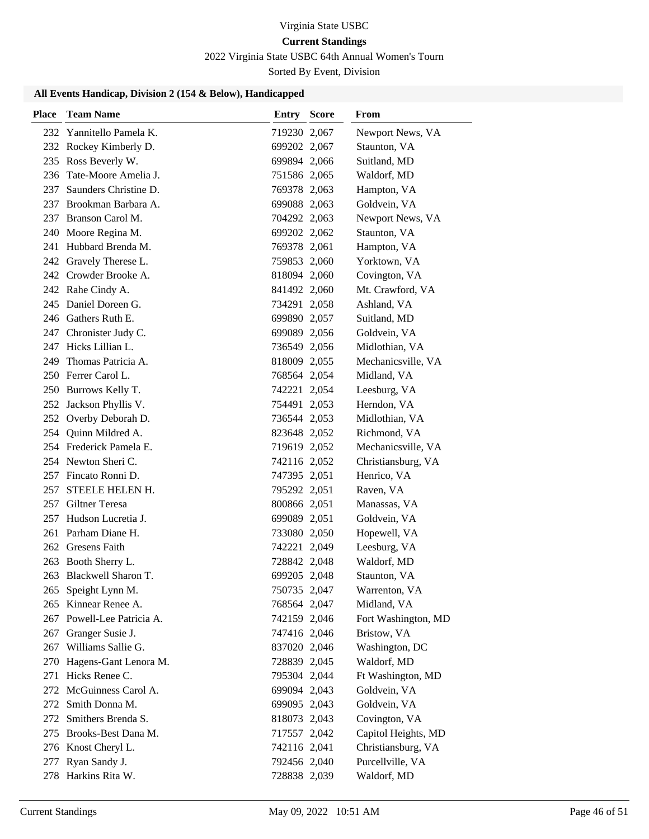# 2022 Virginia State USBC 64th Annual Women's Tourn

Sorted By Event, Division

| Place | <b>Team Name</b>                            | <b>Entry Score</b>           | From                         |
|-------|---------------------------------------------|------------------------------|------------------------------|
|       | 232 Yannitello Pamela K.                    | 719230 2,067                 | Newport News, VA             |
|       | 232 Rockey Kimberly D.                      | 699202 2,067                 | Staunton, VA                 |
|       | 235 Ross Beverly W.                         | 699894 2,066                 | Suitland, MD                 |
| 236   | Tate-Moore Amelia J.                        | 751586 2,065                 | Waldorf, MD                  |
|       | 237 Saunders Christine D.                   | 769378 2,063                 | Hampton, VA                  |
|       | 237 Brookman Barbara A.                     | 699088 2,063                 | Goldvein, VA                 |
|       | 237 Branson Carol M.                        | 704292 2,063                 | Newport News, VA             |
|       | 240 Moore Regina M.                         | 699202 2,062                 | Staunton, VA                 |
|       | 241 Hubbard Brenda M.                       | 769378 2,061                 | Hampton, VA                  |
|       | 242 Gravely Therese L.                      | 759853 2,060                 | Yorktown, VA                 |
|       | 242 Crowder Brooke A.                       | 818094 2,060                 | Covington, VA                |
|       | 242 Rahe Cindy A.                           | 841492 2,060                 | Mt. Crawford, VA             |
|       | 245 Daniel Doreen G.                        | 734291 2,058                 | Ashland, VA                  |
|       | 246 Gathers Ruth E.                         | 699890 2,057                 | Suitland, MD                 |
|       | 247 Chronister Judy C.                      | 699089 2,056                 | Goldvein, VA                 |
|       | 247 Hicks Lillian L.                        | 736549 2,056                 | Midlothian, VA               |
| 249   | Thomas Patricia A.                          | 818009 2,055                 | Mechanicsville, VA           |
|       | 250 Ferrer Carol L.                         | 768564 2,054                 | Midland, VA                  |
|       | 250 Burrows Kelly T.                        | 742221 2,054                 | Leesburg, VA                 |
|       | 252 Jackson Phyllis V.                      | 754491 2,053                 | Herndon, VA                  |
|       | 252 Overby Deborah D.                       | 736544 2,053                 | Midlothian, VA               |
|       | 254 Quinn Mildred A.                        | 823648 2,052                 | Richmond, VA                 |
|       | 254 Frederick Pamela E.                     | 719619 2,052                 | Mechanicsville, VA           |
|       | 254 Newton Sheri C.                         | 742116 2,052                 | Christiansburg, VA           |
|       | 257 Fincato Ronni D.                        | 747395 2,051                 | Henrico, VA                  |
| 257   | <b>STEELE HELEN H.</b>                      | 795292 2,051                 | Raven, VA                    |
|       | 257 Giltner Teresa                          | 800866 2,051                 | Manassas, VA                 |
|       | 257 Hudson Lucretia J.                      | 699089 2,051                 | Goldvein, VA                 |
|       | 261 Parham Diane H.                         | 733080 2,050                 | Hopewell, VA                 |
|       | 262 Gresens Faith                           | 742221 2,049                 | Leesburg, VA                 |
|       | 263 Booth Sherry L.                         | 728842 2,048                 | Waldorf, MD                  |
|       | 263 Blackwell Sharon T.                     | 699205 2,048                 | Staunton, VA                 |
|       | 265 Speight Lynn M.<br>265 Kinnear Renee A. | 750735 2,047<br>768564 2,047 | Warrenton, VA<br>Midland, VA |
|       | 267 Powell-Lee Patricia A.                  | 742159 2,046                 | Fort Washington, MD          |
|       | 267 Granger Susie J.                        | 747416 2,046                 | Bristow, VA                  |
|       | 267 Williams Sallie G.                      | 837020 2,046                 | Washington, DC               |
|       | 270 Hagens-Gant Lenora M.                   | 728839 2,045                 | Waldorf, MD                  |
| 271   | Hicks Renee C.                              | 795304 2,044                 | Ft Washington, MD            |
|       | 272 McGuinness Carol A.                     | 699094 2,043                 | Goldvein, VA                 |
|       | 272 Smith Donna M.                          | 699095 2,043                 | Goldvein, VA                 |
|       | 272 Smithers Brenda S.                      | 818073 2,043                 | Covington, VA                |
|       | 275 Brooks-Best Dana M.                     | 717557 2,042                 | Capitol Heights, MD          |
|       | 276 Knost Cheryl L.                         | 742116 2,041                 | Christiansburg, VA           |
| 277   | Ryan Sandy J.                               | 792456 2,040                 | Purcellville, VA             |
|       | 278 Harkins Rita W.                         | 728838 2,039                 | Waldorf, MD                  |
|       |                                             |                              |                              |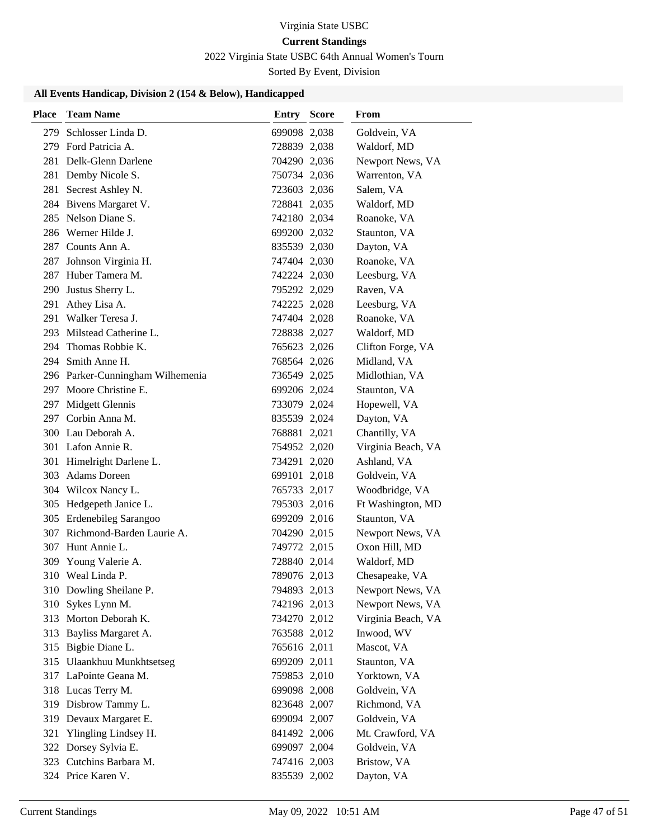# 2022 Virginia State USBC 64th Annual Women's Tourn

Sorted By Event, Division

| Place | <b>Team Name</b>                 | <b>Entry Score</b> | From               |
|-------|----------------------------------|--------------------|--------------------|
| 279   | Schlosser Linda D.               | 699098 2,038       | Goldvein, VA       |
|       | 279 Ford Patricia A.             | 728839 2,038       | Waldorf, MD        |
|       | 281 Delk-Glenn Darlene           | 704290 2,036       | Newport News, VA   |
|       | 281 Demby Nicole S.              | 750734 2,036       | Warrenton, VA      |
|       | 281 Secrest Ashley N.            | 723603 2,036       | Salem, VA          |
|       | 284 Bivens Margaret V.           | 728841 2,035       | Waldorf, MD        |
|       | 285 Nelson Diane S.              | 742180 2,034       | Roanoke, VA        |
|       | 286 Werner Hilde J.              | 699200 2,032       | Staunton, VA       |
|       | 287 Counts Ann A.                | 835539 2,030       | Dayton, VA         |
| 287   | Johnson Virginia H.              | 747404 2,030       | Roanoke, VA        |
|       | 287 Huber Tamera M.              | 742224 2,030       | Leesburg, VA       |
|       | 290 Justus Sherry L.             | 795292 2,029       | Raven, VA          |
| 291   | Athey Lisa A.                    | 742225 2,028       | Leesburg, VA       |
|       | 291 Walker Teresa J.             | 747404 2,028       | Roanoke, VA        |
|       | 293 Milstead Catherine L.        | 728838 2,027       | Waldorf, MD        |
|       | 294 Thomas Robbie K.             | 765623 2,026       | Clifton Forge, VA  |
|       | 294 Smith Anne H.                | 768564 2,026       | Midland, VA        |
|       | 296 Parker-Cunningham Wilhemenia | 736549 2,025       | Midlothian, VA     |
|       | 297 Moore Christine E.           | 699206 2,024       | Staunton, VA       |
|       | 297 Midgett Glennis              | 733079 2,024       | Hopewell, VA       |
|       | 297 Corbin Anna M.               | 835539 2,024       | Dayton, VA         |
|       | 300 Lau Deborah A.               | 768881 2,021       | Chantilly, VA      |
|       | 301 Lafon Annie R.               | 754952 2,020       | Virginia Beach, VA |
|       | 301 Himelright Darlene L.        | 734291 2,020       | Ashland, VA        |
|       | 303 Adams Doreen                 | 699101 2,018       | Goldvein, VA       |
|       | 304 Wilcox Nancy L.              | 765733 2,017       | Woodbridge, VA     |
|       | 305 Hedgepeth Janice L.          | 795303 2,016       | Ft Washington, MD  |
|       | 305 Erdenebileg Sarangoo         | 699209 2,016       | Staunton, VA       |
|       | 307 Richmond-Barden Laurie A.    | 704290 2,015       | Newport News, VA   |
|       | 307 Hunt Annie L.                | 749772 2,015       | Oxon Hill, MD      |
| 309   | Young Valerie A.                 | 728840 2,014       | Waldorf, MD        |
|       | 310 Weal Linda P.                | 789076 2,013       | Chesapeake, VA     |
|       | 310 Dowling Sheilane P.          | 794893 2,013       | Newport News, VA   |
|       | 310 Sykes Lynn M.                | 742196 2,013       | Newport News, VA   |
|       | 313 Morton Deborah K.            | 734270 2,012       | Virginia Beach, VA |
|       | 313 Bayliss Margaret A.          | 763588 2,012       | Inwood, WV         |
|       | 315 Bigbie Diane L.              | 765616 2,011       | Mascot, VA         |
|       | 315 Ulaankhuu Munkhtsetseg       | 699209 2,011       | Staunton, VA       |
|       | 317 LaPointe Geana M.            | 759853 2,010       | Yorktown, VA       |
|       | 318 Lucas Terry M.               | 699098 2,008       | Goldvein, VA       |
|       | 319 Disbrow Tammy L.             | 823648 2,007       | Richmond, VA       |
|       | 319 Devaux Margaret E.           | 699094 2,007       | Goldvein, VA       |
| 321   | Ylingling Lindsey H.             | 841492 2,006       | Mt. Crawford, VA   |
|       | 322 Dorsey Sylvia E.             | 699097 2,004       | Goldvein, VA       |
|       | 323 Cutchins Barbara M.          | 747416 2,003       | Bristow, VA        |
|       | 324 Price Karen V.               | 835539 2,002       | Dayton, VA         |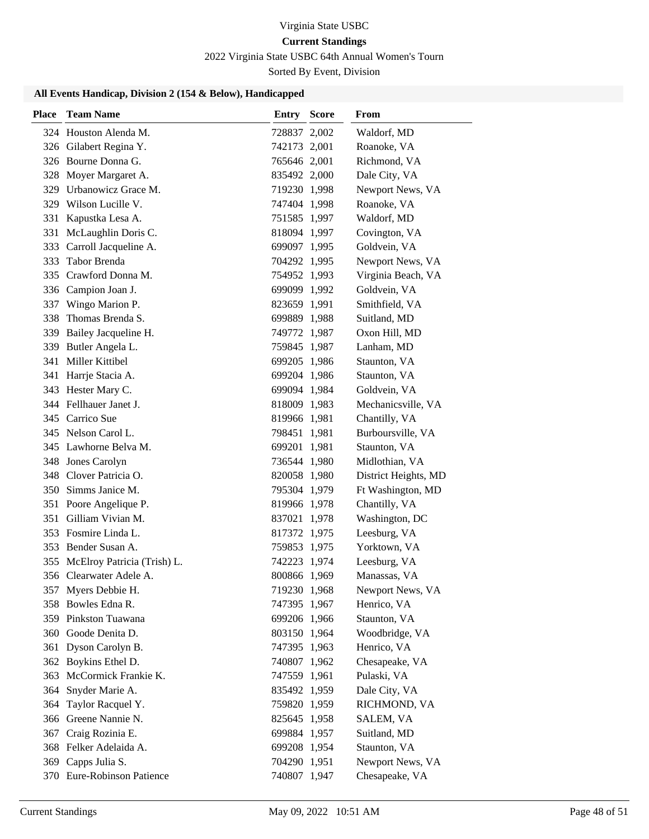# 2022 Virginia State USBC 64th Annual Women's Tourn

Sorted By Event, Division

| Place | <b>Team Name</b>                | <b>Entry Score</b> | From                 |
|-------|---------------------------------|--------------------|----------------------|
|       | 324 Houston Alenda M.           | 728837 2,002       | Waldorf, MD          |
|       | 326 Gilabert Regina Y.          | 742173 2,001       | Roanoke, VA          |
|       | 326 Bourne Donna G.             | 765646 2,001       | Richmond, VA         |
|       | 328 Moyer Margaret A.           | 835492 2,000       | Dale City, VA        |
|       | 329 Urbanowicz Grace M.         | 719230 1,998       | Newport News, VA     |
| 329   | Wilson Lucille V.               | 747404 1,998       | Roanoke, VA          |
|       | 331 Kapustka Lesa A.            | 751585 1,997       | Waldorf, MD          |
| 331   | McLaughlin Doris C.             | 818094 1,997       | Covington, VA        |
| 333   | Carroll Jacqueline A.           | 699097 1,995       | Goldvein, VA         |
| 333   | Tabor Brenda                    | 704292 1,995       | Newport News, VA     |
|       | 335 Crawford Donna M.           | 754952 1,993       | Virginia Beach, VA   |
|       | 336 Campion Joan J.             | 699099 1,992       | Goldvein, VA         |
| 337   | Wingo Marion P.                 | 823659 1,991       | Smithfield, VA       |
| 338   | Thomas Brenda S.                | 699889 1,988       | Suitland, MD         |
|       | 339 Bailey Jacqueline H.        | 749772 1,987       | Oxon Hill, MD        |
|       | 339 Butler Angela L.            | 759845 1,987       | Lanham, MD           |
| 341   | Miller Kittibel                 | 699205 1,986       | Staunton, VA         |
|       | 341 Harrje Stacia A.            | 699204 1,986       | Staunton, VA         |
|       | 343 Hester Mary C.              | 699094 1,984       | Goldvein, VA         |
|       | 344 Fellhauer Janet J.          | 818009 1,983       | Mechanicsville, VA   |
|       | 345 Carrico Sue                 | 819966 1,981       | Chantilly, VA        |
|       | 345 Nelson Carol L.             | 798451 1,981       | Burboursville, VA    |
|       | 345 Lawhorne Belva M.           | 699201 1,981       | Staunton, VA         |
|       | 348 Jones Carolyn               | 736544 1,980       | Midlothian, VA       |
| 348   | Clover Patricia O.              | 820058 1,980       | District Heights, MD |
|       | 350 Simms Janice M.             | 795304 1,979       | Ft Washington, MD    |
|       | 351 Poore Angelique P.          | 819966 1,978       | Chantilly, VA        |
| 351   | Gilliam Vivian M.               | 837021 1,978       | Washington, DC       |
|       | 353 Fosmire Linda L.            | 817372 1,975       | Leesburg, VA         |
|       | 353 Bender Susan A.             | 759853 1,975       | Yorktown, VA         |
|       | 355 McElroy Patricia (Trish) L. | 742223 1,974       | Leesburg, VA         |
|       | 356 Clearwater Adele A.         | 800866 1,969       | Manassas, VA         |
|       | 357 Myers Debbie H.             | 719230 1,968       | Newport News, VA     |
|       | 358 Bowles Edna R.              | 747395 1,967       | Henrico, VA          |
|       | 359 Pinkston Tuawana            | 699206 1,966       | Staunton, VA         |
| 360   | Goode Denita D.                 | 803150 1,964       | Woodbridge, VA       |
| 361   | Dyson Carolyn B.                | 747395 1,963       | Henrico, VA          |
|       | 362 Boykins Ethel D.            | 740807 1,962       | Chesapeake, VA       |
| 363   | McCormick Frankie K.            | 747559 1,961       | Pulaski, VA          |
| 364   | Snyder Marie A.                 | 835492 1,959       | Dale City, VA        |
| 364   | Taylor Racquel Y.               | 759820 1,959       | RICHMOND, VA         |
| 366   | Greene Nannie N.                | 825645 1,958       | SALEM, VA            |
| 367   | Craig Rozinia E.                | 699884 1,957       | Suitland, MD         |
|       | 368 Felker Adelaida A.          | 699208 1,954       | Staunton, VA         |
| 369   | Capps Julia S.                  | 704290 1,951       | Newport News, VA     |
|       | 370 Eure-Robinson Patience      | 740807 1,947       | Chesapeake, VA       |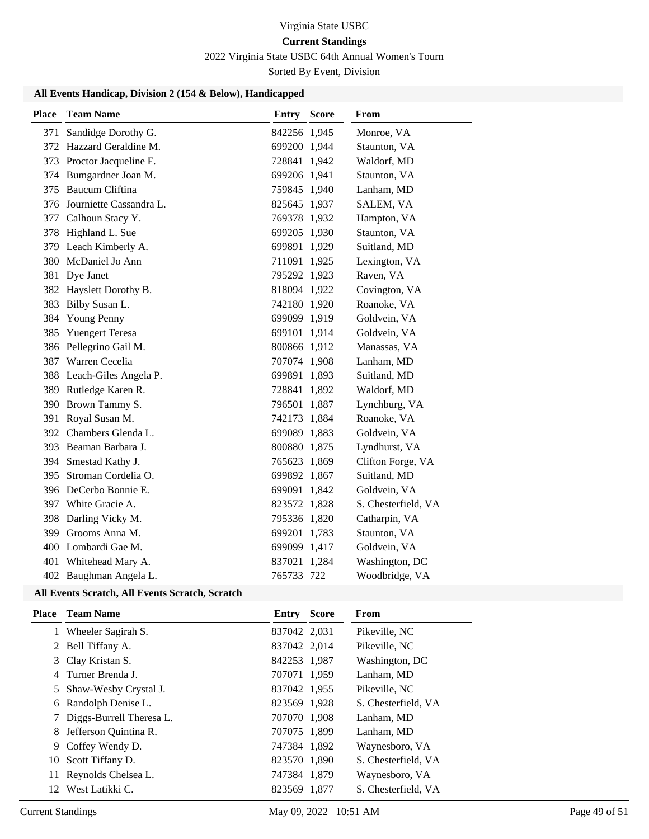# 2022 Virginia State USBC 64th Annual Women's Tourn

Sorted By Event, Division

#### **All Events Handicap, Division 2 (154 & Below), Handicapped**

| <b>Place</b> | <b>Team Name</b>            | <b>Entry Score</b> | From                |
|--------------|-----------------------------|--------------------|---------------------|
| 371          | Sandidge Dorothy G.         | 842256 1,945       | Monroe, VA          |
|              | 372 Hazzard Geraldine M.    | 699200 1,944       | Staunton, VA        |
|              | 373 Proctor Jacqueline F.   | 728841 1,942       | Waldorf, MD         |
|              | 374 Bumgardner Joan M.      | 699206 1,941       | Staunton, VA        |
|              | 375 Baucum Cliftina         | 759845 1,940       | Lanham, MD          |
|              | 376 Journiette Cassandra L. | 825645 1,937       | SALEM, VA           |
|              | 377 Calhoun Stacy Y.        | 769378 1,932       | Hampton, VA         |
|              | 378 Highland L. Sue         | 699205 1,930       | Staunton, VA        |
|              | 379 Leach Kimberly A.       | 699891 1,929       | Suitland, MD        |
|              | 380 McDaniel Jo Ann         | 711091 1,925       | Lexington, VA       |
|              | 381 Dye Janet               | 795292 1,923       | Raven, VA           |
|              | 382 Hayslett Dorothy B.     | 818094 1,922       | Covington, VA       |
| 383          | Bilby Susan L.              | 742180 1,920       | Roanoke, VA         |
| 384          | Young Penny                 | 699099 1,919       | Goldvein, VA        |
| 385          | <b>Yuengert Teresa</b>      | 699101 1,914       | Goldvein, VA        |
|              | 386 Pellegrino Gail M.      | 800866 1,912       | Manassas, VA        |
|              | 387 Warren Cecelia          | 707074 1,908       | Lanham, MD          |
|              | 388 Leach-Giles Angela P.   | 699891 1,893       | Suitland, MD        |
|              | 389 Rutledge Karen R.       | 728841 1,892       | Waldorf, MD         |
|              | 390 Brown Tammy S.          | 796501 1,887       | Lynchburg, VA       |
|              | 391 Royal Susan M.          | 742173 1,884       | Roanoke, VA         |
|              | 392 Chambers Glenda L.      | 699089 1,883       | Goldvein, VA        |
|              | 393 Beaman Barbara J.       | 800880 1,875       | Lyndhurst, VA       |
|              | 394 Smestad Kathy J.        | 765623 1,869       | Clifton Forge, VA   |
| 395          | Stroman Cordelia O.         | 699892 1,867       | Suitland, MD        |
|              | 396 DeCerbo Bonnie E.       | 699091 1,842       | Goldvein, VA        |
|              | 397 White Gracie A.         | 823572 1,828       | S. Chesterfield, VA |
|              | 398 Darling Vicky M.        | 795336 1,820       | Catharpin, VA       |
| 399          | Grooms Anna M.              | 699201 1,783       | Staunton, VA        |
|              | 400 Lombardi Gae M.         | 699099 1,417       | Goldvein, VA        |
| 401          | Whitehead Mary A.           | 837021 1,284       | Washington, DC      |
|              | 402 Baughman Angela L.      | 765733 722         | Woodbridge, VA      |

#### **All Events Scratch, All Events Scratch, Scratch**

| Place | <b>Team Name</b>           | Entry        | <b>Score</b> | From                |
|-------|----------------------------|--------------|--------------|---------------------|
|       | 1 Wheeler Sagirah S.       | 837042 2,031 |              | Pikeville, NC       |
|       | 2 Bell Tiffany A.          | 837042 2,014 |              | Pikeville, NC       |
|       | 3 Clay Kristan S.          | 842253 1,987 |              | Washington, DC      |
|       | 4 Turner Brenda J.         | 707071 1,959 |              | Lanham, MD          |
|       | 5 Shaw-Wesby Crystal J.    | 837042 1,955 |              | Pikeville, NC       |
|       | 6 Randolph Denise L.       | 823569 1,928 |              | S. Chesterfield, VA |
|       | 7 Diggs-Burrell Theresa L. | 707070 1,908 |              | Lanham, MD          |
|       | 8 Jefferson Quintina R.    | 707075 1,899 |              | Lanham, MD          |
|       | 9 Coffey Wendy D.          | 747384 1,892 |              | Waynesboro, VA      |
| 10    | Scott Tiffany D.           | 823570 1,890 |              | S. Chesterfield, VA |
|       | 11 Reynolds Chelsea L.     | 747384 1,879 |              | Waynesboro, VA      |
| 12    | West Latikki C.            | 823569 1,877 |              | S. Chesterfield, VA |
|       |                            |              |              |                     |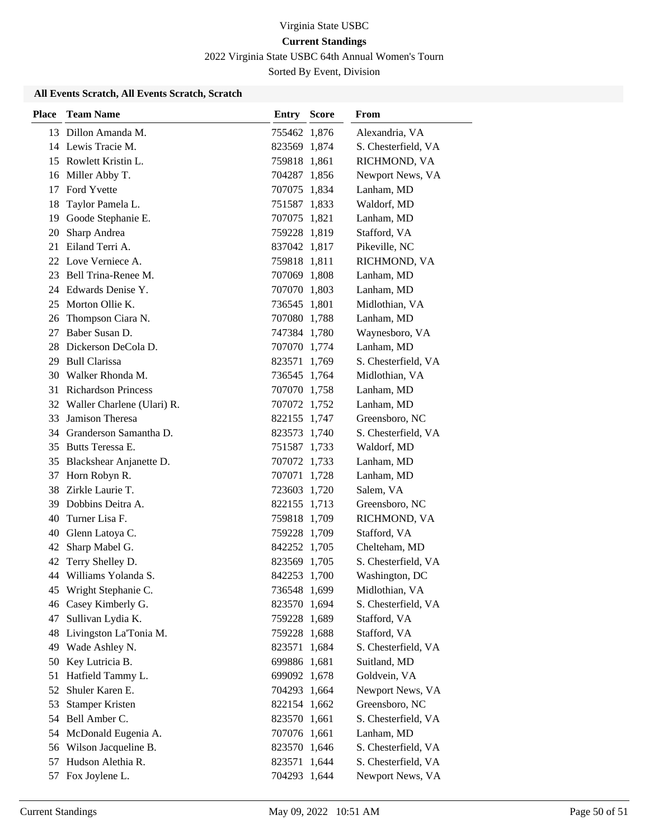2022 Virginia State USBC 64th Annual Women's Tourn

Sorted By Event, Division

#### **All Events Scratch, All Events Scratch, Scratch**

| <b>Place</b> | <b>Team Name</b>              | <b>Entry Score</b> | From                |
|--------------|-------------------------------|--------------------|---------------------|
|              | 13 Dillon Amanda M.           | 755462 1,876       | Alexandria, VA      |
|              | 14 Lewis Tracie M.            | 823569 1,874       | S. Chesterfield, VA |
|              | 15 Rowlett Kristin L.         | 759818 1,861       | RICHMOND, VA        |
|              | 16 Miller Abby T.             | 704287 1,856       | Newport News, VA    |
| 17           | Ford Yvette                   | 707075 1,834       | Lanham, MD          |
| 18           | Taylor Pamela L.              | 751587 1,833       | Waldorf, MD         |
| 19           | Goode Stephanie E.            | 707075 1,821       | Lanham, MD          |
| 20           | Sharp Andrea                  | 759228 1,819       | Stafford, VA        |
| 21           | Eiland Terri A.               | 837042 1,817       | Pikeville, NC       |
|              | 22 Love Verniece A.           | 759818 1,811       | RICHMOND, VA        |
|              | 23 Bell Trina-Renee M.        | 707069 1,808       | Lanham, MD          |
|              | 24 Edwards Denise Y.          | 707070 1,803       | Lanham, MD          |
|              | 25 Morton Ollie K.            | 736545 1,801       | Midlothian, VA      |
| 26           | Thompson Ciara N.             | 707080 1,788       | Lanham, MD          |
| 27           | Baber Susan D.                | 747384 1,780       | Waynesboro, VA      |
| 28           | Dickerson DeCola D.           | 707070 1,774       | Lanham, MD          |
| 29           | <b>Bull Clarissa</b>          | 823571 1,769       | S. Chesterfield, VA |
| 30           | Walker Rhonda M.              | 736545 1,764       | Midlothian, VA      |
|              | 31 Richardson Princess        | 707070 1,758       | Lanham, MD          |
|              | 32 Waller Charlene (Ulari) R. | 707072 1,752       | Lanham, MD          |
| 33           | Jamison Theresa               | 822155 1,747       | Greensboro, NC      |
|              | 34 Granderson Samantha D.     | 823573 1,740       | S. Chesterfield, VA |
|              | 35 Butts Teressa E.           | 751587 1,733       | Waldorf, MD         |
| 35           | Blackshear Anjanette D.       | 707072 1,733       | Lanham, MD          |
| 37           | Horn Robyn R.                 | 707071 1,728       | Lanham, MD          |
|              | 38 Zirkle Laurie T.           | 723603 1,720       | Salem, VA           |
| 39           | Dobbins Deitra A.             | 822155 1,713       | Greensboro, NC      |
| 40           | Turner Lisa F.                | 759818 1,709       | RICHMOND, VA        |
| 40           | Glenn Latoya C.               | 759228 1,709       | Stafford, VA        |
| 42           | Sharp Mabel G.                | 842252 1,705       | Chelteham, MD       |
| 42           | Terry Shelley D.              | 823569 1,705       | S. Chesterfield, VA |
|              | 44 Williams Yolanda S.        | 842253 1,700       | Washington, DC      |
|              | 45 Wright Stephanie C.        | 736548 1,699       | Midlothian, VA      |
|              | 46 Casey Kimberly G.          | 823570 1,694       | S. Chesterfield, VA |
| 47           | Sullivan Lydia K.             | 759228 1,689       | Stafford, VA        |
| 48           | Livingston La'Tonia M.        | 759228 1,688       | Stafford, VA        |
| 49           | Wade Ashley N.                | 823571 1,684       | S. Chesterfield, VA |
| 50           | Key Lutricia B.               | 699886 1,681       | Suitland, MD        |
| 51           | Hatfield Tammy L.             | 699092 1,678       | Goldvein, VA        |
| 52           | Shuler Karen E.               | 704293 1,664       | Newport News, VA    |
| 53           | <b>Stamper Kristen</b>        | 822154 1,662       | Greensboro, NC      |
| 54           | Bell Amber C.                 | 823570 1,661       | S. Chesterfield, VA |
| 54           | McDonald Eugenia A.           | 707076 1,661       | Lanham, MD          |
|              | 56 Wilson Jacqueline B.       | 823570 1,646       | S. Chesterfield, VA |
| 57           | Hudson Alethia R.             | 823571 1,644       | S. Chesterfield, VA |
|              | 57 Fox Joylene L.             | 704293 1,644       | Newport News, VA    |